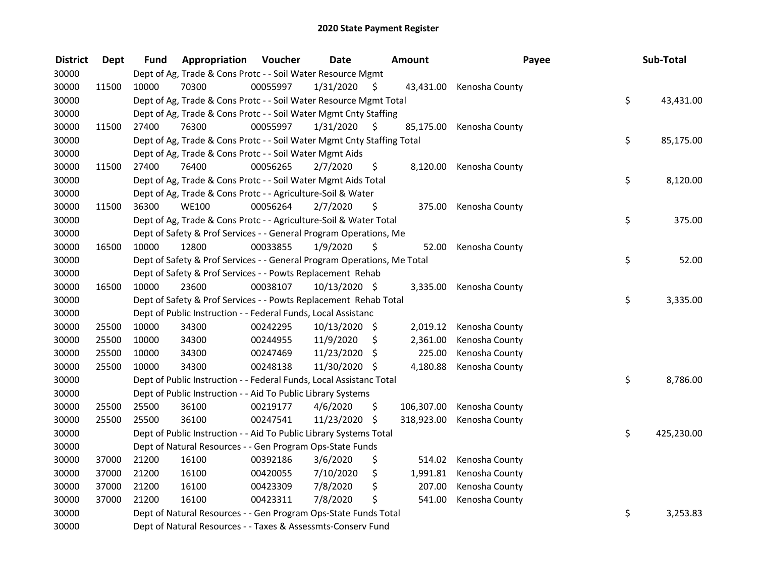| <b>District</b> | <b>Dept</b> | Fund  | Appropriation                                                           | Voucher  | <b>Date</b>   |     | <b>Amount</b> | Payee          | Sub-Total        |
|-----------------|-------------|-------|-------------------------------------------------------------------------|----------|---------------|-----|---------------|----------------|------------------|
| 30000           |             |       | Dept of Ag, Trade & Cons Protc - - Soil Water Resource Mgmt             |          |               |     |               |                |                  |
| 30000           | 11500       | 10000 | 70300                                                                   | 00055997 | 1/31/2020     | \$. | 43,431.00     | Kenosha County |                  |
| 30000           |             |       | Dept of Ag, Trade & Cons Protc - - Soil Water Resource Mgmt Total       |          |               |     |               |                | \$<br>43,431.00  |
| 30000           |             |       | Dept of Ag, Trade & Cons Protc - - Soil Water Mgmt Cnty Staffing        |          |               |     |               |                |                  |
| 30000           | 11500       | 27400 | 76300                                                                   | 00055997 | 1/31/2020     | S   | 85,175.00     | Kenosha County |                  |
| 30000           |             |       | Dept of Ag, Trade & Cons Protc - - Soil Water Mgmt Cnty Staffing Total  |          |               |     |               |                | \$<br>85,175.00  |
| 30000           |             |       | Dept of Ag, Trade & Cons Protc - - Soil Water Mgmt Aids                 |          |               |     |               |                |                  |
| 30000           | 11500       | 27400 | 76400                                                                   | 00056265 | 2/7/2020      | \$  | 8,120.00      | Kenosha County |                  |
| 30000           |             |       | Dept of Ag, Trade & Cons Protc - - Soil Water Mgmt Aids Total           |          |               |     |               |                | \$<br>8,120.00   |
| 30000           |             |       | Dept of Ag, Trade & Cons Protc - - Agriculture-Soil & Water             |          |               |     |               |                |                  |
| 30000           | 11500       | 36300 | <b>WE100</b>                                                            | 00056264 | 2/7/2020      | \$  | 375.00        | Kenosha County |                  |
| 30000           |             |       | Dept of Ag, Trade & Cons Protc - - Agriculture-Soil & Water Total       |          |               |     |               |                | \$<br>375.00     |
| 30000           |             |       | Dept of Safety & Prof Services - - General Program Operations, Me       |          |               |     |               |                |                  |
| 30000           | 16500       | 10000 | 12800                                                                   | 00033855 | 1/9/2020      | \$  | 52.00         | Kenosha County |                  |
| 30000           |             |       | Dept of Safety & Prof Services - - General Program Operations, Me Total |          |               |     |               |                | \$<br>52.00      |
| 30000           |             |       | Dept of Safety & Prof Services - - Powts Replacement Rehab              |          |               |     |               |                |                  |
| 30000           | 16500       | 10000 | 23600                                                                   | 00038107 | 10/13/2020 \$ |     | 3,335.00      | Kenosha County |                  |
| 30000           |             |       | Dept of Safety & Prof Services - - Powts Replacement Rehab Total        |          |               |     |               |                | \$<br>3,335.00   |
| 30000           |             |       | Dept of Public Instruction - - Federal Funds, Local Assistanc           |          |               |     |               |                |                  |
| 30000           | 25500       | 10000 | 34300                                                                   | 00242295 | 10/13/2020 \$ |     | 2,019.12      | Kenosha County |                  |
| 30000           | 25500       | 10000 | 34300                                                                   | 00244955 | 11/9/2020     | \$  | 2,361.00      | Kenosha County |                  |
| 30000           | 25500       | 10000 | 34300                                                                   | 00247469 | 11/23/2020    | \$  | 225.00        | Kenosha County |                  |
| 30000           | 25500       | 10000 | 34300                                                                   | 00248138 | 11/30/2020 \$ |     | 4,180.88      | Kenosha County |                  |
| 30000           |             |       | Dept of Public Instruction - - Federal Funds, Local Assistanc Total     |          |               |     |               |                | \$<br>8,786.00   |
| 30000           |             |       | Dept of Public Instruction - - Aid To Public Library Systems            |          |               |     |               |                |                  |
| 30000           | 25500       | 25500 | 36100                                                                   | 00219177 | 4/6/2020      | \$  | 106,307.00    | Kenosha County |                  |
| 30000           | 25500       | 25500 | 36100                                                                   | 00247541 | 11/23/2020    | \$  | 318,923.00    | Kenosha County |                  |
| 30000           |             |       | Dept of Public Instruction - - Aid To Public Library Systems Total      |          |               |     |               |                | \$<br>425,230.00 |
| 30000           |             |       | Dept of Natural Resources - - Gen Program Ops-State Funds               |          |               |     |               |                |                  |
| 30000           | 37000       | 21200 | 16100                                                                   | 00392186 | 3/6/2020      | \$  | 514.02        | Kenosha County |                  |
| 30000           | 37000       | 21200 | 16100                                                                   | 00420055 | 7/10/2020     | \$  | 1,991.81      | Kenosha County |                  |
| 30000           | 37000       | 21200 | 16100                                                                   | 00423309 | 7/8/2020      | \$  | 207.00        | Kenosha County |                  |
| 30000           | 37000       | 21200 | 16100                                                                   | 00423311 | 7/8/2020      | \$  | 541.00        | Kenosha County |                  |
| 30000           |             |       | Dept of Natural Resources - - Gen Program Ops-State Funds Total         |          |               |     |               |                | \$<br>3,253.83   |
| 30000           |             |       | Dept of Natural Resources - - Taxes & Assessmts-Conserv Fund            |          |               |     |               |                |                  |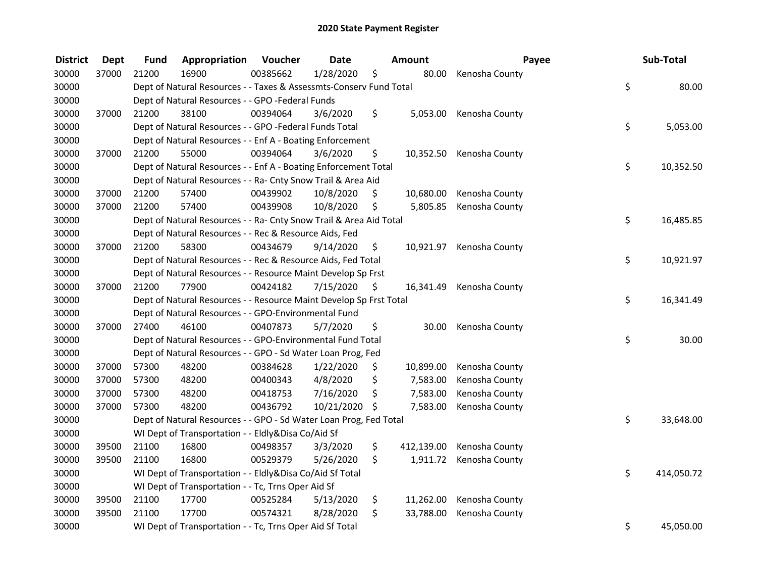| <b>District</b> | <b>Dept</b> | Fund  | Appropriation                                                      | Voucher  | <b>Date</b>   |      | Amount     | Payee                    | Sub-Total        |
|-----------------|-------------|-------|--------------------------------------------------------------------|----------|---------------|------|------------|--------------------------|------------------|
| 30000           | 37000       | 21200 | 16900                                                              | 00385662 | 1/28/2020     | \$   | 80.00      | Kenosha County           |                  |
| 30000           |             |       | Dept of Natural Resources - - Taxes & Assessmts-Conserv Fund Total |          |               |      |            |                          | \$<br>80.00      |
| 30000           |             |       | Dept of Natural Resources - - GPO -Federal Funds                   |          |               |      |            |                          |                  |
| 30000           | 37000       | 21200 | 38100                                                              | 00394064 | 3/6/2020      | \$   |            | 5,053.00 Kenosha County  |                  |
| 30000           |             |       | Dept of Natural Resources - - GPO -Federal Funds Total             |          |               |      |            |                          | \$<br>5,053.00   |
| 30000           |             |       | Dept of Natural Resources - - Enf A - Boating Enforcement          |          |               |      |            |                          |                  |
| 30000           | 37000       | 21200 | 55000                                                              | 00394064 | 3/6/2020      | \$   |            | 10,352.50 Kenosha County |                  |
| 30000           |             |       | Dept of Natural Resources - - Enf A - Boating Enforcement Total    |          |               |      |            |                          | \$<br>10,352.50  |
| 30000           |             |       | Dept of Natural Resources - - Ra- Cnty Snow Trail & Area Aid       |          |               |      |            |                          |                  |
| 30000           | 37000       | 21200 | 57400                                                              | 00439902 | 10/8/2020     | \$   | 10,680.00  | Kenosha County           |                  |
| 30000           | 37000       | 21200 | 57400                                                              | 00439908 | 10/8/2020     | \$   | 5,805.85   | Kenosha County           |                  |
| 30000           |             |       | Dept of Natural Resources - - Ra- Cnty Snow Trail & Area Aid Total |          |               |      |            |                          | \$<br>16,485.85  |
| 30000           |             |       | Dept of Natural Resources - - Rec & Resource Aids, Fed             |          |               |      |            |                          |                  |
| 30000           | 37000       | 21200 | 58300                                                              | 00434679 | 9/14/2020     | \$   |            | 10,921.97 Kenosha County |                  |
| 30000           |             |       | Dept of Natural Resources - - Rec & Resource Aids, Fed Total       |          |               |      |            |                          | \$<br>10,921.97  |
| 30000           |             |       | Dept of Natural Resources - - Resource Maint Develop Sp Frst       |          |               |      |            |                          |                  |
| 30000           | 37000       | 21200 | 77900                                                              | 00424182 | 7/15/2020     | - \$ |            | 16,341.49 Kenosha County |                  |
| 30000           |             |       | Dept of Natural Resources - - Resource Maint Develop Sp Frst Total |          |               |      |            |                          | \$<br>16,341.49  |
| 30000           |             |       | Dept of Natural Resources - - GPO-Environmental Fund               |          |               |      |            |                          |                  |
| 30000           | 37000       | 27400 | 46100                                                              | 00407873 | 5/7/2020      | \$   | 30.00      | Kenosha County           |                  |
| 30000           |             |       | Dept of Natural Resources - - GPO-Environmental Fund Total         |          |               |      |            |                          | \$<br>30.00      |
| 30000           |             |       | Dept of Natural Resources - - GPO - Sd Water Loan Prog, Fed        |          |               |      |            |                          |                  |
| 30000           | 37000       | 57300 | 48200                                                              | 00384628 | 1/22/2020     | \$.  | 10,899.00  | Kenosha County           |                  |
| 30000           | 37000       | 57300 | 48200                                                              | 00400343 | 4/8/2020      | \$   | 7,583.00   | Kenosha County           |                  |
| 30000           | 37000       | 57300 | 48200                                                              | 00418753 | 7/16/2020     | \$   | 7,583.00   | Kenosha County           |                  |
| 30000           | 37000       | 57300 | 48200                                                              | 00436792 | 10/21/2020 \$ |      | 7,583.00   | Kenosha County           |                  |
| 30000           |             |       | Dept of Natural Resources - - GPO - Sd Water Loan Prog, Fed Total  |          |               |      |            |                          | \$<br>33,648.00  |
| 30000           |             |       | WI Dept of Transportation - - Eldly&Disa Co/Aid Sf                 |          |               |      |            |                          |                  |
| 30000           | 39500       | 21100 | 16800                                                              | 00498357 | 3/3/2020      | \$   | 412,139.00 | Kenosha County           |                  |
| 30000           | 39500       | 21100 | 16800                                                              | 00529379 | 5/26/2020     | \$   | 1,911.72   | Kenosha County           |                  |
| 30000           |             |       | WI Dept of Transportation - - Eldly&Disa Co/Aid Sf Total           |          |               |      |            |                          | \$<br>414,050.72 |
| 30000           |             |       | WI Dept of Transportation - - Tc, Trns Oper Aid Sf                 |          |               |      |            |                          |                  |
| 30000           | 39500       | 21100 | 17700                                                              | 00525284 | 5/13/2020     | \$   | 11,262.00  | Kenosha County           |                  |
| 30000           | 39500       | 21100 | 17700                                                              | 00574321 | 8/28/2020     | \$   | 33,788.00  | Kenosha County           |                  |
| 30000           |             |       | WI Dept of Transportation - - Tc, Trns Oper Aid Sf Total           |          |               |      |            |                          | \$<br>45,050.00  |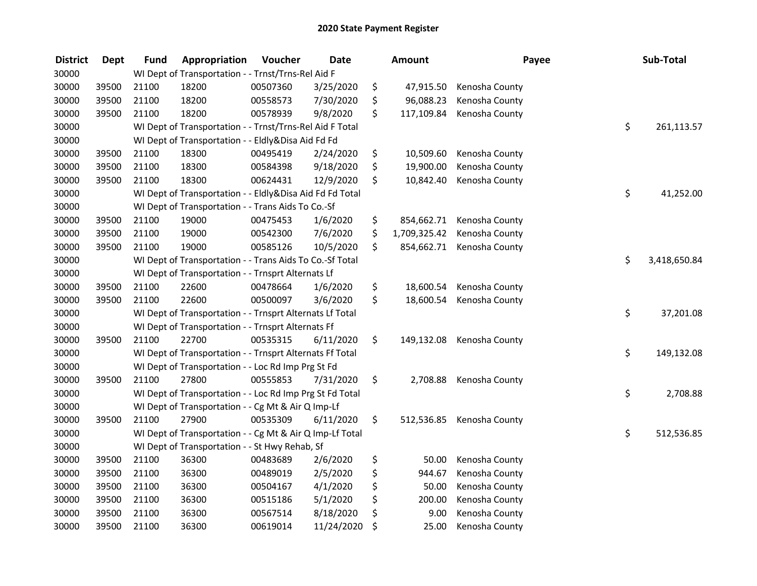| <b>District</b> | <b>Dept</b> | <b>Fund</b> | Appropriation                                            | Voucher  | <b>Date</b> | Amount             | Payee          | Sub-Total          |
|-----------------|-------------|-------------|----------------------------------------------------------|----------|-------------|--------------------|----------------|--------------------|
| 30000           |             |             | WI Dept of Transportation - - Trnst/Trns-Rel Aid F       |          |             |                    |                |                    |
| 30000           | 39500       | 21100       | 18200                                                    | 00507360 | 3/25/2020   | \$<br>47,915.50    | Kenosha County |                    |
| 30000           | 39500       | 21100       | 18200                                                    | 00558573 | 7/30/2020   | \$<br>96,088.23    | Kenosha County |                    |
| 30000           | 39500       | 21100       | 18200                                                    | 00578939 | 9/8/2020    | \$<br>117,109.84   | Kenosha County |                    |
| 30000           |             |             | WI Dept of Transportation - - Trnst/Trns-Rel Aid F Total |          |             |                    |                | \$<br>261,113.57   |
| 30000           |             |             | WI Dept of Transportation - - Eldly&Disa Aid Fd Fd       |          |             |                    |                |                    |
| 30000           | 39500       | 21100       | 18300                                                    | 00495419 | 2/24/2020   | \$<br>10,509.60    | Kenosha County |                    |
| 30000           | 39500       | 21100       | 18300                                                    | 00584398 | 9/18/2020   | \$<br>19,900.00    | Kenosha County |                    |
| 30000           | 39500       | 21100       | 18300                                                    | 00624431 | 12/9/2020   | \$<br>10,842.40    | Kenosha County |                    |
| 30000           |             |             | WI Dept of Transportation - - Eldly&Disa Aid Fd Fd Total |          |             |                    |                | \$<br>41,252.00    |
| 30000           |             |             | WI Dept of Transportation - - Trans Aids To Co.-Sf       |          |             |                    |                |                    |
| 30000           | 39500       | 21100       | 19000                                                    | 00475453 | 1/6/2020    | \$<br>854,662.71   | Kenosha County |                    |
| 30000           | 39500       | 21100       | 19000                                                    | 00542300 | 7/6/2020    | \$<br>1,709,325.42 | Kenosha County |                    |
| 30000           | 39500       | 21100       | 19000                                                    | 00585126 | 10/5/2020   | \$<br>854,662.71   | Kenosha County |                    |
| 30000           |             |             | WI Dept of Transportation - - Trans Aids To Co.-Sf Total |          |             |                    |                | \$<br>3,418,650.84 |
| 30000           |             |             | WI Dept of Transportation - - Trnsprt Alternats Lf       |          |             |                    |                |                    |
| 30000           | 39500       | 21100       | 22600                                                    | 00478664 | 1/6/2020    | \$<br>18,600.54    | Kenosha County |                    |
| 30000           | 39500       | 21100       | 22600                                                    | 00500097 | 3/6/2020    | \$<br>18,600.54    | Kenosha County |                    |
| 30000           |             |             | WI Dept of Transportation - - Trnsprt Alternats Lf Total |          |             |                    |                | \$<br>37,201.08    |
| 30000           |             |             | WI Dept of Transportation - - Trnsprt Alternats Ff       |          |             |                    |                |                    |
| 30000           | 39500       | 21100       | 22700                                                    | 00535315 | 6/11/2020   | \$<br>149,132.08   | Kenosha County |                    |
| 30000           |             |             | WI Dept of Transportation - - Trnsprt Alternats Ff Total |          |             |                    |                | \$<br>149,132.08   |
| 30000           |             |             | WI Dept of Transportation - - Loc Rd Imp Prg St Fd       |          |             |                    |                |                    |
| 30000           | 39500       | 21100       | 27800                                                    | 00555853 | 7/31/2020   | \$<br>2,708.88     | Kenosha County |                    |
| 30000           |             |             | WI Dept of Transportation - - Loc Rd Imp Prg St Fd Total |          |             |                    |                | \$<br>2,708.88     |
| 30000           |             |             | WI Dept of Transportation - - Cg Mt & Air Q Imp-Lf       |          |             |                    |                |                    |
| 30000           | 39500       | 21100       | 27900                                                    | 00535309 | 6/11/2020   | \$<br>512,536.85   | Kenosha County |                    |
| 30000           |             |             | WI Dept of Transportation - - Cg Mt & Air Q Imp-Lf Total |          |             |                    |                | \$<br>512,536.85   |
| 30000           |             |             | WI Dept of Transportation - - St Hwy Rehab, Sf           |          |             |                    |                |                    |
| 30000           | 39500       | 21100       | 36300                                                    | 00483689 | 2/6/2020    | \$<br>50.00        | Kenosha County |                    |
| 30000           | 39500       | 21100       | 36300                                                    | 00489019 | 2/5/2020    | \$<br>944.67       | Kenosha County |                    |
| 30000           | 39500       | 21100       | 36300                                                    | 00504167 | 4/1/2020    | \$<br>50.00        | Kenosha County |                    |
| 30000           | 39500       | 21100       | 36300                                                    | 00515186 | 5/1/2020    | \$<br>200.00       | Kenosha County |                    |
| 30000           | 39500       | 21100       | 36300                                                    | 00567514 | 8/18/2020   | \$<br>9.00         | Kenosha County |                    |
| 30000           | 39500       | 21100       | 36300                                                    | 00619014 | 11/24/2020  | \$<br>25.00        | Kenosha County |                    |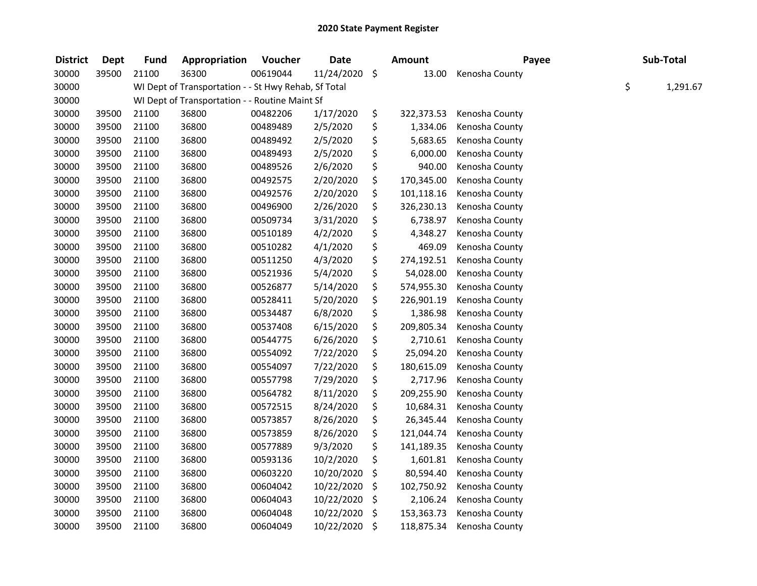| <b>District</b> | <b>Dept</b> | <b>Fund</b> | Appropriation                                        | Voucher  | <b>Date</b> | <b>Amount</b>    | Payee          |    | Sub-Total |
|-----------------|-------------|-------------|------------------------------------------------------|----------|-------------|------------------|----------------|----|-----------|
| 30000           | 39500       | 21100       | 36300                                                | 00619044 | 11/24/2020  | \$<br>13.00      | Kenosha County |    |           |
| 30000           |             |             | WI Dept of Transportation - - St Hwy Rehab, Sf Total |          |             |                  |                | \$ | 1,291.67  |
| 30000           |             |             | WI Dept of Transportation - - Routine Maint Sf       |          |             |                  |                |    |           |
| 30000           | 39500       | 21100       | 36800                                                | 00482206 | 1/17/2020   | \$<br>322,373.53 | Kenosha County |    |           |
| 30000           | 39500       | 21100       | 36800                                                | 00489489 | 2/5/2020    | \$<br>1,334.06   | Kenosha County |    |           |
| 30000           | 39500       | 21100       | 36800                                                | 00489492 | 2/5/2020    | \$<br>5,683.65   | Kenosha County |    |           |
| 30000           | 39500       | 21100       | 36800                                                | 00489493 | 2/5/2020    | \$<br>6,000.00   | Kenosha County |    |           |
| 30000           | 39500       | 21100       | 36800                                                | 00489526 | 2/6/2020    | \$<br>940.00     | Kenosha County |    |           |
| 30000           | 39500       | 21100       | 36800                                                | 00492575 | 2/20/2020   | \$<br>170,345.00 | Kenosha County |    |           |
| 30000           | 39500       | 21100       | 36800                                                | 00492576 | 2/20/2020   | \$<br>101,118.16 | Kenosha County |    |           |
| 30000           | 39500       | 21100       | 36800                                                | 00496900 | 2/26/2020   | \$<br>326,230.13 | Kenosha County |    |           |
| 30000           | 39500       | 21100       | 36800                                                | 00509734 | 3/31/2020   | \$<br>6,738.97   | Kenosha County |    |           |
| 30000           | 39500       | 21100       | 36800                                                | 00510189 | 4/2/2020    | \$<br>4,348.27   | Kenosha County |    |           |
| 30000           | 39500       | 21100       | 36800                                                | 00510282 | 4/1/2020    | \$<br>469.09     | Kenosha County |    |           |
| 30000           | 39500       | 21100       | 36800                                                | 00511250 | 4/3/2020    | \$<br>274,192.51 | Kenosha County |    |           |
| 30000           | 39500       | 21100       | 36800                                                | 00521936 | 5/4/2020    | \$<br>54,028.00  | Kenosha County |    |           |
| 30000           | 39500       | 21100       | 36800                                                | 00526877 | 5/14/2020   | \$<br>574,955.30 | Kenosha County |    |           |
| 30000           | 39500       | 21100       | 36800                                                | 00528411 | 5/20/2020   | \$<br>226,901.19 | Kenosha County |    |           |
| 30000           | 39500       | 21100       | 36800                                                | 00534487 | 6/8/2020    | \$<br>1,386.98   | Kenosha County |    |           |
| 30000           | 39500       | 21100       | 36800                                                | 00537408 | 6/15/2020   | \$<br>209,805.34 | Kenosha County |    |           |
| 30000           | 39500       | 21100       | 36800                                                | 00544775 | 6/26/2020   | \$<br>2,710.61   | Kenosha County |    |           |
| 30000           | 39500       | 21100       | 36800                                                | 00554092 | 7/22/2020   | \$<br>25,094.20  | Kenosha County |    |           |
| 30000           | 39500       | 21100       | 36800                                                | 00554097 | 7/22/2020   | \$<br>180,615.09 | Kenosha County |    |           |
| 30000           | 39500       | 21100       | 36800                                                | 00557798 | 7/29/2020   | \$<br>2,717.96   | Kenosha County |    |           |
| 30000           | 39500       | 21100       | 36800                                                | 00564782 | 8/11/2020   | \$<br>209,255.90 | Kenosha County |    |           |
| 30000           | 39500       | 21100       | 36800                                                | 00572515 | 8/24/2020   | \$<br>10,684.31  | Kenosha County |    |           |
| 30000           | 39500       | 21100       | 36800                                                | 00573857 | 8/26/2020   | \$<br>26,345.44  | Kenosha County |    |           |
| 30000           | 39500       | 21100       | 36800                                                | 00573859 | 8/26/2020   | \$<br>121,044.74 | Kenosha County |    |           |
| 30000           | 39500       | 21100       | 36800                                                | 00577889 | 9/3/2020    | \$<br>141,189.35 | Kenosha County |    |           |
| 30000           | 39500       | 21100       | 36800                                                | 00593136 | 10/2/2020   | \$<br>1,601.81   | Kenosha County |    |           |
| 30000           | 39500       | 21100       | 36800                                                | 00603220 | 10/20/2020  | \$<br>80,594.40  | Kenosha County |    |           |
| 30000           | 39500       | 21100       | 36800                                                | 00604042 | 10/22/2020  | \$<br>102,750.92 | Kenosha County |    |           |
| 30000           | 39500       | 21100       | 36800                                                | 00604043 | 10/22/2020  | \$<br>2,106.24   | Kenosha County |    |           |
| 30000           | 39500       | 21100       | 36800                                                | 00604048 | 10/22/2020  | \$<br>153,363.73 | Kenosha County |    |           |
| 30000           | 39500       | 21100       | 36800                                                | 00604049 | 10/22/2020  | \$<br>118,875.34 | Kenosha County |    |           |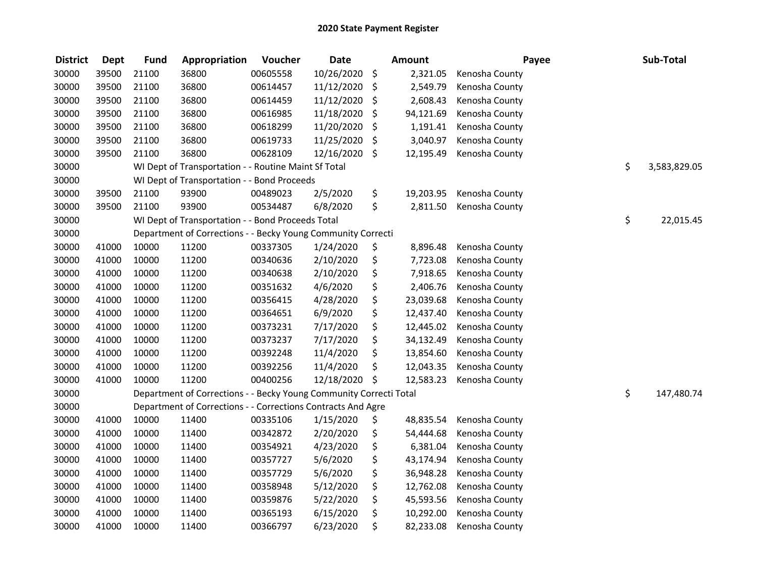| <b>District</b> | <b>Dept</b> | <b>Fund</b> | Appropriation                                                      | Voucher  | <b>Date</b> |                     | <b>Amount</b> | Payee          | Sub-Total          |
|-----------------|-------------|-------------|--------------------------------------------------------------------|----------|-------------|---------------------|---------------|----------------|--------------------|
| 30000           | 39500       | 21100       | 36800                                                              | 00605558 | 10/26/2020  | $\ddot{\mathsf{S}}$ | 2,321.05      | Kenosha County |                    |
| 30000           | 39500       | 21100       | 36800                                                              | 00614457 | 11/12/2020  | \$                  | 2,549.79      | Kenosha County |                    |
| 30000           | 39500       | 21100       | 36800                                                              | 00614459 | 11/12/2020  | \$                  | 2,608.43      | Kenosha County |                    |
| 30000           | 39500       | 21100       | 36800                                                              | 00616985 | 11/18/2020  | \$                  | 94,121.69     | Kenosha County |                    |
| 30000           | 39500       | 21100       | 36800                                                              | 00618299 | 11/20/2020  | \$                  | 1,191.41      | Kenosha County |                    |
| 30000           | 39500       | 21100       | 36800                                                              | 00619733 | 11/25/2020  | \$                  | 3,040.97      | Kenosha County |                    |
| 30000           | 39500       | 21100       | 36800                                                              | 00628109 | 12/16/2020  | \$                  | 12,195.49     | Kenosha County |                    |
| 30000           |             |             | WI Dept of Transportation - - Routine Maint Sf Total               |          |             |                     |               |                | \$<br>3,583,829.05 |
| 30000           |             |             | WI Dept of Transportation - - Bond Proceeds                        |          |             |                     |               |                |                    |
| 30000           | 39500       | 21100       | 93900                                                              | 00489023 | 2/5/2020    | \$                  | 19,203.95     | Kenosha County |                    |
| 30000           | 39500       | 21100       | 93900                                                              | 00534487 | 6/8/2020    | \$                  | 2,811.50      | Kenosha County |                    |
| 30000           |             |             | WI Dept of Transportation - - Bond Proceeds Total                  |          |             |                     |               |                | \$<br>22,015.45    |
| 30000           |             |             | Department of Corrections - - Becky Young Community Correcti       |          |             |                     |               |                |                    |
| 30000           | 41000       | 10000       | 11200                                                              | 00337305 | 1/24/2020   | \$                  | 8,896.48      | Kenosha County |                    |
| 30000           | 41000       | 10000       | 11200                                                              | 00340636 | 2/10/2020   | \$                  | 7,723.08      | Kenosha County |                    |
| 30000           | 41000       | 10000       | 11200                                                              | 00340638 | 2/10/2020   | \$                  | 7,918.65      | Kenosha County |                    |
| 30000           | 41000       | 10000       | 11200                                                              | 00351632 | 4/6/2020    | \$                  | 2,406.76      | Kenosha County |                    |
| 30000           | 41000       | 10000       | 11200                                                              | 00356415 | 4/28/2020   | \$                  | 23,039.68     | Kenosha County |                    |
| 30000           | 41000       | 10000       | 11200                                                              | 00364651 | 6/9/2020    | \$                  | 12,437.40     | Kenosha County |                    |
| 30000           | 41000       | 10000       | 11200                                                              | 00373231 | 7/17/2020   | \$                  | 12,445.02     | Kenosha County |                    |
| 30000           | 41000       | 10000       | 11200                                                              | 00373237 | 7/17/2020   | \$                  | 34,132.49     | Kenosha County |                    |
| 30000           | 41000       | 10000       | 11200                                                              | 00392248 | 11/4/2020   | \$                  | 13,854.60     | Kenosha County |                    |
| 30000           | 41000       | 10000       | 11200                                                              | 00392256 | 11/4/2020   | \$                  | 12,043.35     | Kenosha County |                    |
| 30000           | 41000       | 10000       | 11200                                                              | 00400256 | 12/18/2020  | $\ddot{\varsigma}$  | 12,583.23     | Kenosha County |                    |
| 30000           |             |             | Department of Corrections - - Becky Young Community Correcti Total |          |             |                     |               |                | \$<br>147,480.74   |
| 30000           |             |             | Department of Corrections - - Corrections Contracts And Agre       |          |             |                     |               |                |                    |
| 30000           | 41000       | 10000       | 11400                                                              | 00335106 | 1/15/2020   | \$                  | 48,835.54     | Kenosha County |                    |
| 30000           | 41000       | 10000       | 11400                                                              | 00342872 | 2/20/2020   | \$                  | 54,444.68     | Kenosha County |                    |
| 30000           | 41000       | 10000       | 11400                                                              | 00354921 | 4/23/2020   | \$                  | 6,381.04      | Kenosha County |                    |
| 30000           | 41000       | 10000       | 11400                                                              | 00357727 | 5/6/2020    | \$                  | 43,174.94     | Kenosha County |                    |
| 30000           | 41000       | 10000       | 11400                                                              | 00357729 | 5/6/2020    | \$                  | 36,948.28     | Kenosha County |                    |
| 30000           | 41000       | 10000       | 11400                                                              | 00358948 | 5/12/2020   | \$                  | 12,762.08     | Kenosha County |                    |
| 30000           | 41000       | 10000       | 11400                                                              | 00359876 | 5/22/2020   | \$                  | 45,593.56     | Kenosha County |                    |
| 30000           | 41000       | 10000       | 11400                                                              | 00365193 | 6/15/2020   | \$                  | 10,292.00     | Kenosha County |                    |
| 30000           | 41000       | 10000       | 11400                                                              | 00366797 | 6/23/2020   | \$                  | 82,233.08     | Kenosha County |                    |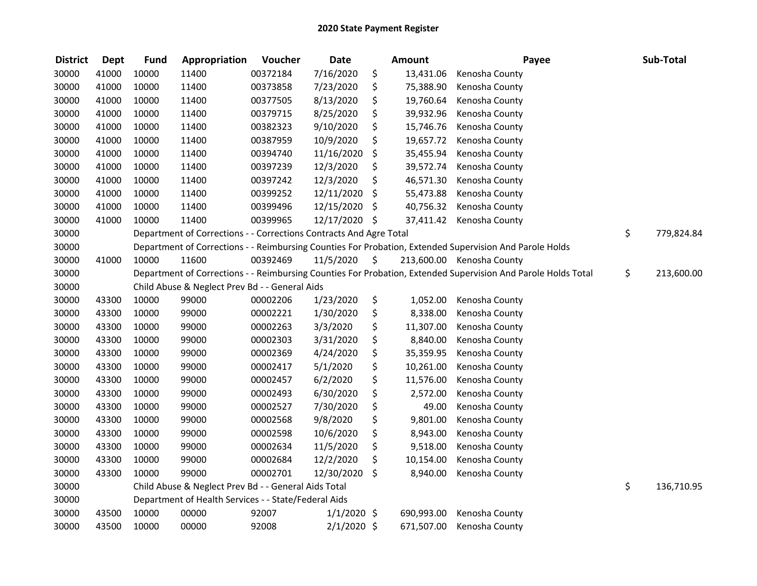| <b>District</b> | <b>Dept</b> | <b>Fund</b> | Appropriation                                                      | Voucher  | <b>Date</b>   | <b>Amount</b>   | Payee                                                                                                         | Sub-Total        |
|-----------------|-------------|-------------|--------------------------------------------------------------------|----------|---------------|-----------------|---------------------------------------------------------------------------------------------------------------|------------------|
| 30000           | 41000       | 10000       | 11400                                                              | 00372184 | 7/16/2020     | \$<br>13,431.06 | Kenosha County                                                                                                |                  |
| 30000           | 41000       | 10000       | 11400                                                              | 00373858 | 7/23/2020     | \$<br>75,388.90 | Kenosha County                                                                                                |                  |
| 30000           | 41000       | 10000       | 11400                                                              | 00377505 | 8/13/2020     | \$<br>19,760.64 | Kenosha County                                                                                                |                  |
| 30000           | 41000       | 10000       | 11400                                                              | 00379715 | 8/25/2020     | \$<br>39,932.96 | Kenosha County                                                                                                |                  |
| 30000           | 41000       | 10000       | 11400                                                              | 00382323 | 9/10/2020     | \$<br>15,746.76 | Kenosha County                                                                                                |                  |
| 30000           | 41000       | 10000       | 11400                                                              | 00387959 | 10/9/2020     | \$<br>19,657.72 | Kenosha County                                                                                                |                  |
| 30000           | 41000       | 10000       | 11400                                                              | 00394740 | 11/16/2020    | \$<br>35,455.94 | Kenosha County                                                                                                |                  |
| 30000           | 41000       | 10000       | 11400                                                              | 00397239 | 12/3/2020     | \$<br>39,572.74 | Kenosha County                                                                                                |                  |
| 30000           | 41000       | 10000       | 11400                                                              | 00397242 | 12/3/2020     | \$<br>46,571.30 | Kenosha County                                                                                                |                  |
| 30000           | 41000       | 10000       | 11400                                                              | 00399252 | 12/11/2020    | \$<br>55,473.88 | Kenosha County                                                                                                |                  |
| 30000           | 41000       | 10000       | 11400                                                              | 00399496 | 12/15/2020    | \$<br>40,756.32 | Kenosha County                                                                                                |                  |
| 30000           | 41000       | 10000       | 11400                                                              | 00399965 | 12/17/2020 \$ | 37,411.42       | Kenosha County                                                                                                |                  |
| 30000           |             |             | Department of Corrections - - Corrections Contracts And Agre Total |          |               |                 |                                                                                                               | \$<br>779,824.84 |
| 30000           |             |             |                                                                    |          |               |                 | Department of Corrections - - Reimbursing Counties For Probation, Extended Supervision And Parole Holds       |                  |
| 30000           | 41000       | 10000       | 11600                                                              | 00392469 | 11/5/2020     | \$              | 213,600.00 Kenosha County                                                                                     |                  |
| 30000           |             |             |                                                                    |          |               |                 | Department of Corrections - - Reimbursing Counties For Probation, Extended Supervision And Parole Holds Total | \$<br>213,600.00 |
| 30000           |             |             | Child Abuse & Neglect Prev Bd - - General Aids                     |          |               |                 |                                                                                                               |                  |
| 30000           | 43300       | 10000       | 99000                                                              | 00002206 | 1/23/2020     | \$<br>1,052.00  | Kenosha County                                                                                                |                  |
| 30000           | 43300       | 10000       | 99000                                                              | 00002221 | 1/30/2020     | \$<br>8,338.00  | Kenosha County                                                                                                |                  |
| 30000           | 43300       | 10000       | 99000                                                              | 00002263 | 3/3/2020      | \$<br>11,307.00 | Kenosha County                                                                                                |                  |
| 30000           | 43300       | 10000       | 99000                                                              | 00002303 | 3/31/2020     | \$<br>8,840.00  | Kenosha County                                                                                                |                  |
| 30000           | 43300       | 10000       | 99000                                                              | 00002369 | 4/24/2020     | \$<br>35,359.95 | Kenosha County                                                                                                |                  |
| 30000           | 43300       | 10000       | 99000                                                              | 00002417 | 5/1/2020      | \$<br>10,261.00 | Kenosha County                                                                                                |                  |
| 30000           | 43300       | 10000       | 99000                                                              | 00002457 | 6/2/2020      | \$<br>11,576.00 | Kenosha County                                                                                                |                  |
| 30000           | 43300       | 10000       | 99000                                                              | 00002493 | 6/30/2020     | \$<br>2,572.00  | Kenosha County                                                                                                |                  |
| 30000           | 43300       | 10000       | 99000                                                              | 00002527 | 7/30/2020     | \$<br>49.00     | Kenosha County                                                                                                |                  |
| 30000           | 43300       | 10000       | 99000                                                              | 00002568 | 9/8/2020      | \$<br>9,801.00  | Kenosha County                                                                                                |                  |
| 30000           | 43300       | 10000       | 99000                                                              | 00002598 | 10/6/2020     | \$<br>8,943.00  | Kenosha County                                                                                                |                  |
| 30000           | 43300       | 10000       | 99000                                                              | 00002634 | 11/5/2020     | \$<br>9,518.00  | Kenosha County                                                                                                |                  |
| 30000           | 43300       | 10000       | 99000                                                              | 00002684 | 12/2/2020     | \$<br>10,154.00 | Kenosha County                                                                                                |                  |
| 30000           | 43300       | 10000       | 99000                                                              | 00002701 | 12/30/2020    | \$<br>8,940.00  | Kenosha County                                                                                                |                  |
| 30000           |             |             | Child Abuse & Neglect Prev Bd - - General Aids Total               |          |               |                 |                                                                                                               | \$<br>136,710.95 |
| 30000           |             |             | Department of Health Services - - State/Federal Aids               |          |               |                 |                                                                                                               |                  |
| 30000           | 43500       | 10000       | 00000                                                              | 92007    | $1/1/2020$ \$ | 690,993.00      | Kenosha County                                                                                                |                  |
| 30000           | 43500       | 10000       | 00000                                                              | 92008    | $2/1/2020$ \$ | 671,507.00      | Kenosha County                                                                                                |                  |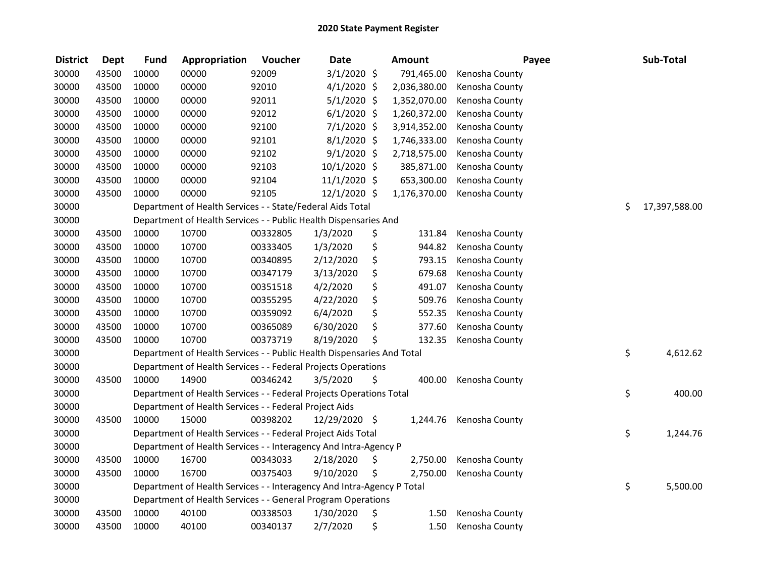| <b>District</b> | <b>Dept</b> | <b>Fund</b> | Appropriation                                                          | Voucher  | <b>Date</b>   | Amount         | Payee          |    | Sub-Total     |
|-----------------|-------------|-------------|------------------------------------------------------------------------|----------|---------------|----------------|----------------|----|---------------|
| 30000           | 43500       | 10000       | 00000                                                                  | 92009    | $3/1/2020$ \$ | 791,465.00     | Kenosha County |    |               |
| 30000           | 43500       | 10000       | 00000                                                                  | 92010    | $4/1/2020$ \$ | 2,036,380.00   | Kenosha County |    |               |
| 30000           | 43500       | 10000       | 00000                                                                  | 92011    | $5/1/2020$ \$ | 1,352,070.00   | Kenosha County |    |               |
| 30000           | 43500       | 10000       | 00000                                                                  | 92012    | $6/1/2020$ \$ | 1,260,372.00   | Kenosha County |    |               |
| 30000           | 43500       | 10000       | 00000                                                                  | 92100    | $7/1/2020$ \$ | 3,914,352.00   | Kenosha County |    |               |
| 30000           | 43500       | 10000       | 00000                                                                  | 92101    | $8/1/2020$ \$ | 1,746,333.00   | Kenosha County |    |               |
| 30000           | 43500       | 10000       | 00000                                                                  | 92102    | $9/1/2020$ \$ | 2,718,575.00   | Kenosha County |    |               |
| 30000           | 43500       | 10000       | 00000                                                                  | 92103    | 10/1/2020 \$  | 385,871.00     | Kenosha County |    |               |
| 30000           | 43500       | 10000       | 00000                                                                  | 92104    | 11/1/2020 \$  | 653,300.00     | Kenosha County |    |               |
| 30000           | 43500       | 10000       | 00000                                                                  | 92105    | 12/1/2020 \$  | 1,176,370.00   | Kenosha County |    |               |
| 30000           |             |             | Department of Health Services - - State/Federal Aids Total             |          |               |                |                | Ś. | 17,397,588.00 |
| 30000           |             |             | Department of Health Services - - Public Health Dispensaries And       |          |               |                |                |    |               |
| 30000           | 43500       | 10000       | 10700                                                                  | 00332805 | 1/3/2020      | \$<br>131.84   | Kenosha County |    |               |
| 30000           | 43500       | 10000       | 10700                                                                  | 00333405 | 1/3/2020      | \$<br>944.82   | Kenosha County |    |               |
| 30000           | 43500       | 10000       | 10700                                                                  | 00340895 | 2/12/2020     | \$<br>793.15   | Kenosha County |    |               |
| 30000           | 43500       | 10000       | 10700                                                                  | 00347179 | 3/13/2020     | \$<br>679.68   | Kenosha County |    |               |
| 30000           | 43500       | 10000       | 10700                                                                  | 00351518 | 4/2/2020      | \$<br>491.07   | Kenosha County |    |               |
| 30000           | 43500       | 10000       | 10700                                                                  | 00355295 | 4/22/2020     | \$<br>509.76   | Kenosha County |    |               |
| 30000           | 43500       | 10000       | 10700                                                                  | 00359092 | 6/4/2020      | \$<br>552.35   | Kenosha County |    |               |
| 30000           | 43500       | 10000       | 10700                                                                  | 00365089 | 6/30/2020     | \$<br>377.60   | Kenosha County |    |               |
| 30000           | 43500       | 10000       | 10700                                                                  | 00373719 | 8/19/2020     | \$<br>132.35   | Kenosha County |    |               |
| 30000           |             |             | Department of Health Services - - Public Health Dispensaries And Total |          |               |                |                | \$ | 4,612.62      |
| 30000           |             |             | Department of Health Services - - Federal Projects Operations          |          |               |                |                |    |               |
| 30000           | 43500       | 10000       | 14900                                                                  | 00346242 | 3/5/2020      | \$<br>400.00   | Kenosha County |    |               |
| 30000           |             |             | Department of Health Services - - Federal Projects Operations Total    |          |               |                |                | \$ | 400.00        |
| 30000           |             |             | Department of Health Services - - Federal Project Aids                 |          |               |                |                |    |               |
| 30000           | 43500       | 10000       | 15000                                                                  | 00398202 | 12/29/2020 \$ | 1,244.76       | Kenosha County |    |               |
| 30000           |             |             | Department of Health Services - - Federal Project Aids Total           |          |               |                |                | \$ | 1,244.76      |
| 30000           |             |             | Department of Health Services - - Interagency And Intra-Agency P       |          |               |                |                |    |               |
| 30000           | 43500       | 10000       | 16700                                                                  | 00343033 | 2/18/2020     | \$<br>2,750.00 | Kenosha County |    |               |
| 30000           | 43500       | 10000       | 16700                                                                  | 00375403 | 9/10/2020     | \$<br>2,750.00 | Kenosha County |    |               |
| 30000           |             |             | Department of Health Services - - Interagency And Intra-Agency P Total |          |               |                |                | \$ | 5,500.00      |
| 30000           |             |             | Department of Health Services - - General Program Operations           |          |               |                |                |    |               |
| 30000           | 43500       | 10000       | 40100                                                                  | 00338503 | 1/30/2020     | \$<br>1.50     | Kenosha County |    |               |
| 30000           | 43500       | 10000       | 40100                                                                  | 00340137 | 2/7/2020      | \$<br>1.50     | Kenosha County |    |               |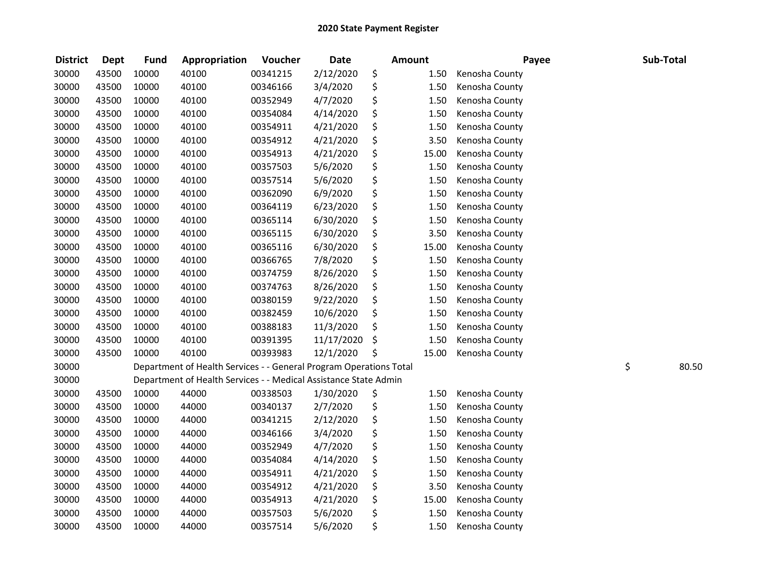| <b>District</b> | <b>Dept</b> | <b>Fund</b> | Appropriation                                                      | Voucher  | <b>Date</b> | <b>Amount</b> | Payee          | Sub-Total   |
|-----------------|-------------|-------------|--------------------------------------------------------------------|----------|-------------|---------------|----------------|-------------|
| 30000           | 43500       | 10000       | 40100                                                              | 00341215 | 2/12/2020   | \$<br>1.50    | Kenosha County |             |
| 30000           | 43500       | 10000       | 40100                                                              | 00346166 | 3/4/2020    | \$<br>1.50    | Kenosha County |             |
| 30000           | 43500       | 10000       | 40100                                                              | 00352949 | 4/7/2020    | \$<br>1.50    | Kenosha County |             |
| 30000           | 43500       | 10000       | 40100                                                              | 00354084 | 4/14/2020   | \$<br>1.50    | Kenosha County |             |
| 30000           | 43500       | 10000       | 40100                                                              | 00354911 | 4/21/2020   | \$<br>1.50    | Kenosha County |             |
| 30000           | 43500       | 10000       | 40100                                                              | 00354912 | 4/21/2020   | \$<br>3.50    | Kenosha County |             |
| 30000           | 43500       | 10000       | 40100                                                              | 00354913 | 4/21/2020   | \$<br>15.00   | Kenosha County |             |
| 30000           | 43500       | 10000       | 40100                                                              | 00357503 | 5/6/2020    | \$<br>1.50    | Kenosha County |             |
| 30000           | 43500       | 10000       | 40100                                                              | 00357514 | 5/6/2020    | \$<br>1.50    | Kenosha County |             |
| 30000           | 43500       | 10000       | 40100                                                              | 00362090 | 6/9/2020    | \$<br>1.50    | Kenosha County |             |
| 30000           | 43500       | 10000       | 40100                                                              | 00364119 | 6/23/2020   | \$<br>1.50    | Kenosha County |             |
| 30000           | 43500       | 10000       | 40100                                                              | 00365114 | 6/30/2020   | \$<br>1.50    | Kenosha County |             |
| 30000           | 43500       | 10000       | 40100                                                              | 00365115 | 6/30/2020   | \$<br>3.50    | Kenosha County |             |
| 30000           | 43500       | 10000       | 40100                                                              | 00365116 | 6/30/2020   | \$<br>15.00   | Kenosha County |             |
| 30000           | 43500       | 10000       | 40100                                                              | 00366765 | 7/8/2020    | \$<br>1.50    | Kenosha County |             |
| 30000           | 43500       | 10000       | 40100                                                              | 00374759 | 8/26/2020   | \$<br>1.50    | Kenosha County |             |
| 30000           | 43500       | 10000       | 40100                                                              | 00374763 | 8/26/2020   | \$<br>1.50    | Kenosha County |             |
| 30000           | 43500       | 10000       | 40100                                                              | 00380159 | 9/22/2020   | \$<br>1.50    | Kenosha County |             |
| 30000           | 43500       | 10000       | 40100                                                              | 00382459 | 10/6/2020   | \$<br>1.50    | Kenosha County |             |
| 30000           | 43500       | 10000       | 40100                                                              | 00388183 | 11/3/2020   | \$<br>1.50    | Kenosha County |             |
| 30000           | 43500       | 10000       | 40100                                                              | 00391395 | 11/17/2020  | \$<br>1.50    | Kenosha County |             |
| 30000           | 43500       | 10000       | 40100                                                              | 00393983 | 12/1/2020   | \$<br>15.00   | Kenosha County |             |
| 30000           |             |             | Department of Health Services - - General Program Operations Total |          |             |               |                | \$<br>80.50 |
| 30000           |             |             | Department of Health Services - - Medical Assistance State Admin   |          |             |               |                |             |
| 30000           | 43500       | 10000       | 44000                                                              | 00338503 | 1/30/2020   | \$<br>1.50    | Kenosha County |             |
| 30000           | 43500       | 10000       | 44000                                                              | 00340137 | 2/7/2020    | \$<br>1.50    | Kenosha County |             |
| 30000           | 43500       | 10000       | 44000                                                              | 00341215 | 2/12/2020   | \$<br>1.50    | Kenosha County |             |
| 30000           | 43500       | 10000       | 44000                                                              | 00346166 | 3/4/2020    | \$<br>1.50    | Kenosha County |             |
| 30000           | 43500       | 10000       | 44000                                                              | 00352949 | 4/7/2020    | \$<br>1.50    | Kenosha County |             |
| 30000           | 43500       | 10000       | 44000                                                              | 00354084 | 4/14/2020   | \$<br>1.50    | Kenosha County |             |
| 30000           | 43500       | 10000       | 44000                                                              | 00354911 | 4/21/2020   | \$<br>1.50    | Kenosha County |             |
| 30000           | 43500       | 10000       | 44000                                                              | 00354912 | 4/21/2020   | \$<br>3.50    | Kenosha County |             |
| 30000           | 43500       | 10000       | 44000                                                              | 00354913 | 4/21/2020   | \$<br>15.00   | Kenosha County |             |
| 30000           | 43500       | 10000       | 44000                                                              | 00357503 | 5/6/2020    | \$<br>1.50    | Kenosha County |             |
| 30000           | 43500       | 10000       | 44000                                                              | 00357514 | 5/6/2020    | \$<br>1.50    | Kenosha County |             |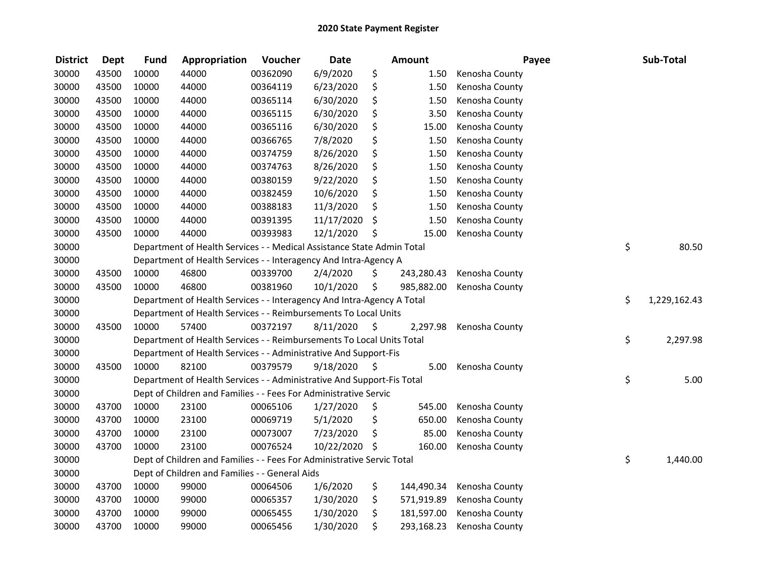| <b>District</b> | <b>Dept</b> | <b>Fund</b> | Appropriation                                                          | Voucher  | <b>Date</b>   |      | <b>Amount</b> | Payee          | Sub-Total          |
|-----------------|-------------|-------------|------------------------------------------------------------------------|----------|---------------|------|---------------|----------------|--------------------|
| 30000           | 43500       | 10000       | 44000                                                                  | 00362090 | 6/9/2020      | \$   | 1.50          | Kenosha County |                    |
| 30000           | 43500       | 10000       | 44000                                                                  | 00364119 | 6/23/2020     | \$   | 1.50          | Kenosha County |                    |
| 30000           | 43500       | 10000       | 44000                                                                  | 00365114 | 6/30/2020     | \$   | 1.50          | Kenosha County |                    |
| 30000           | 43500       | 10000       | 44000                                                                  | 00365115 | 6/30/2020     | \$   | 3.50          | Kenosha County |                    |
| 30000           | 43500       | 10000       | 44000                                                                  | 00365116 | 6/30/2020     | \$   | 15.00         | Kenosha County |                    |
| 30000           | 43500       | 10000       | 44000                                                                  | 00366765 | 7/8/2020      | \$   | 1.50          | Kenosha County |                    |
| 30000           | 43500       | 10000       | 44000                                                                  | 00374759 | 8/26/2020     | \$   | 1.50          | Kenosha County |                    |
| 30000           | 43500       | 10000       | 44000                                                                  | 00374763 | 8/26/2020     | \$   | 1.50          | Kenosha County |                    |
| 30000           | 43500       | 10000       | 44000                                                                  | 00380159 | 9/22/2020     | \$   | 1.50          | Kenosha County |                    |
| 30000           | 43500       | 10000       | 44000                                                                  | 00382459 | 10/6/2020     | \$   | 1.50          | Kenosha County |                    |
| 30000           | 43500       | 10000       | 44000                                                                  | 00388183 | 11/3/2020     | \$   | 1.50          | Kenosha County |                    |
| 30000           | 43500       | 10000       | 44000                                                                  | 00391395 | 11/17/2020    | \$   | 1.50          | Kenosha County |                    |
| 30000           | 43500       | 10000       | 44000                                                                  | 00393983 | 12/1/2020     | \$   | 15.00         | Kenosha County |                    |
| 30000           |             |             | Department of Health Services - - Medical Assistance State Admin Total |          |               |      |               |                | \$<br>80.50        |
| 30000           |             |             | Department of Health Services - - Interagency And Intra-Agency A       |          |               |      |               |                |                    |
| 30000           | 43500       | 10000       | 46800                                                                  | 00339700 | 2/4/2020      | \$   | 243,280.43    | Kenosha County |                    |
| 30000           | 43500       | 10000       | 46800                                                                  | 00381960 | 10/1/2020     | \$   | 985,882.00    | Kenosha County |                    |
| 30000           |             |             | Department of Health Services - - Interagency And Intra-Agency A Total |          |               |      |               |                | \$<br>1,229,162.43 |
| 30000           |             |             | Department of Health Services - - Reimbursements To Local Units        |          |               |      |               |                |                    |
| 30000           | 43500       | 10000       | 57400                                                                  | 00372197 | 8/11/2020     | - \$ | 2,297.98      | Kenosha County |                    |
| 30000           |             |             | Department of Health Services - - Reimbursements To Local Units Total  |          |               |      |               |                | \$<br>2,297.98     |
| 30000           |             |             | Department of Health Services - - Administrative And Support-Fis       |          |               |      |               |                |                    |
| 30000           | 43500       | 10000       | 82100                                                                  | 00379579 | 9/18/2020     | - \$ | 5.00          | Kenosha County |                    |
| 30000           |             |             | Department of Health Services - - Administrative And Support-Fis Total |          |               |      |               |                | \$<br>5.00         |
| 30000           |             |             | Dept of Children and Families - - Fees For Administrative Servic       |          |               |      |               |                |                    |
| 30000           | 43700       | 10000       | 23100                                                                  | 00065106 | 1/27/2020     | \$   | 545.00        | Kenosha County |                    |
| 30000           | 43700       | 10000       | 23100                                                                  | 00069719 | 5/1/2020      | \$   | 650.00        | Kenosha County |                    |
| 30000           | 43700       | 10000       | 23100                                                                  | 00073007 | 7/23/2020     | \$   | 85.00         | Kenosha County |                    |
| 30000           | 43700       | 10000       | 23100                                                                  | 00076524 | 10/22/2020 \$ |      | 160.00        | Kenosha County |                    |
| 30000           |             |             | Dept of Children and Families - - Fees For Administrative Servic Total |          |               |      |               |                | \$<br>1,440.00     |
| 30000           |             |             | Dept of Children and Families - - General Aids                         |          |               |      |               |                |                    |
| 30000           | 43700       | 10000       | 99000                                                                  | 00064506 | 1/6/2020      | \$   | 144,490.34    | Kenosha County |                    |
| 30000           | 43700       | 10000       | 99000                                                                  | 00065357 | 1/30/2020     | \$   | 571,919.89    | Kenosha County |                    |
| 30000           | 43700       | 10000       | 99000                                                                  | 00065455 | 1/30/2020     | \$   | 181,597.00    | Kenosha County |                    |
| 30000           | 43700       | 10000       | 99000                                                                  | 00065456 | 1/30/2020     | \$   | 293,168.23    | Kenosha County |                    |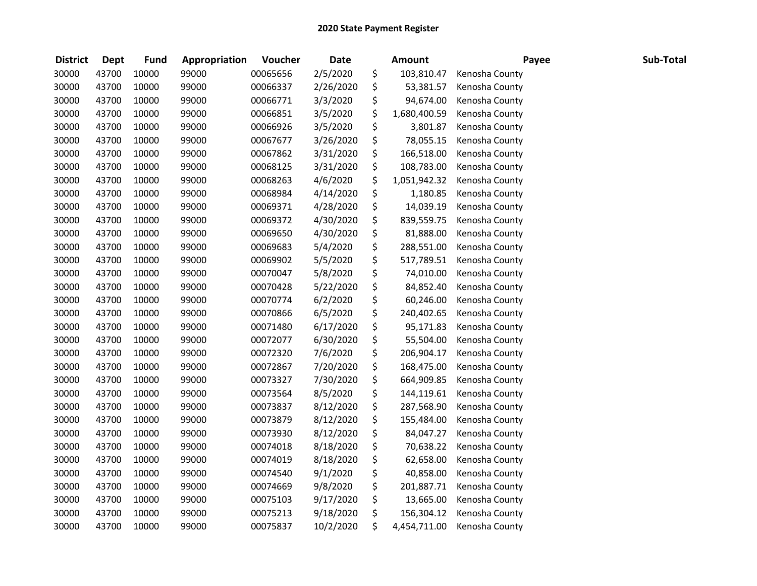| <b>District</b> | <b>Dept</b> | <b>Fund</b> | Appropriation | Voucher  | <b>Date</b> | <b>Amount</b>      | Payee          | Sub-Total |
|-----------------|-------------|-------------|---------------|----------|-------------|--------------------|----------------|-----------|
| 30000           | 43700       | 10000       | 99000         | 00065656 | 2/5/2020    | \$<br>103,810.47   | Kenosha County |           |
| 30000           | 43700       | 10000       | 99000         | 00066337 | 2/26/2020   | \$<br>53,381.57    | Kenosha County |           |
| 30000           | 43700       | 10000       | 99000         | 00066771 | 3/3/2020    | \$<br>94,674.00    | Kenosha County |           |
| 30000           | 43700       | 10000       | 99000         | 00066851 | 3/5/2020    | \$<br>1,680,400.59 | Kenosha County |           |
| 30000           | 43700       | 10000       | 99000         | 00066926 | 3/5/2020    | \$<br>3,801.87     | Kenosha County |           |
| 30000           | 43700       | 10000       | 99000         | 00067677 | 3/26/2020   | \$<br>78,055.15    | Kenosha County |           |
| 30000           | 43700       | 10000       | 99000         | 00067862 | 3/31/2020   | \$<br>166,518.00   | Kenosha County |           |
| 30000           | 43700       | 10000       | 99000         | 00068125 | 3/31/2020   | \$<br>108,783.00   | Kenosha County |           |
| 30000           | 43700       | 10000       | 99000         | 00068263 | 4/6/2020    | \$<br>1,051,942.32 | Kenosha County |           |
| 30000           | 43700       | 10000       | 99000         | 00068984 | 4/14/2020   | \$<br>1,180.85     | Kenosha County |           |
| 30000           | 43700       | 10000       | 99000         | 00069371 | 4/28/2020   | \$<br>14,039.19    | Kenosha County |           |
| 30000           | 43700       | 10000       | 99000         | 00069372 | 4/30/2020   | \$<br>839,559.75   | Kenosha County |           |
| 30000           | 43700       | 10000       | 99000         | 00069650 | 4/30/2020   | \$<br>81,888.00    | Kenosha County |           |
| 30000           | 43700       | 10000       | 99000         | 00069683 | 5/4/2020    | \$<br>288,551.00   | Kenosha County |           |
| 30000           | 43700       | 10000       | 99000         | 00069902 | 5/5/2020    | \$<br>517,789.51   | Kenosha County |           |
| 30000           | 43700       | 10000       | 99000         | 00070047 | 5/8/2020    | \$<br>74,010.00    | Kenosha County |           |
| 30000           | 43700       | 10000       | 99000         | 00070428 | 5/22/2020   | \$<br>84,852.40    | Kenosha County |           |
| 30000           | 43700       | 10000       | 99000         | 00070774 | 6/2/2020    | \$<br>60,246.00    | Kenosha County |           |
| 30000           | 43700       | 10000       | 99000         | 00070866 | 6/5/2020    | \$<br>240,402.65   | Kenosha County |           |
| 30000           | 43700       | 10000       | 99000         | 00071480 | 6/17/2020   | \$<br>95,171.83    | Kenosha County |           |
| 30000           | 43700       | 10000       | 99000         | 00072077 | 6/30/2020   | \$<br>55,504.00    | Kenosha County |           |
| 30000           | 43700       | 10000       | 99000         | 00072320 | 7/6/2020    | \$<br>206,904.17   | Kenosha County |           |
| 30000           | 43700       | 10000       | 99000         | 00072867 | 7/20/2020   | \$<br>168,475.00   | Kenosha County |           |
| 30000           | 43700       | 10000       | 99000         | 00073327 | 7/30/2020   | \$<br>664,909.85   | Kenosha County |           |
| 30000           | 43700       | 10000       | 99000         | 00073564 | 8/5/2020    | \$<br>144,119.61   | Kenosha County |           |
| 30000           | 43700       | 10000       | 99000         | 00073837 | 8/12/2020   | \$<br>287,568.90   | Kenosha County |           |
| 30000           | 43700       | 10000       | 99000         | 00073879 | 8/12/2020   | \$<br>155,484.00   | Kenosha County |           |
| 30000           | 43700       | 10000       | 99000         | 00073930 | 8/12/2020   | \$<br>84,047.27    | Kenosha County |           |
| 30000           | 43700       | 10000       | 99000         | 00074018 | 8/18/2020   | \$<br>70,638.22    | Kenosha County |           |
| 30000           | 43700       | 10000       | 99000         | 00074019 | 8/18/2020   | \$<br>62,658.00    | Kenosha County |           |
| 30000           | 43700       | 10000       | 99000         | 00074540 | 9/1/2020    | \$<br>40,858.00    | Kenosha County |           |
| 30000           | 43700       | 10000       | 99000         | 00074669 | 9/8/2020    | \$<br>201,887.71   | Kenosha County |           |
| 30000           | 43700       | 10000       | 99000         | 00075103 | 9/17/2020   | \$<br>13,665.00    | Kenosha County |           |
| 30000           | 43700       | 10000       | 99000         | 00075213 | 9/18/2020   | \$<br>156,304.12   | Kenosha County |           |
| 30000           | 43700       | 10000       | 99000         | 00075837 | 10/2/2020   | \$<br>4,454,711.00 | Kenosha County |           |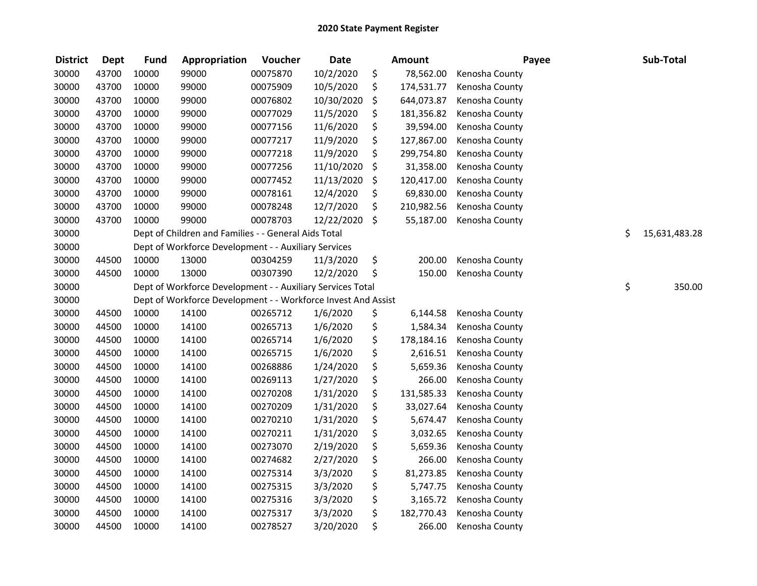| <b>District</b> | <b>Dept</b> | <b>Fund</b> | Appropriation                                                 | Voucher  | <b>Date</b> | <b>Amount</b>    | Payee          | Sub-Total           |
|-----------------|-------------|-------------|---------------------------------------------------------------|----------|-------------|------------------|----------------|---------------------|
| 30000           | 43700       | 10000       | 99000                                                         | 00075870 | 10/2/2020   | \$<br>78,562.00  | Kenosha County |                     |
| 30000           | 43700       | 10000       | 99000                                                         | 00075909 | 10/5/2020   | \$<br>174,531.77 | Kenosha County |                     |
| 30000           | 43700       | 10000       | 99000                                                         | 00076802 | 10/30/2020  | \$<br>644,073.87 | Kenosha County |                     |
| 30000           | 43700       | 10000       | 99000                                                         | 00077029 | 11/5/2020   | \$<br>181,356.82 | Kenosha County |                     |
| 30000           | 43700       | 10000       | 99000                                                         | 00077156 | 11/6/2020   | \$<br>39,594.00  | Kenosha County |                     |
| 30000           | 43700       | 10000       | 99000                                                         | 00077217 | 11/9/2020   | \$<br>127,867.00 | Kenosha County |                     |
| 30000           | 43700       | 10000       | 99000                                                         | 00077218 | 11/9/2020   | \$<br>299,754.80 | Kenosha County |                     |
| 30000           | 43700       | 10000       | 99000                                                         | 00077256 | 11/10/2020  | \$<br>31,358.00  | Kenosha County |                     |
| 30000           | 43700       | 10000       | 99000                                                         | 00077452 | 11/13/2020  | \$<br>120,417.00 | Kenosha County |                     |
| 30000           | 43700       | 10000       | 99000                                                         | 00078161 | 12/4/2020   | \$<br>69,830.00  | Kenosha County |                     |
| 30000           | 43700       | 10000       | 99000                                                         | 00078248 | 12/7/2020   | \$<br>210,982.56 | Kenosha County |                     |
| 30000           | 43700       | 10000       | 99000                                                         | 00078703 | 12/22/2020  | \$<br>55,187.00  | Kenosha County |                     |
| 30000           |             |             | Dept of Children and Families - - General Aids Total          |          |             |                  |                | \$<br>15,631,483.28 |
| 30000           |             |             | Dept of Workforce Development - - Auxiliary Services          |          |             |                  |                |                     |
| 30000           | 44500       | 10000       | 13000                                                         | 00304259 | 11/3/2020   | \$<br>200.00     | Kenosha County |                     |
| 30000           | 44500       | 10000       | 13000                                                         | 00307390 | 12/2/2020   | \$<br>150.00     | Kenosha County |                     |
| 30000           |             |             | Dept of Workforce Development - - Auxiliary Services Total    |          |             |                  |                | \$<br>350.00        |
| 30000           |             |             | Dept of Workforce Development - - Workforce Invest And Assist |          |             |                  |                |                     |
| 30000           | 44500       | 10000       | 14100                                                         | 00265712 | 1/6/2020    | \$<br>6,144.58   | Kenosha County |                     |
| 30000           | 44500       | 10000       | 14100                                                         | 00265713 | 1/6/2020    | \$<br>1,584.34   | Kenosha County |                     |
| 30000           | 44500       | 10000       | 14100                                                         | 00265714 | 1/6/2020    | \$<br>178,184.16 | Kenosha County |                     |
| 30000           | 44500       | 10000       | 14100                                                         | 00265715 | 1/6/2020    | \$<br>2,616.51   | Kenosha County |                     |
| 30000           | 44500       | 10000       | 14100                                                         | 00268886 | 1/24/2020   | \$<br>5,659.36   | Kenosha County |                     |
| 30000           | 44500       | 10000       | 14100                                                         | 00269113 | 1/27/2020   | \$<br>266.00     | Kenosha County |                     |
| 30000           | 44500       | 10000       | 14100                                                         | 00270208 | 1/31/2020   | \$<br>131,585.33 | Kenosha County |                     |
| 30000           | 44500       | 10000       | 14100                                                         | 00270209 | 1/31/2020   | \$<br>33,027.64  | Kenosha County |                     |
| 30000           | 44500       | 10000       | 14100                                                         | 00270210 | 1/31/2020   | \$<br>5,674.47   | Kenosha County |                     |
| 30000           | 44500       | 10000       | 14100                                                         | 00270211 | 1/31/2020   | \$<br>3,032.65   | Kenosha County |                     |
| 30000           | 44500       | 10000       | 14100                                                         | 00273070 | 2/19/2020   | \$<br>5,659.36   | Kenosha County |                     |
| 30000           | 44500       | 10000       | 14100                                                         | 00274682 | 2/27/2020   | \$<br>266.00     | Kenosha County |                     |
| 30000           | 44500       | 10000       | 14100                                                         | 00275314 | 3/3/2020    | \$<br>81,273.85  | Kenosha County |                     |
| 30000           | 44500       | 10000       | 14100                                                         | 00275315 | 3/3/2020    | \$<br>5,747.75   | Kenosha County |                     |
| 30000           | 44500       | 10000       | 14100                                                         | 00275316 | 3/3/2020    | \$<br>3,165.72   | Kenosha County |                     |
| 30000           | 44500       | 10000       | 14100                                                         | 00275317 | 3/3/2020    | \$<br>182,770.43 | Kenosha County |                     |
| 30000           | 44500       | 10000       | 14100                                                         | 00278527 | 3/20/2020   | \$<br>266.00     | Kenosha County |                     |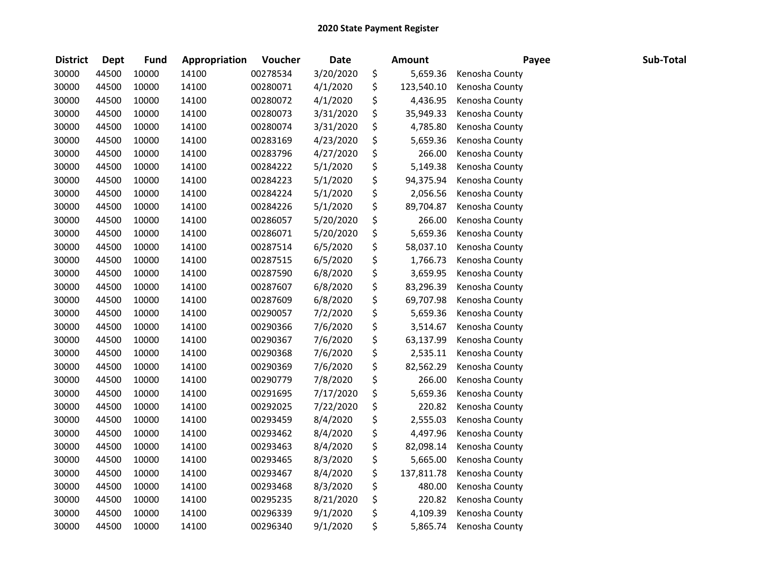| <b>District</b> | <b>Dept</b> | <b>Fund</b> | Appropriation | Voucher  | <b>Date</b> | <b>Amount</b>    | Payee          | Sub-Total |
|-----------------|-------------|-------------|---------------|----------|-------------|------------------|----------------|-----------|
| 30000           | 44500       | 10000       | 14100         | 00278534 | 3/20/2020   | \$<br>5,659.36   | Kenosha County |           |
| 30000           | 44500       | 10000       | 14100         | 00280071 | 4/1/2020    | \$<br>123,540.10 | Kenosha County |           |
| 30000           | 44500       | 10000       | 14100         | 00280072 | 4/1/2020    | \$<br>4,436.95   | Kenosha County |           |
| 30000           | 44500       | 10000       | 14100         | 00280073 | 3/31/2020   | \$<br>35,949.33  | Kenosha County |           |
| 30000           | 44500       | 10000       | 14100         | 00280074 | 3/31/2020   | \$<br>4,785.80   | Kenosha County |           |
| 30000           | 44500       | 10000       | 14100         | 00283169 | 4/23/2020   | \$<br>5,659.36   | Kenosha County |           |
| 30000           | 44500       | 10000       | 14100         | 00283796 | 4/27/2020   | \$<br>266.00     | Kenosha County |           |
| 30000           | 44500       | 10000       | 14100         | 00284222 | 5/1/2020    | \$<br>5,149.38   | Kenosha County |           |
| 30000           | 44500       | 10000       | 14100         | 00284223 | 5/1/2020    | \$<br>94,375.94  | Kenosha County |           |
| 30000           | 44500       | 10000       | 14100         | 00284224 | 5/1/2020    | \$<br>2,056.56   | Kenosha County |           |
| 30000           | 44500       | 10000       | 14100         | 00284226 | 5/1/2020    | \$<br>89,704.87  | Kenosha County |           |
| 30000           | 44500       | 10000       | 14100         | 00286057 | 5/20/2020   | \$<br>266.00     | Kenosha County |           |
| 30000           | 44500       | 10000       | 14100         | 00286071 | 5/20/2020   | \$<br>5,659.36   | Kenosha County |           |
| 30000           | 44500       | 10000       | 14100         | 00287514 | 6/5/2020    | \$<br>58,037.10  | Kenosha County |           |
| 30000           | 44500       | 10000       | 14100         | 00287515 | 6/5/2020    | \$<br>1,766.73   | Kenosha County |           |
| 30000           | 44500       | 10000       | 14100         | 00287590 | 6/8/2020    | \$<br>3,659.95   | Kenosha County |           |
| 30000           | 44500       | 10000       | 14100         | 00287607 | 6/8/2020    | \$<br>83,296.39  | Kenosha County |           |
| 30000           | 44500       | 10000       | 14100         | 00287609 | 6/8/2020    | \$<br>69,707.98  | Kenosha County |           |
| 30000           | 44500       | 10000       | 14100         | 00290057 | 7/2/2020    | \$<br>5,659.36   | Kenosha County |           |
| 30000           | 44500       | 10000       | 14100         | 00290366 | 7/6/2020    | \$<br>3,514.67   | Kenosha County |           |
| 30000           | 44500       | 10000       | 14100         | 00290367 | 7/6/2020    | \$<br>63,137.99  | Kenosha County |           |
| 30000           | 44500       | 10000       | 14100         | 00290368 | 7/6/2020    | \$<br>2,535.11   | Kenosha County |           |
| 30000           | 44500       | 10000       | 14100         | 00290369 | 7/6/2020    | \$<br>82,562.29  | Kenosha County |           |
| 30000           | 44500       | 10000       | 14100         | 00290779 | 7/8/2020    | \$<br>266.00     | Kenosha County |           |
| 30000           | 44500       | 10000       | 14100         | 00291695 | 7/17/2020   | \$<br>5,659.36   | Kenosha County |           |
| 30000           | 44500       | 10000       | 14100         | 00292025 | 7/22/2020   | \$<br>220.82     | Kenosha County |           |
| 30000           | 44500       | 10000       | 14100         | 00293459 | 8/4/2020    | \$<br>2,555.03   | Kenosha County |           |
| 30000           | 44500       | 10000       | 14100         | 00293462 | 8/4/2020    | \$<br>4,497.96   | Kenosha County |           |
| 30000           | 44500       | 10000       | 14100         | 00293463 | 8/4/2020    | \$<br>82,098.14  | Kenosha County |           |
| 30000           | 44500       | 10000       | 14100         | 00293465 | 8/3/2020    | \$<br>5,665.00   | Kenosha County |           |
| 30000           | 44500       | 10000       | 14100         | 00293467 | 8/4/2020    | \$<br>137,811.78 | Kenosha County |           |
| 30000           | 44500       | 10000       | 14100         | 00293468 | 8/3/2020    | \$<br>480.00     | Kenosha County |           |
| 30000           | 44500       | 10000       | 14100         | 00295235 | 8/21/2020   | \$<br>220.82     | Kenosha County |           |
| 30000           | 44500       | 10000       | 14100         | 00296339 | 9/1/2020    | \$<br>4,109.39   | Kenosha County |           |
| 30000           | 44500       | 10000       | 14100         | 00296340 | 9/1/2020    | \$<br>5,865.74   | Kenosha County |           |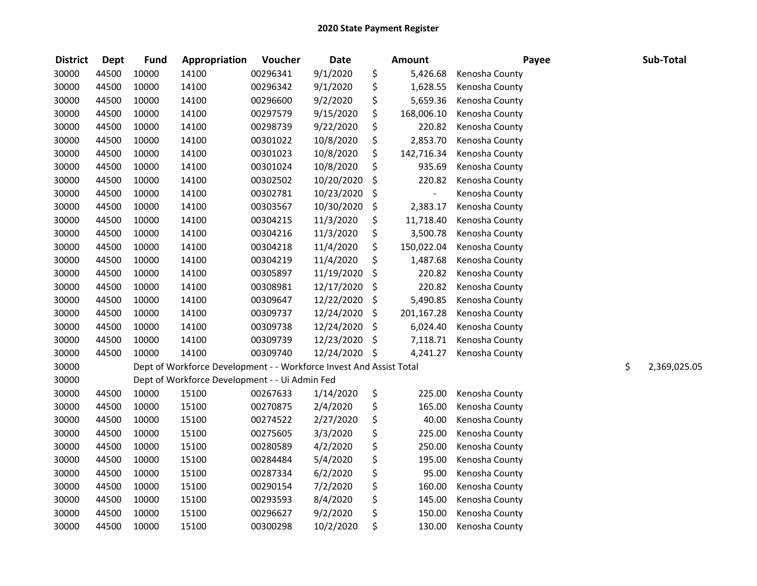| <b>District</b> | <b>Dept</b> | <b>Fund</b> | Appropriation                                                       | Voucher  | <b>Date</b> | <b>Amount</b>        | Payee          | Sub-Total          |
|-----------------|-------------|-------------|---------------------------------------------------------------------|----------|-------------|----------------------|----------------|--------------------|
| 30000           | 44500       | 10000       | 14100                                                               | 00296341 | 9/1/2020    | \$<br>5,426.68       | Kenosha County |                    |
| 30000           | 44500       | 10000       | 14100                                                               | 00296342 | 9/1/2020    | \$<br>1,628.55       | Kenosha County |                    |
| 30000           | 44500       | 10000       | 14100                                                               | 00296600 | 9/2/2020    | \$<br>5,659.36       | Kenosha County |                    |
| 30000           | 44500       | 10000       | 14100                                                               | 00297579 | 9/15/2020   | \$<br>168,006.10     | Kenosha County |                    |
| 30000           | 44500       | 10000       | 14100                                                               | 00298739 | 9/22/2020   | \$<br>220.82         | Kenosha County |                    |
| 30000           | 44500       | 10000       | 14100                                                               | 00301022 | 10/8/2020   | \$<br>2,853.70       | Kenosha County |                    |
| 30000           | 44500       | 10000       | 14100                                                               | 00301023 | 10/8/2020   | \$<br>142,716.34     | Kenosha County |                    |
| 30000           | 44500       | 10000       | 14100                                                               | 00301024 | 10/8/2020   | \$<br>935.69         | Kenosha County |                    |
| 30000           | 44500       | 10000       | 14100                                                               | 00302502 | 10/20/2020  | \$<br>220.82         | Kenosha County |                    |
| 30000           | 44500       | 10000       | 14100                                                               | 00302781 | 10/23/2020  | \$<br>$\overline{a}$ | Kenosha County |                    |
| 30000           | 44500       | 10000       | 14100                                                               | 00303567 | 10/30/2020  | \$<br>2,383.17       | Kenosha County |                    |
| 30000           | 44500       | 10000       | 14100                                                               | 00304215 | 11/3/2020   | \$<br>11,718.40      | Kenosha County |                    |
| 30000           | 44500       | 10000       | 14100                                                               | 00304216 | 11/3/2020   | \$<br>3,500.78       | Kenosha County |                    |
| 30000           | 44500       | 10000       | 14100                                                               | 00304218 | 11/4/2020   | \$<br>150,022.04     | Kenosha County |                    |
| 30000           | 44500       | 10000       | 14100                                                               | 00304219 | 11/4/2020   | \$<br>1,487.68       | Kenosha County |                    |
| 30000           | 44500       | 10000       | 14100                                                               | 00305897 | 11/19/2020  | \$<br>220.82         | Kenosha County |                    |
| 30000           | 44500       | 10000       | 14100                                                               | 00308981 | 12/17/2020  | \$<br>220.82         | Kenosha County |                    |
| 30000           | 44500       | 10000       | 14100                                                               | 00309647 | 12/22/2020  | \$<br>5,490.85       | Kenosha County |                    |
| 30000           | 44500       | 10000       | 14100                                                               | 00309737 | 12/24/2020  | \$<br>201,167.28     | Kenosha County |                    |
| 30000           | 44500       | 10000       | 14100                                                               | 00309738 | 12/24/2020  | \$<br>6,024.40       | Kenosha County |                    |
| 30000           | 44500       | 10000       | 14100                                                               | 00309739 | 12/23/2020  | \$<br>7,118.71       | Kenosha County |                    |
| 30000           | 44500       | 10000       | 14100                                                               | 00309740 | 12/24/2020  | \$<br>4,241.27       | Kenosha County |                    |
| 30000           |             |             | Dept of Workforce Development - - Workforce Invest And Assist Total |          |             |                      |                | \$<br>2,369,025.05 |
| 30000           |             |             | Dept of Workforce Development - - Ui Admin Fed                      |          |             |                      |                |                    |
| 30000           | 44500       | 10000       | 15100                                                               | 00267633 | 1/14/2020   | \$<br>225.00         | Kenosha County |                    |
| 30000           | 44500       | 10000       | 15100                                                               | 00270875 | 2/4/2020    | \$<br>165.00         | Kenosha County |                    |
| 30000           | 44500       | 10000       | 15100                                                               | 00274522 | 2/27/2020   | \$<br>40.00          | Kenosha County |                    |
| 30000           | 44500       | 10000       | 15100                                                               | 00275605 | 3/3/2020    | \$<br>225.00         | Kenosha County |                    |
| 30000           | 44500       | 10000       | 15100                                                               | 00280589 | 4/2/2020    | \$<br>250.00         | Kenosha County |                    |
| 30000           | 44500       | 10000       | 15100                                                               | 00284484 | 5/4/2020    | \$<br>195.00         | Kenosha County |                    |
| 30000           | 44500       | 10000       | 15100                                                               | 00287334 | 6/2/2020    | \$<br>95.00          | Kenosha County |                    |
| 30000           | 44500       | 10000       | 15100                                                               | 00290154 | 7/2/2020    | \$<br>160.00         | Kenosha County |                    |
| 30000           | 44500       | 10000       | 15100                                                               | 00293593 | 8/4/2020    | \$<br>145.00         | Kenosha County |                    |
| 30000           | 44500       | 10000       | 15100                                                               | 00296627 | 9/2/2020    | \$<br>150.00         | Kenosha County |                    |
| 30000           | 44500       | 10000       | 15100                                                               | 00300298 | 10/2/2020   | \$<br>130.00         | Kenosha County |                    |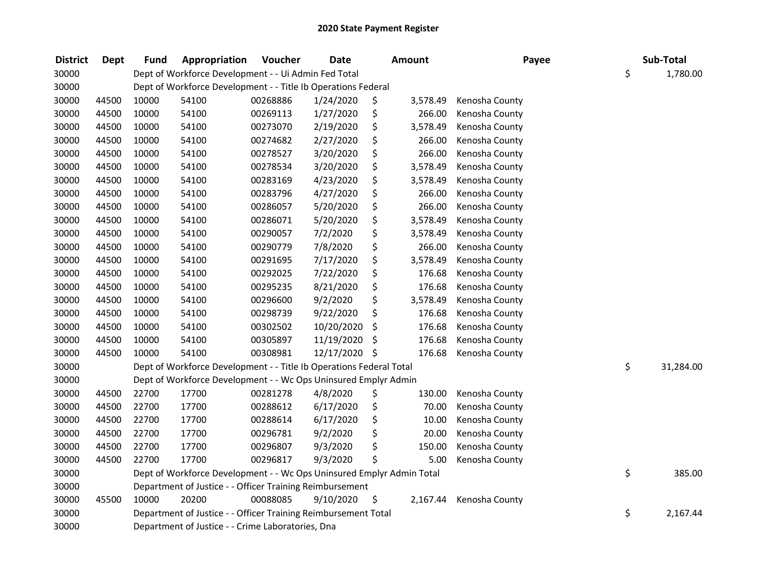| <b>District</b> | <b>Dept</b> | <b>Fund</b> | Appropriation                                                         | Voucher  | <b>Date</b> |    | Amount   | Payee          | Sub-Total       |
|-----------------|-------------|-------------|-----------------------------------------------------------------------|----------|-------------|----|----------|----------------|-----------------|
| 30000           |             |             | Dept of Workforce Development - - Ui Admin Fed Total                  |          |             |    |          |                | \$<br>1,780.00  |
| 30000           |             |             | Dept of Workforce Development - - Title Ib Operations Federal         |          |             |    |          |                |                 |
| 30000           | 44500       | 10000       | 54100                                                                 | 00268886 | 1/24/2020   | \$ | 3,578.49 | Kenosha County |                 |
| 30000           | 44500       | 10000       | 54100                                                                 | 00269113 | 1/27/2020   | \$ | 266.00   | Kenosha County |                 |
| 30000           | 44500       | 10000       | 54100                                                                 | 00273070 | 2/19/2020   | \$ | 3,578.49 | Kenosha County |                 |
| 30000           | 44500       | 10000       | 54100                                                                 | 00274682 | 2/27/2020   | \$ | 266.00   | Kenosha County |                 |
| 30000           | 44500       | 10000       | 54100                                                                 | 00278527 | 3/20/2020   | \$ | 266.00   | Kenosha County |                 |
| 30000           | 44500       | 10000       | 54100                                                                 | 00278534 | 3/20/2020   | \$ | 3,578.49 | Kenosha County |                 |
| 30000           | 44500       | 10000       | 54100                                                                 | 00283169 | 4/23/2020   | \$ | 3,578.49 | Kenosha County |                 |
| 30000           | 44500       | 10000       | 54100                                                                 | 00283796 | 4/27/2020   | \$ | 266.00   | Kenosha County |                 |
| 30000           | 44500       | 10000       | 54100                                                                 | 00286057 | 5/20/2020   | \$ | 266.00   | Kenosha County |                 |
| 30000           | 44500       | 10000       | 54100                                                                 | 00286071 | 5/20/2020   | \$ | 3,578.49 | Kenosha County |                 |
| 30000           | 44500       | 10000       | 54100                                                                 | 00290057 | 7/2/2020    | \$ | 3,578.49 | Kenosha County |                 |
| 30000           | 44500       | 10000       | 54100                                                                 | 00290779 | 7/8/2020    | \$ | 266.00   | Kenosha County |                 |
| 30000           | 44500       | 10000       | 54100                                                                 | 00291695 | 7/17/2020   | \$ | 3,578.49 | Kenosha County |                 |
| 30000           | 44500       | 10000       | 54100                                                                 | 00292025 | 7/22/2020   | \$ | 176.68   | Kenosha County |                 |
| 30000           | 44500       | 10000       | 54100                                                                 | 00295235 | 8/21/2020   | \$ | 176.68   | Kenosha County |                 |
| 30000           | 44500       | 10000       | 54100                                                                 | 00296600 | 9/2/2020    | \$ | 3,578.49 | Kenosha County |                 |
| 30000           | 44500       | 10000       | 54100                                                                 | 00298739 | 9/22/2020   | \$ | 176.68   | Kenosha County |                 |
| 30000           | 44500       | 10000       | 54100                                                                 | 00302502 | 10/20/2020  | \$ | 176.68   | Kenosha County |                 |
| 30000           | 44500       | 10000       | 54100                                                                 | 00305897 | 11/19/2020  | \$ | 176.68   | Kenosha County |                 |
| 30000           | 44500       | 10000       | 54100                                                                 | 00308981 | 12/17/2020  | \$ | 176.68   | Kenosha County |                 |
| 30000           |             |             | Dept of Workforce Development - - Title Ib Operations Federal Total   |          |             |    |          |                | \$<br>31,284.00 |
| 30000           |             |             | Dept of Workforce Development - - Wc Ops Uninsured Emplyr Admin       |          |             |    |          |                |                 |
| 30000           | 44500       | 22700       | 17700                                                                 | 00281278 | 4/8/2020    | Ş  | 130.00   | Kenosha County |                 |
| 30000           | 44500       | 22700       | 17700                                                                 | 00288612 | 6/17/2020   | \$ | 70.00    | Kenosha County |                 |
| 30000           | 44500       | 22700       | 17700                                                                 | 00288614 | 6/17/2020   | \$ | 10.00    | Kenosha County |                 |
| 30000           | 44500       | 22700       | 17700                                                                 | 00296781 | 9/2/2020    | \$ | 20.00    | Kenosha County |                 |
| 30000           | 44500       | 22700       | 17700                                                                 | 00296807 | 9/3/2020    | \$ | 150.00   | Kenosha County |                 |
| 30000           | 44500       | 22700       | 17700                                                                 | 00296817 | 9/3/2020    | \$ | 5.00     | Kenosha County |                 |
| 30000           |             |             | Dept of Workforce Development - - Wc Ops Uninsured Emplyr Admin Total |          |             |    |          |                | \$<br>385.00    |
| 30000           |             |             | Department of Justice - - Officer Training Reimbursement              |          |             |    |          |                |                 |
| 30000           | 45500       | 10000       | 20200                                                                 | 00088085 | 9/10/2020   | \$ | 2,167.44 | Kenosha County |                 |
| 30000           |             |             | Department of Justice - - Officer Training Reimbursement Total        |          |             |    |          |                | \$<br>2,167.44  |
| 30000           |             |             | Department of Justice - - Crime Laboratories, Dna                     |          |             |    |          |                |                 |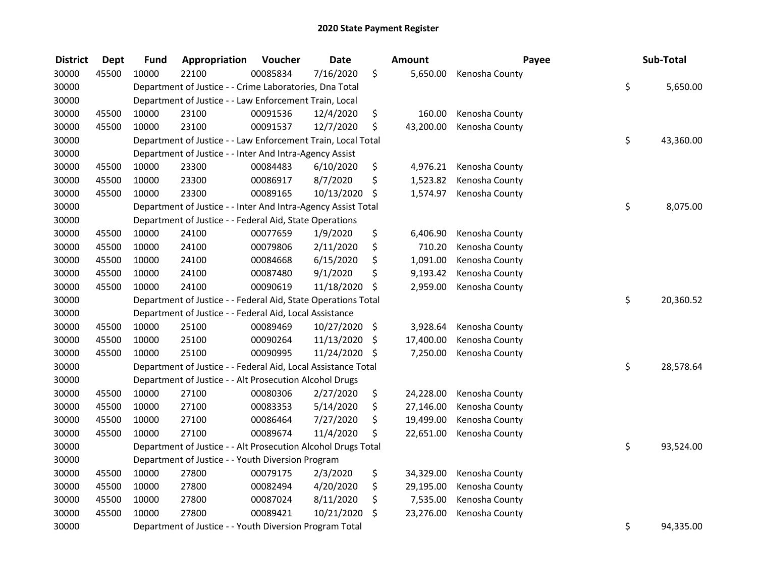| <b>District</b> | <b>Dept</b> | <b>Fund</b> | Appropriation                                                 | Voucher  | <b>Date</b> | Amount          | Payee          | Sub-Total       |
|-----------------|-------------|-------------|---------------------------------------------------------------|----------|-------------|-----------------|----------------|-----------------|
| 30000           | 45500       | 10000       | 22100                                                         | 00085834 | 7/16/2020   | \$<br>5,650.00  | Kenosha County |                 |
| 30000           |             |             | Department of Justice - - Crime Laboratories, Dna Total       |          |             |                 |                | \$<br>5,650.00  |
| 30000           |             |             | Department of Justice - - Law Enforcement Train, Local        |          |             |                 |                |                 |
| 30000           | 45500       | 10000       | 23100                                                         | 00091536 | 12/4/2020   | \$<br>160.00    | Kenosha County |                 |
| 30000           | 45500       | 10000       | 23100                                                         | 00091537 | 12/7/2020   | \$<br>43,200.00 | Kenosha County |                 |
| 30000           |             |             | Department of Justice - - Law Enforcement Train, Local Total  |          |             |                 |                | \$<br>43,360.00 |
| 30000           |             |             | Department of Justice - - Inter And Intra-Agency Assist       |          |             |                 |                |                 |
| 30000           | 45500       | 10000       | 23300                                                         | 00084483 | 6/10/2020   | \$<br>4,976.21  | Kenosha County |                 |
| 30000           | 45500       | 10000       | 23300                                                         | 00086917 | 8/7/2020    | \$<br>1,523.82  | Kenosha County |                 |
| 30000           | 45500       | 10000       | 23300                                                         | 00089165 | 10/13/2020  | \$<br>1,574.97  | Kenosha County |                 |
| 30000           |             |             | Department of Justice - - Inter And Intra-Agency Assist Total |          |             |                 |                | \$<br>8,075.00  |
| 30000           |             |             | Department of Justice - - Federal Aid, State Operations       |          |             |                 |                |                 |
| 30000           | 45500       | 10000       | 24100                                                         | 00077659 | 1/9/2020    | \$<br>6,406.90  | Kenosha County |                 |
| 30000           | 45500       | 10000       | 24100                                                         | 00079806 | 2/11/2020   | \$<br>710.20    | Kenosha County |                 |
| 30000           | 45500       | 10000       | 24100                                                         | 00084668 | 6/15/2020   | \$<br>1,091.00  | Kenosha County |                 |
| 30000           | 45500       | 10000       | 24100                                                         | 00087480 | 9/1/2020    | \$<br>9,193.42  | Kenosha County |                 |
| 30000           | 45500       | 10000       | 24100                                                         | 00090619 | 11/18/2020  | \$<br>2,959.00  | Kenosha County |                 |
| 30000           |             |             | Department of Justice - - Federal Aid, State Operations Total |          |             |                 |                | \$<br>20,360.52 |
| 30000           |             |             | Department of Justice - - Federal Aid, Local Assistance       |          |             |                 |                |                 |
| 30000           | 45500       | 10000       | 25100                                                         | 00089469 | 10/27/2020  | \$<br>3,928.64  | Kenosha County |                 |
| 30000           | 45500       | 10000       | 25100                                                         | 00090264 | 11/13/2020  | \$<br>17,400.00 | Kenosha County |                 |
| 30000           | 45500       | 10000       | 25100                                                         | 00090995 | 11/24/2020  | \$<br>7,250.00  | Kenosha County |                 |
| 30000           |             |             | Department of Justice - - Federal Aid, Local Assistance Total |          |             |                 |                | \$<br>28,578.64 |
| 30000           |             |             | Department of Justice - - Alt Prosecution Alcohol Drugs       |          |             |                 |                |                 |
| 30000           | 45500       | 10000       | 27100                                                         | 00080306 | 2/27/2020   | \$<br>24,228.00 | Kenosha County |                 |
| 30000           | 45500       | 10000       | 27100                                                         | 00083353 | 5/14/2020   | \$<br>27,146.00 | Kenosha County |                 |
| 30000           | 45500       | 10000       | 27100                                                         | 00086464 | 7/27/2020   | \$<br>19,499.00 | Kenosha County |                 |
| 30000           | 45500       | 10000       | 27100                                                         | 00089674 | 11/4/2020   | \$<br>22,651.00 | Kenosha County |                 |
| 30000           |             |             | Department of Justice - - Alt Prosecution Alcohol Drugs Total |          |             |                 |                | \$<br>93,524.00 |
| 30000           |             |             | Department of Justice - - Youth Diversion Program             |          |             |                 |                |                 |
| 30000           | 45500       | 10000       | 27800                                                         | 00079175 | 2/3/2020    | \$<br>34,329.00 | Kenosha County |                 |
| 30000           | 45500       | 10000       | 27800                                                         | 00082494 | 4/20/2020   | \$<br>29,195.00 | Kenosha County |                 |
| 30000           | 45500       | 10000       | 27800                                                         | 00087024 | 8/11/2020   | \$<br>7,535.00  | Kenosha County |                 |
| 30000           | 45500       | 10000       | 27800                                                         | 00089421 | 10/21/2020  | \$<br>23,276.00 | Kenosha County |                 |
| 30000           |             |             | Department of Justice - - Youth Diversion Program Total       |          |             |                 |                | \$<br>94,335.00 |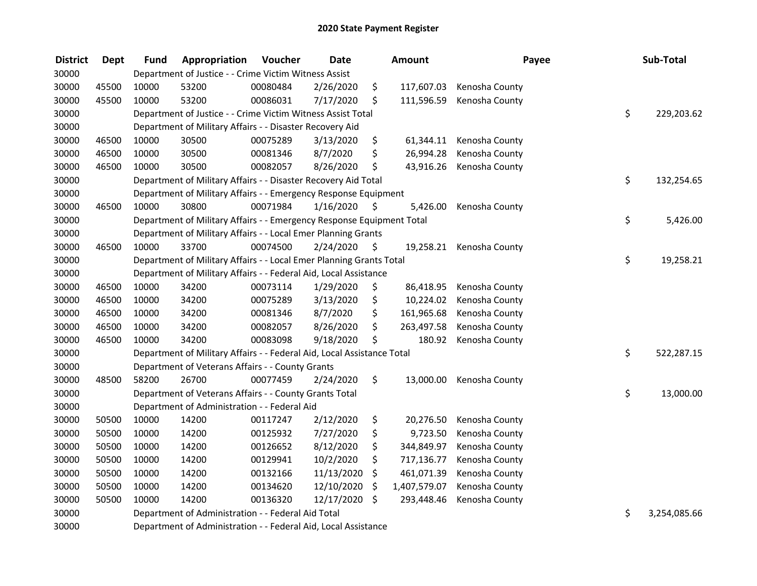| <b>District</b> | <b>Dept</b> | <b>Fund</b> | Appropriation                                                          | Voucher  | <b>Date</b> |     | <b>Amount</b> | Payee          | Sub-Total          |
|-----------------|-------------|-------------|------------------------------------------------------------------------|----------|-------------|-----|---------------|----------------|--------------------|
| 30000           |             |             | Department of Justice - - Crime Victim Witness Assist                  |          |             |     |               |                |                    |
| 30000           | 45500       | 10000       | 53200                                                                  | 00080484 | 2/26/2020   | \$  | 117,607.03    | Kenosha County |                    |
| 30000           | 45500       | 10000       | 53200                                                                  | 00086031 | 7/17/2020   | \$  | 111,596.59    | Kenosha County |                    |
| 30000           |             |             | Department of Justice - - Crime Victim Witness Assist Total            |          |             |     |               |                | \$<br>229,203.62   |
| 30000           |             |             | Department of Military Affairs - - Disaster Recovery Aid               |          |             |     |               |                |                    |
| 30000           | 46500       | 10000       | 30500                                                                  | 00075289 | 3/13/2020   | \$  | 61,344.11     | Kenosha County |                    |
| 30000           | 46500       | 10000       | 30500                                                                  | 00081346 | 8/7/2020    | \$  | 26,994.28     | Kenosha County |                    |
| 30000           | 46500       | 10000       | 30500                                                                  | 00082057 | 8/26/2020   | \$  | 43,916.26     | Kenosha County |                    |
| 30000           |             |             | Department of Military Affairs - - Disaster Recovery Aid Total         |          |             |     |               |                | \$<br>132,254.65   |
| 30000           |             |             | Department of Military Affairs - - Emergency Response Equipment        |          |             |     |               |                |                    |
| 30000           | 46500       | 10000       | 30800                                                                  | 00071984 | 1/16/2020   | \$  | 5,426.00      | Kenosha County |                    |
| 30000           |             |             | Department of Military Affairs - - Emergency Response Equipment Total  |          |             |     |               |                | \$<br>5,426.00     |
| 30000           |             |             | Department of Military Affairs - - Local Emer Planning Grants          |          |             |     |               |                |                    |
| 30000           | 46500       | 10000       | 33700                                                                  | 00074500 | 2/24/2020   | \$. | 19,258.21     | Kenosha County |                    |
| 30000           |             |             | Department of Military Affairs - - Local Emer Planning Grants Total    |          |             |     |               |                | \$<br>19,258.21    |
| 30000           |             |             | Department of Military Affairs - - Federal Aid, Local Assistance       |          |             |     |               |                |                    |
| 30000           | 46500       | 10000       | 34200                                                                  | 00073114 | 1/29/2020   | \$  | 86,418.95     | Kenosha County |                    |
| 30000           | 46500       | 10000       | 34200                                                                  | 00075289 | 3/13/2020   | \$  | 10,224.02     | Kenosha County |                    |
| 30000           | 46500       | 10000       | 34200                                                                  | 00081346 | 8/7/2020    | \$  | 161,965.68    | Kenosha County |                    |
| 30000           | 46500       | 10000       | 34200                                                                  | 00082057 | 8/26/2020   | \$  | 263,497.58    | Kenosha County |                    |
| 30000           | 46500       | 10000       | 34200                                                                  | 00083098 | 9/18/2020   | \$  | 180.92        | Kenosha County |                    |
| 30000           |             |             | Department of Military Affairs - - Federal Aid, Local Assistance Total |          |             |     |               |                | \$<br>522,287.15   |
| 30000           |             |             | Department of Veterans Affairs - - County Grants                       |          |             |     |               |                |                    |
| 30000           | 48500       | 58200       | 26700                                                                  | 00077459 | 2/24/2020   | \$  | 13,000.00     | Kenosha County |                    |
| 30000           |             |             | Department of Veterans Affairs - - County Grants Total                 |          |             |     |               |                | \$<br>13,000.00    |
| 30000           |             |             | Department of Administration - - Federal Aid                           |          |             |     |               |                |                    |
| 30000           | 50500       | 10000       | 14200                                                                  | 00117247 | 2/12/2020   | \$  | 20,276.50     | Kenosha County |                    |
| 30000           | 50500       | 10000       | 14200                                                                  | 00125932 | 7/27/2020   | \$  | 9,723.50      | Kenosha County |                    |
| 30000           | 50500       | 10000       | 14200                                                                  | 00126652 | 8/12/2020   | \$  | 344,849.97    | Kenosha County |                    |
| 30000           | 50500       | 10000       | 14200                                                                  | 00129941 | 10/2/2020   | \$  | 717,136.77    | Kenosha County |                    |
| 30000           | 50500       | 10000       | 14200                                                                  | 00132166 | 11/13/2020  | \$  | 461,071.39    | Kenosha County |                    |
| 30000           | 50500       | 10000       | 14200                                                                  | 00134620 | 12/10/2020  | \$  | 1,407,579.07  | Kenosha County |                    |
| 30000           | 50500       | 10000       | 14200                                                                  | 00136320 | 12/17/2020  | \$  | 293,448.46    | Kenosha County |                    |
| 30000           |             |             | Department of Administration - - Federal Aid Total                     |          |             |     |               |                | \$<br>3,254,085.66 |
| 30000           |             |             | Department of Administration - - Federal Aid, Local Assistance         |          |             |     |               |                |                    |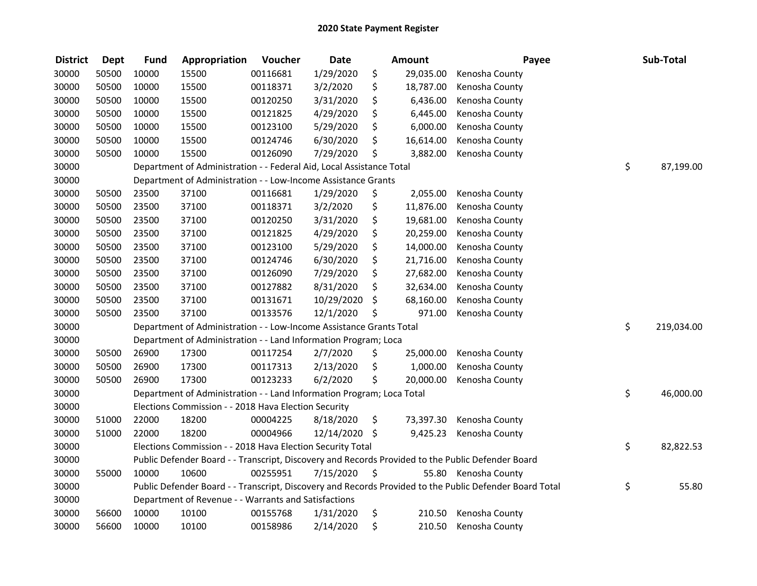| <b>District</b> | <b>Dept</b> | <b>Fund</b> | Appropriation                                                         | Voucher  | <b>Date</b>   |                     | <b>Amount</b> | Payee                                                                                                   | Sub-Total        |
|-----------------|-------------|-------------|-----------------------------------------------------------------------|----------|---------------|---------------------|---------------|---------------------------------------------------------------------------------------------------------|------------------|
| 30000           | 50500       | 10000       | 15500                                                                 | 00116681 | 1/29/2020     | \$                  | 29,035.00     | Kenosha County                                                                                          |                  |
| 30000           | 50500       | 10000       | 15500                                                                 | 00118371 | 3/2/2020      | \$                  | 18,787.00     | Kenosha County                                                                                          |                  |
| 30000           | 50500       | 10000       | 15500                                                                 | 00120250 | 3/31/2020     | \$                  | 6,436.00      | Kenosha County                                                                                          |                  |
| 30000           | 50500       | 10000       | 15500                                                                 | 00121825 | 4/29/2020     | \$                  | 6,445.00      | Kenosha County                                                                                          |                  |
| 30000           | 50500       | 10000       | 15500                                                                 | 00123100 | 5/29/2020     | \$                  | 6,000.00      | Kenosha County                                                                                          |                  |
| 30000           | 50500       | 10000       | 15500                                                                 | 00124746 | 6/30/2020     | \$                  | 16,614.00     | Kenosha County                                                                                          |                  |
| 30000           | 50500       | 10000       | 15500                                                                 | 00126090 | 7/29/2020     | \$                  | 3,882.00      | Kenosha County                                                                                          |                  |
| 30000           |             |             | Department of Administration - - Federal Aid, Local Assistance Total  |          |               |                     |               |                                                                                                         | \$<br>87,199.00  |
| 30000           |             |             | Department of Administration - - Low-Income Assistance Grants         |          |               |                     |               |                                                                                                         |                  |
| 30000           | 50500       | 23500       | 37100                                                                 | 00116681 | 1/29/2020     | \$                  | 2,055.00      | Kenosha County                                                                                          |                  |
| 30000           | 50500       | 23500       | 37100                                                                 | 00118371 | 3/2/2020      | \$                  | 11,876.00     | Kenosha County                                                                                          |                  |
| 30000           | 50500       | 23500       | 37100                                                                 | 00120250 | 3/31/2020     | \$                  | 19,681.00     | Kenosha County                                                                                          |                  |
| 30000           | 50500       | 23500       | 37100                                                                 | 00121825 | 4/29/2020     | \$                  | 20,259.00     | Kenosha County                                                                                          |                  |
| 30000           | 50500       | 23500       | 37100                                                                 | 00123100 | 5/29/2020     | \$                  | 14,000.00     | Kenosha County                                                                                          |                  |
| 30000           | 50500       | 23500       | 37100                                                                 | 00124746 | 6/30/2020     | \$                  | 21,716.00     | Kenosha County                                                                                          |                  |
| 30000           | 50500       | 23500       | 37100                                                                 | 00126090 | 7/29/2020     | \$                  | 27,682.00     | Kenosha County                                                                                          |                  |
| 30000           | 50500       | 23500       | 37100                                                                 | 00127882 | 8/31/2020     | \$                  | 32,634.00     | Kenosha County                                                                                          |                  |
| 30000           | 50500       | 23500       | 37100                                                                 | 00131671 | 10/29/2020    | \$                  | 68,160.00     | Kenosha County                                                                                          |                  |
| 30000           | 50500       | 23500       | 37100                                                                 | 00133576 | 12/1/2020     | \$                  | 971.00        | Kenosha County                                                                                          |                  |
| 30000           |             |             | Department of Administration - - Low-Income Assistance Grants Total   |          |               |                     |               |                                                                                                         | \$<br>219,034.00 |
| 30000           |             |             | Department of Administration - - Land Information Program; Loca       |          |               |                     |               |                                                                                                         |                  |
| 30000           | 50500       | 26900       | 17300                                                                 | 00117254 | 2/7/2020      | \$                  | 25,000.00     | Kenosha County                                                                                          |                  |
| 30000           | 50500       | 26900       | 17300                                                                 | 00117313 | 2/13/2020     | \$                  | 1,000.00      | Kenosha County                                                                                          |                  |
| 30000           | 50500       | 26900       | 17300                                                                 | 00123233 | 6/2/2020      | \$                  | 20,000.00     | Kenosha County                                                                                          |                  |
| 30000           |             |             | Department of Administration - - Land Information Program; Loca Total |          |               |                     |               |                                                                                                         | \$<br>46,000.00  |
| 30000           |             |             | Elections Commission - - 2018 Hava Election Security                  |          |               |                     |               |                                                                                                         |                  |
| 30000           | 51000       | 22000       | 18200                                                                 | 00004225 | 8/18/2020     | \$                  | 73,397.30     | Kenosha County                                                                                          |                  |
| 30000           | 51000       | 22000       | 18200                                                                 | 00004966 | 12/14/2020 \$ |                     | 9,425.23      | Kenosha County                                                                                          |                  |
| 30000           |             |             | Elections Commission - - 2018 Hava Election Security Total            |          |               |                     |               |                                                                                                         | \$<br>82,822.53  |
| 30000           |             |             |                                                                       |          |               |                     |               | Public Defender Board - - Transcript, Discovery and Records Provided to the Public Defender Board       |                  |
| 30000           | 55000       | 10000       | 10600                                                                 | 00255951 | 7/15/2020     | $\ddot{\bm{\zeta}}$ |               | 55.80 Kenosha County                                                                                    |                  |
| 30000           |             |             |                                                                       |          |               |                     |               | Public Defender Board - - Transcript, Discovery and Records Provided to the Public Defender Board Total | \$<br>55.80      |
| 30000           |             |             | Department of Revenue - - Warrants and Satisfactions                  |          |               |                     |               |                                                                                                         |                  |
| 30000           | 56600       | 10000       | 10100                                                                 | 00155768 | 1/31/2020     | \$                  | 210.50        | Kenosha County                                                                                          |                  |
| 30000           | 56600       | 10000       | 10100                                                                 | 00158986 | 2/14/2020     | \$                  | 210.50        | Kenosha County                                                                                          |                  |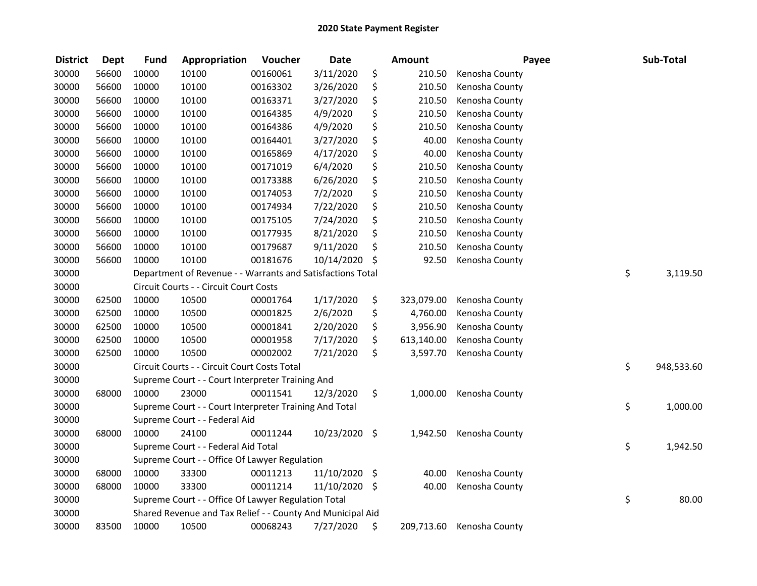| <b>District</b> | <b>Dept</b> | <b>Fund</b> | Appropriation                                              | Voucher  | <b>Date</b>   | <b>Amount</b>    | Payee          | Sub-Total        |
|-----------------|-------------|-------------|------------------------------------------------------------|----------|---------------|------------------|----------------|------------------|
| 30000           | 56600       | 10000       | 10100                                                      | 00160061 | 3/11/2020     | \$<br>210.50     | Kenosha County |                  |
| 30000           | 56600       | 10000       | 10100                                                      | 00163302 | 3/26/2020     | \$<br>210.50     | Kenosha County |                  |
| 30000           | 56600       | 10000       | 10100                                                      | 00163371 | 3/27/2020     | \$<br>210.50     | Kenosha County |                  |
| 30000           | 56600       | 10000       | 10100                                                      | 00164385 | 4/9/2020      | \$<br>210.50     | Kenosha County |                  |
| 30000           | 56600       | 10000       | 10100                                                      | 00164386 | 4/9/2020      | \$<br>210.50     | Kenosha County |                  |
| 30000           | 56600       | 10000       | 10100                                                      | 00164401 | 3/27/2020     | \$<br>40.00      | Kenosha County |                  |
| 30000           | 56600       | 10000       | 10100                                                      | 00165869 | 4/17/2020     | \$<br>40.00      | Kenosha County |                  |
| 30000           | 56600       | 10000       | 10100                                                      | 00171019 | 6/4/2020      | \$<br>210.50     | Kenosha County |                  |
| 30000           | 56600       | 10000       | 10100                                                      | 00173388 | 6/26/2020     | \$<br>210.50     | Kenosha County |                  |
| 30000           | 56600       | 10000       | 10100                                                      | 00174053 | 7/2/2020      | \$<br>210.50     | Kenosha County |                  |
| 30000           | 56600       | 10000       | 10100                                                      | 00174934 | 7/22/2020     | \$<br>210.50     | Kenosha County |                  |
| 30000           | 56600       | 10000       | 10100                                                      | 00175105 | 7/24/2020     | \$<br>210.50     | Kenosha County |                  |
| 30000           | 56600       | 10000       | 10100                                                      | 00177935 | 8/21/2020     | \$<br>210.50     | Kenosha County |                  |
| 30000           | 56600       | 10000       | 10100                                                      | 00179687 | 9/11/2020     | \$<br>210.50     | Kenosha County |                  |
| 30000           | 56600       | 10000       | 10100                                                      | 00181676 | 10/14/2020    | \$<br>92.50      | Kenosha County |                  |
| 30000           |             |             | Department of Revenue - - Warrants and Satisfactions Total |          |               |                  |                | \$<br>3,119.50   |
| 30000           |             |             | Circuit Courts - - Circuit Court Costs                     |          |               |                  |                |                  |
| 30000           | 62500       | 10000       | 10500                                                      | 00001764 | 1/17/2020     | \$<br>323,079.00 | Kenosha County |                  |
| 30000           | 62500       | 10000       | 10500                                                      | 00001825 | 2/6/2020      | \$<br>4,760.00   | Kenosha County |                  |
| 30000           | 62500       | 10000       | 10500                                                      | 00001841 | 2/20/2020     | \$<br>3,956.90   | Kenosha County |                  |
| 30000           | 62500       | 10000       | 10500                                                      | 00001958 | 7/17/2020     | \$<br>613,140.00 | Kenosha County |                  |
| 30000           | 62500       | 10000       | 10500                                                      | 00002002 | 7/21/2020     | \$<br>3,597.70   | Kenosha County |                  |
| 30000           |             |             | Circuit Courts - - Circuit Court Costs Total               |          |               |                  |                | \$<br>948,533.60 |
| 30000           |             |             | Supreme Court - - Court Interpreter Training And           |          |               |                  |                |                  |
| 30000           | 68000       | 10000       | 23000                                                      | 00011541 | 12/3/2020     | \$<br>1,000.00   | Kenosha County |                  |
| 30000           |             |             | Supreme Court - - Court Interpreter Training And Total     |          |               |                  |                | \$<br>1,000.00   |
| 30000           |             |             | Supreme Court - - Federal Aid                              |          |               |                  |                |                  |
| 30000           | 68000       | 10000       | 24100                                                      | 00011244 | 10/23/2020 \$ | 1,942.50         | Kenosha County |                  |
| 30000           |             |             | Supreme Court - - Federal Aid Total                        |          |               |                  |                | \$<br>1,942.50   |
| 30000           |             |             | Supreme Court - - Office Of Lawyer Regulation              |          |               |                  |                |                  |
| 30000           | 68000       | 10000       | 33300                                                      | 00011213 | 11/10/2020 \$ | 40.00            | Kenosha County |                  |
| 30000           | 68000       | 10000       | 33300                                                      | 00011214 | 11/10/2020    | \$<br>40.00      | Kenosha County |                  |
| 30000           |             |             | Supreme Court - - Office Of Lawyer Regulation Total        |          |               |                  |                | \$<br>80.00      |
| 30000           |             |             | Shared Revenue and Tax Relief - - County And Municipal Aid |          |               |                  |                |                  |
| 30000           | 83500       | 10000       | 10500                                                      | 00068243 | 7/27/2020     | \$<br>209,713.60 | Kenosha County |                  |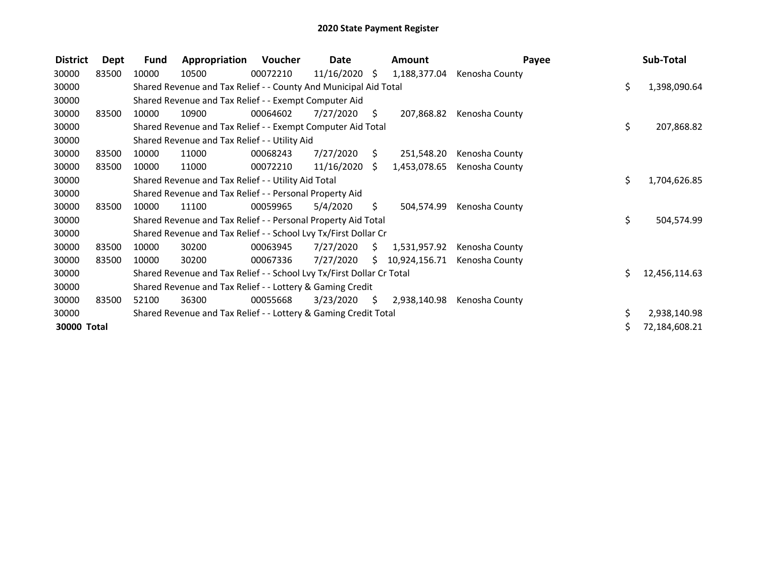| <b>District</b> | Dept  | <b>Fund</b> | Appropriation                                                         | Voucher  | Date            |     | <b>Amount</b> | Payee          |     | Sub-Total     |
|-----------------|-------|-------------|-----------------------------------------------------------------------|----------|-----------------|-----|---------------|----------------|-----|---------------|
| 30000           | 83500 | 10000       | 10500                                                                 | 00072210 | $11/16/2020$ \$ |     | 1,188,377.04  | Kenosha County |     |               |
| 30000           |       |             | Shared Revenue and Tax Relief - - County And Municipal Aid Total      |          |                 |     |               |                | \$. | 1,398,090.64  |
| 30000           |       |             | Shared Revenue and Tax Relief - - Exempt Computer Aid                 |          |                 |     |               |                |     |               |
| 30000           | 83500 | 10000       | 10900                                                                 | 00064602 | 7/27/2020       | \$  | 207,868.82    | Kenosha County |     |               |
| 30000           |       |             | Shared Revenue and Tax Relief - - Exempt Computer Aid Total           |          |                 |     |               |                | \$. | 207,868.82    |
| 30000           |       |             | Shared Revenue and Tax Relief - - Utility Aid                         |          |                 |     |               |                |     |               |
| 30000           | 83500 | 10000       | 11000                                                                 | 00068243 | 7/27/2020       | S   | 251,548.20    | Kenosha County |     |               |
| 30000           | 83500 | 10000       | 11000                                                                 | 00072210 | 11/16/2020      | S.  | 1,453,078.65  | Kenosha County |     |               |
| 30000           |       |             | Shared Revenue and Tax Relief - - Utility Aid Total                   |          |                 |     |               |                | \$. | 1,704,626.85  |
| 30000           |       |             | Shared Revenue and Tax Relief - - Personal Property Aid               |          |                 |     |               |                |     |               |
| 30000           | 83500 | 10000       | 11100                                                                 | 00059965 | 5/4/2020        | \$. | 504,574.99    | Kenosha County |     |               |
| 30000           |       |             | Shared Revenue and Tax Relief - - Personal Property Aid Total         |          |                 |     |               |                | \$  | 504,574.99    |
| 30000           |       |             | Shared Revenue and Tax Relief - - School Lvy Tx/First Dollar Cr       |          |                 |     |               |                |     |               |
| 30000           | 83500 | 10000       | 30200                                                                 | 00063945 | 7/27/2020       | S.  | 1,531,957.92  | Kenosha County |     |               |
| 30000           | 83500 | 10000       | 30200                                                                 | 00067336 | 7/27/2020       | S.  | 10,924,156.71 | Kenosha County |     |               |
| 30000           |       |             | Shared Revenue and Tax Relief - - School Lvy Tx/First Dollar Cr Total |          |                 |     |               |                | Ś.  | 12,456,114.63 |
| 30000           |       |             | Shared Revenue and Tax Relief - - Lottery & Gaming Credit             |          |                 |     |               |                |     |               |
| 30000           | 83500 | 52100       | 36300                                                                 | 00055668 | 3/23/2020       | \$. | 2,938,140.98  | Kenosha County |     |               |
| 30000           |       |             | Shared Revenue and Tax Relief - - Lottery & Gaming Credit Total       |          |                 |     |               |                | S.  | 2,938,140.98  |
| 30000 Total     |       |             |                                                                       |          |                 |     |               |                |     | 72,184,608.21 |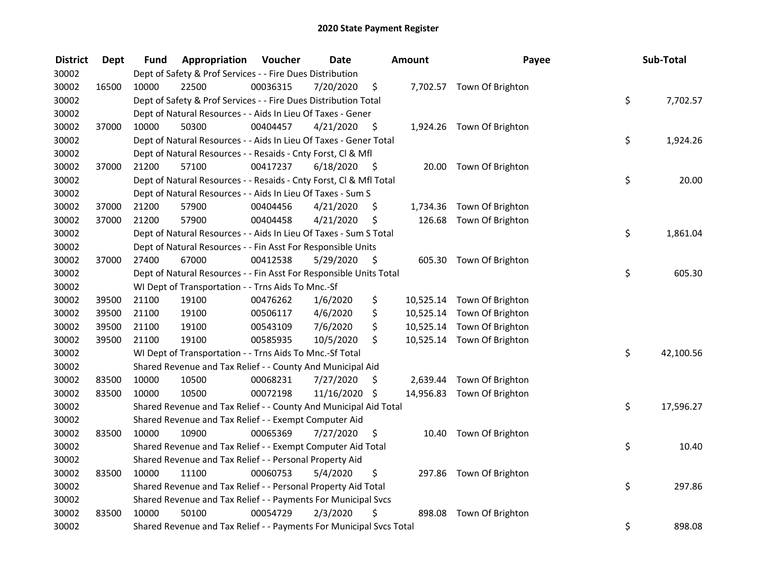| <b>District</b> | Dept  | Fund  | Appropriation                                                       | Voucher  | <b>Date</b>   |      | <b>Amount</b> | Payee                      | Sub-Total       |
|-----------------|-------|-------|---------------------------------------------------------------------|----------|---------------|------|---------------|----------------------------|-----------------|
| 30002           |       |       | Dept of Safety & Prof Services - - Fire Dues Distribution           |          |               |      |               |                            |                 |
| 30002           | 16500 | 10000 | 22500                                                               | 00036315 | 7/20/2020     | \$   |               | 7,702.57 Town Of Brighton  |                 |
| 30002           |       |       | Dept of Safety & Prof Services - - Fire Dues Distribution Total     |          |               |      |               |                            | \$<br>7,702.57  |
| 30002           |       |       | Dept of Natural Resources - - Aids In Lieu Of Taxes - Gener         |          |               |      |               |                            |                 |
| 30002           | 37000 | 10000 | 50300                                                               | 00404457 | 4/21/2020     | \$   |               | 1,924.26 Town Of Brighton  |                 |
| 30002           |       |       | Dept of Natural Resources - - Aids In Lieu Of Taxes - Gener Total   |          |               |      |               |                            | \$<br>1,924.26  |
| 30002           |       |       | Dept of Natural Resources - - Resaids - Cnty Forst, CI & Mfl        |          |               |      |               |                            |                 |
| 30002           | 37000 | 21200 | 57100                                                               | 00417237 | 6/18/2020     | - \$ |               | 20.00 Town Of Brighton     |                 |
| 30002           |       |       | Dept of Natural Resources - - Resaids - Cnty Forst, Cl & Mfl Total  |          |               |      |               |                            | \$<br>20.00     |
| 30002           |       |       | Dept of Natural Resources - - Aids In Lieu Of Taxes - Sum S         |          |               |      |               |                            |                 |
| 30002           | 37000 | 21200 | 57900                                                               | 00404456 | 4/21/2020     | \$.  |               | 1,734.36 Town Of Brighton  |                 |
| 30002           | 37000 | 21200 | 57900                                                               | 00404458 | 4/21/2020     | \$   |               | 126.68 Town Of Brighton    |                 |
| 30002           |       |       | Dept of Natural Resources - - Aids In Lieu Of Taxes - Sum S Total   |          |               |      |               |                            | \$<br>1,861.04  |
| 30002           |       |       | Dept of Natural Resources - - Fin Asst For Responsible Units        |          |               |      |               |                            |                 |
| 30002           | 37000 | 27400 | 67000                                                               | 00412538 | 5/29/2020     | \$   | 605.30        | Town Of Brighton           |                 |
| 30002           |       |       | Dept of Natural Resources - - Fin Asst For Responsible Units Total  |          |               |      |               |                            | \$<br>605.30    |
| 30002           |       |       | WI Dept of Transportation - - Trns Aids To Mnc.-Sf                  |          |               |      |               |                            |                 |
| 30002           | 39500 | 21100 | 19100                                                               | 00476262 | 1/6/2020      | \$   |               | 10,525.14 Town Of Brighton |                 |
| 30002           | 39500 | 21100 | 19100                                                               | 00506117 | 4/6/2020      | \$   |               | 10,525.14 Town Of Brighton |                 |
| 30002           | 39500 | 21100 | 19100                                                               | 00543109 | 7/6/2020      | \$   |               | 10,525.14 Town Of Brighton |                 |
| 30002           | 39500 | 21100 | 19100                                                               | 00585935 | 10/5/2020     | \$   |               | 10,525.14 Town Of Brighton |                 |
| 30002           |       |       | WI Dept of Transportation - - Trns Aids To Mnc.-Sf Total            |          |               |      |               |                            | \$<br>42,100.56 |
| 30002           |       |       | Shared Revenue and Tax Relief - - County And Municipal Aid          |          |               |      |               |                            |                 |
| 30002           | 83500 | 10000 | 10500                                                               | 00068231 | 7/27/2020     | S    |               | 2,639.44 Town Of Brighton  |                 |
| 30002           | 83500 | 10000 | 10500                                                               | 00072198 | 11/16/2020 \$ |      |               | 14,956.83 Town Of Brighton |                 |
| 30002           |       |       | Shared Revenue and Tax Relief - - County And Municipal Aid Total    |          |               |      |               |                            | \$<br>17,596.27 |
| 30002           |       |       | Shared Revenue and Tax Relief - - Exempt Computer Aid               |          |               |      |               |                            |                 |
| 30002           | 83500 | 10000 | 10900                                                               | 00065369 | 7/27/2020     | \$   |               | 10.40 Town Of Brighton     |                 |
| 30002           |       |       | Shared Revenue and Tax Relief - - Exempt Computer Aid Total         |          |               |      |               |                            | \$<br>10.40     |
| 30002           |       |       | Shared Revenue and Tax Relief - - Personal Property Aid             |          |               |      |               |                            |                 |
| 30002           | 83500 | 10000 | 11100                                                               | 00060753 | 5/4/2020      | \$   |               | 297.86 Town Of Brighton    |                 |
| 30002           |       |       | Shared Revenue and Tax Relief - - Personal Property Aid Total       |          |               |      |               |                            | \$<br>297.86    |
| 30002           |       |       | Shared Revenue and Tax Relief - - Payments For Municipal Svcs       |          |               |      |               |                            |                 |
| 30002           | 83500 | 10000 | 50100                                                               | 00054729 | 2/3/2020      | \$   | 898.08        | Town Of Brighton           |                 |
| 30002           |       |       | Shared Revenue and Tax Relief - - Payments For Municipal Svcs Total |          |               |      |               |                            | \$<br>898.08    |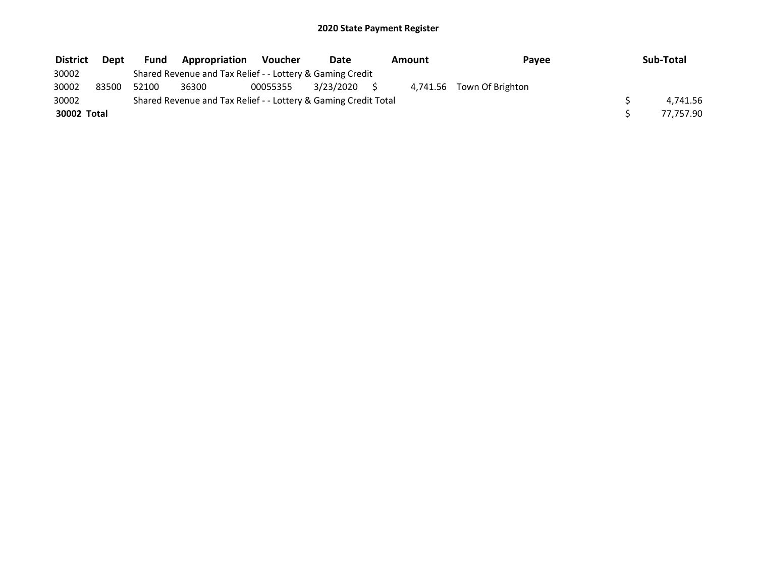| <b>District</b> | Dept  | Fund  | <b>Appropriation</b>                                            | <b>Voucher</b> | Date         | Amount | Payee                     | Sub-Total |
|-----------------|-------|-------|-----------------------------------------------------------------|----------------|--------------|--------|---------------------------|-----------|
| 30002           |       |       | Shared Revenue and Tax Relief - - Lottery & Gaming Credit       |                |              |        |                           |           |
| 30002           | 83500 | 52100 | 36300                                                           | 00055355       | 3/23/2020 \$ |        | 4.741.56 Town Of Brighton |           |
| 30002           |       |       | Shared Revenue and Tax Relief - - Lottery & Gaming Credit Total |                |              |        |                           | 4.741.56  |
| 30002 Total     |       |       |                                                                 |                |              |        |                           | 77.757.90 |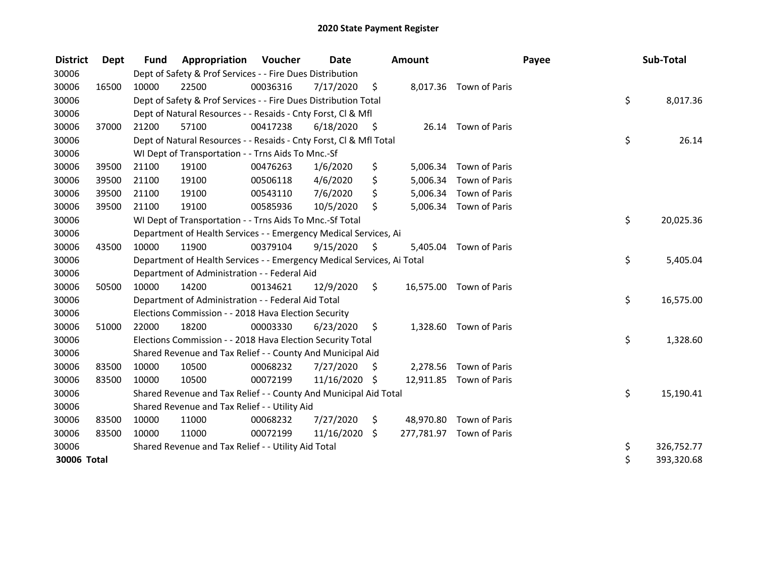| <b>District</b> | Dept  | <b>Fund</b> | Appropriation                                                          | Voucher  | Date          |         | <b>Amount</b> |                          | Payee | Sub-Total  |
|-----------------|-------|-------------|------------------------------------------------------------------------|----------|---------------|---------|---------------|--------------------------|-------|------------|
| 30006           |       |             | Dept of Safety & Prof Services - - Fire Dues Distribution              |          |               |         |               |                          |       |            |
| 30006           | 16500 | 10000       | 22500                                                                  | 00036316 | 7/17/2020     | \$      |               | 8,017.36 Town of Paris   |       |            |
| 30006           |       |             | Dept of Safety & Prof Services - - Fire Dues Distribution Total        |          |               |         |               |                          | \$    | 8,017.36   |
| 30006           |       |             | Dept of Natural Resources - - Resaids - Cnty Forst, CI & Mfl           |          |               |         |               |                          |       |            |
| 30006           | 37000 | 21200       | 57100                                                                  | 00417238 | 6/18/2020     | - \$    |               | 26.14 Town of Paris      |       |            |
| 30006           |       |             | Dept of Natural Resources - - Resaids - Cnty Forst, Cl & Mfl Total     |          |               |         |               |                          | \$    | 26.14      |
| 30006           |       |             | WI Dept of Transportation - - Trns Aids To Mnc.-Sf                     |          |               |         |               |                          |       |            |
| 30006           | 39500 | 21100       | 19100                                                                  | 00476263 | 1/6/2020      | \$      | 5,006.34      | Town of Paris            |       |            |
| 30006           | 39500 | 21100       | 19100                                                                  | 00506118 | 4/6/2020      | \$      | 5,006.34      | Town of Paris            |       |            |
| 30006           | 39500 | 21100       | 19100                                                                  | 00543110 | 7/6/2020      | \$      |               | 5,006.34 Town of Paris   |       |            |
| 30006           | 39500 | 21100       | 19100                                                                  | 00585936 | 10/5/2020     | \$      | 5,006.34      | Town of Paris            |       |            |
| 30006           |       |             | WI Dept of Transportation - - Trns Aids To Mnc.-Sf Total               |          |               |         |               |                          | \$    | 20,025.36  |
| 30006           |       |             | Department of Health Services - - Emergency Medical Services, Ai       |          |               |         |               |                          |       |            |
| 30006           | 43500 | 10000       | 11900                                                                  | 00379104 | 9/15/2020     | S       | 5,405.04      | Town of Paris            |       |            |
| 30006           |       |             | Department of Health Services - - Emergency Medical Services, Ai Total |          |               |         |               |                          | \$    | 5,405.04   |
| 30006           |       |             | Department of Administration - - Federal Aid                           |          |               |         |               |                          |       |            |
| 30006           | 50500 | 10000       | 14200                                                                  | 00134621 | 12/9/2020     | \$.     |               | 16,575.00 Town of Paris  |       |            |
| 30006           |       |             | Department of Administration - - Federal Aid Total                     |          |               |         |               |                          | \$    | 16,575.00  |
| 30006           |       |             | Elections Commission - - 2018 Hava Election Security                   |          |               |         |               |                          |       |            |
| 30006           | 51000 | 22000       | 18200                                                                  | 00003330 | 6/23/2020     | $\zeta$ | 1,328.60      | Town of Paris            |       |            |
| 30006           |       |             | Elections Commission - - 2018 Hava Election Security Total             |          |               |         |               |                          | \$    | 1,328.60   |
| 30006           |       |             | Shared Revenue and Tax Relief - - County And Municipal Aid             |          |               |         |               |                          |       |            |
| 30006           | 83500 | 10000       | 10500                                                                  | 00068232 | 7/27/2020     | \$      |               | 2,278.56 Town of Paris   |       |            |
| 30006           | 83500 | 10000       | 10500                                                                  | 00072199 | 11/16/2020 \$ |         |               | 12,911.85 Town of Paris  |       |            |
| 30006           |       |             | Shared Revenue and Tax Relief - - County And Municipal Aid Total       |          |               |         |               |                          | \$    | 15,190.41  |
| 30006           |       |             | Shared Revenue and Tax Relief - - Utility Aid                          |          |               |         |               |                          |       |            |
| 30006           | 83500 | 10000       | 11000                                                                  | 00068232 | 7/27/2020     | \$      |               | 48,970.80 Town of Paris  |       |            |
| 30006           | 83500 | 10000       | 11000                                                                  | 00072199 | 11/16/2020    | S.      |               | 277,781.97 Town of Paris |       |            |
| 30006           |       |             | Shared Revenue and Tax Relief - - Utility Aid Total                    |          |               |         |               |                          | \$    | 326,752.77 |
| 30006 Total     |       |             |                                                                        |          |               |         |               |                          | \$    | 393,320.68 |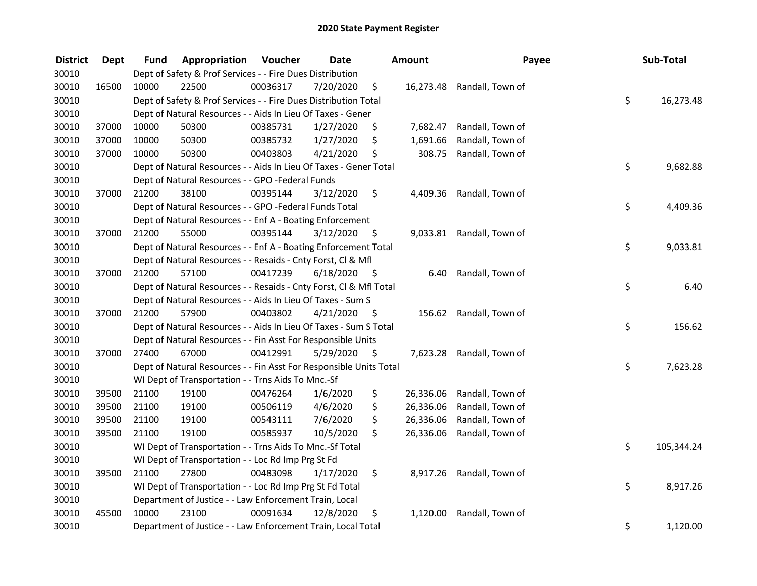| <b>District</b> | <b>Dept</b> | Fund  | Appropriation                                                      | Voucher  | <b>Date</b> |      | Amount    | Payee                      | Sub-Total        |
|-----------------|-------------|-------|--------------------------------------------------------------------|----------|-------------|------|-----------|----------------------------|------------------|
| 30010           |             |       | Dept of Safety & Prof Services - - Fire Dues Distribution          |          |             |      |           |                            |                  |
| 30010           | 16500       | 10000 | 22500                                                              | 00036317 | 7/20/2020   | \$   |           | 16,273.48 Randall, Town of |                  |
| 30010           |             |       | Dept of Safety & Prof Services - - Fire Dues Distribution Total    |          |             |      |           |                            | \$<br>16,273.48  |
| 30010           |             |       | Dept of Natural Resources - - Aids In Lieu Of Taxes - Gener        |          |             |      |           |                            |                  |
| 30010           | 37000       | 10000 | 50300                                                              | 00385731 | 1/27/2020   | \$   | 7,682.47  | Randall, Town of           |                  |
| 30010           | 37000       | 10000 | 50300                                                              | 00385732 | 1/27/2020   | \$   | 1,691.66  | Randall, Town of           |                  |
| 30010           | 37000       | 10000 | 50300                                                              | 00403803 | 4/21/2020   | \$   | 308.75    | Randall, Town of           |                  |
| 30010           |             |       | Dept of Natural Resources - - Aids In Lieu Of Taxes - Gener Total  |          |             |      |           |                            | \$<br>9,682.88   |
| 30010           |             |       | Dept of Natural Resources - - GPO -Federal Funds                   |          |             |      |           |                            |                  |
| 30010           | 37000       | 21200 | 38100                                                              | 00395144 | 3/12/2020   | \$   |           | 4,409.36 Randall, Town of  |                  |
| 30010           |             |       | Dept of Natural Resources - - GPO -Federal Funds Total             |          |             |      |           |                            | \$<br>4,409.36   |
| 30010           |             |       | Dept of Natural Resources - - Enf A - Boating Enforcement          |          |             |      |           |                            |                  |
| 30010           | 37000       | 21200 | 55000                                                              | 00395144 | 3/12/2020   | \$.  |           | 9,033.81 Randall, Town of  |                  |
| 30010           |             |       | Dept of Natural Resources - - Enf A - Boating Enforcement Total    |          |             |      |           |                            | \$<br>9,033.81   |
| 30010           |             |       | Dept of Natural Resources - - Resaids - Cnty Forst, CI & Mfl       |          |             |      |           |                            |                  |
| 30010           | 37000       | 21200 | 57100                                                              | 00417239 | 6/18/2020   | -\$  | 6.40      | Randall, Town of           |                  |
| 30010           |             |       | Dept of Natural Resources - - Resaids - Cnty Forst, Cl & Mfl Total |          |             |      |           |                            | \$<br>6.40       |
| 30010           |             |       | Dept of Natural Resources - - Aids In Lieu Of Taxes - Sum S        |          |             |      |           |                            |                  |
| 30010           | 37000       | 21200 | 57900                                                              | 00403802 | 4/21/2020   | - \$ | 156.62    | Randall, Town of           |                  |
| 30010           |             |       | Dept of Natural Resources - - Aids In Lieu Of Taxes - Sum S Total  |          |             |      |           |                            | \$<br>156.62     |
| 30010           |             |       | Dept of Natural Resources - - Fin Asst For Responsible Units       |          |             |      |           |                            |                  |
| 30010           | 37000       | 27400 | 67000                                                              | 00412991 | 5/29/2020   | - \$ |           | 7,623.28 Randall, Town of  |                  |
| 30010           |             |       | Dept of Natural Resources - - Fin Asst For Responsible Units Total |          |             |      |           |                            | \$<br>7,623.28   |
| 30010           |             |       | WI Dept of Transportation - - Trns Aids To Mnc.-Sf                 |          |             |      |           |                            |                  |
| 30010           | 39500       | 21100 | 19100                                                              | 00476264 | 1/6/2020    | \$   | 26,336.06 | Randall, Town of           |                  |
| 30010           | 39500       | 21100 | 19100                                                              | 00506119 | 4/6/2020    | \$   | 26,336.06 | Randall, Town of           |                  |
| 30010           | 39500       | 21100 | 19100                                                              | 00543111 | 7/6/2020    | \$   | 26,336.06 | Randall, Town of           |                  |
| 30010           | 39500       | 21100 | 19100                                                              | 00585937 | 10/5/2020   | \$   | 26,336.06 | Randall, Town of           |                  |
| 30010           |             |       | WI Dept of Transportation - - Trns Aids To Mnc.-Sf Total           |          |             |      |           |                            | \$<br>105,344.24 |
| 30010           |             |       | WI Dept of Transportation - - Loc Rd Imp Prg St Fd                 |          |             |      |           |                            |                  |
| 30010           | 39500       | 21100 | 27800                                                              | 00483098 | 1/17/2020   | \$   |           | 8,917.26 Randall, Town of  |                  |
| 30010           |             |       | WI Dept of Transportation - - Loc Rd Imp Prg St Fd Total           |          |             |      |           |                            | \$<br>8,917.26   |
| 30010           |             |       | Department of Justice - - Law Enforcement Train, Local             |          |             |      |           |                            |                  |
| 30010           | 45500       | 10000 | 23100                                                              | 00091634 | 12/8/2020   | \$   | 1,120.00  | Randall, Town of           |                  |
| 30010           |             |       | Department of Justice - - Law Enforcement Train, Local Total       |          |             |      |           |                            | \$<br>1,120.00   |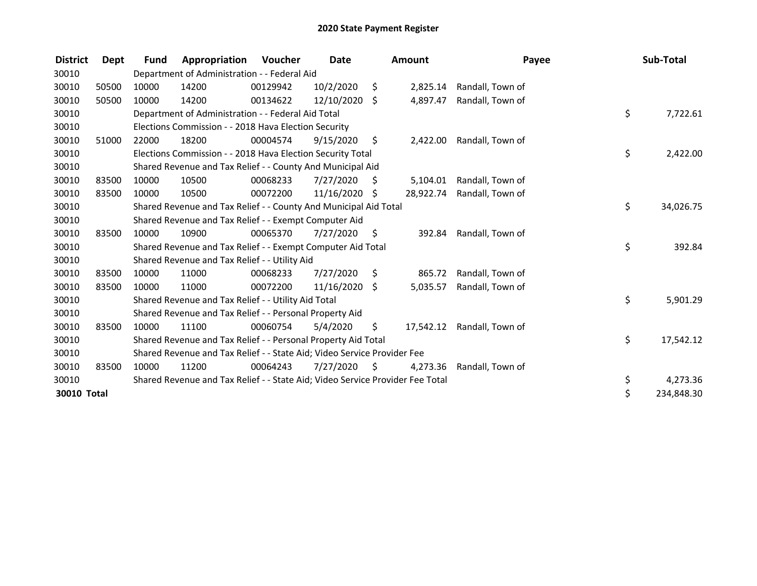| <b>District</b> | Dept  | <b>Fund</b> | Appropriation                                                                 | <b>Voucher</b> | Date       |         | Amount    |                  | Payee | Sub-Total  |
|-----------------|-------|-------------|-------------------------------------------------------------------------------|----------------|------------|---------|-----------|------------------|-------|------------|
| 30010           |       |             | Department of Administration - - Federal Aid                                  |                |            |         |           |                  |       |            |
| 30010           | 50500 | 10000       | 14200                                                                         | 00129942       | 10/2/2020  | \$      | 2,825.14  | Randall, Town of |       |            |
| 30010           | 50500 | 10000       | 14200                                                                         | 00134622       | 12/10/2020 | \$      | 4,897.47  | Randall, Town of |       |            |
| 30010           |       |             | Department of Administration - - Federal Aid Total                            |                |            |         |           |                  | \$    | 7,722.61   |
| 30010           |       |             | Elections Commission - - 2018 Hava Election Security                          |                |            |         |           |                  |       |            |
| 30010           | 51000 | 22000       | 18200                                                                         | 00004574       | 9/15/2020  | $\zeta$ | 2,422.00  | Randall, Town of |       |            |
| 30010           |       |             | Elections Commission - - 2018 Hava Election Security Total                    |                |            |         |           |                  | \$    | 2,422.00   |
| 30010           |       |             | Shared Revenue and Tax Relief - - County And Municipal Aid                    |                |            |         |           |                  |       |            |
| 30010           | 83500 | 10000       | 10500                                                                         | 00068233       | 7/27/2020  | S       | 5,104.01  | Randall, Town of |       |            |
| 30010           | 83500 | 10000       | 10500                                                                         | 00072200       | 11/16/2020 | \$      | 28,922.74 | Randall, Town of |       |            |
| 30010           |       |             | Shared Revenue and Tax Relief - - County And Municipal Aid Total              |                |            |         |           |                  | \$    | 34,026.75  |
| 30010           |       |             | Shared Revenue and Tax Relief - - Exempt Computer Aid                         |                |            |         |           |                  |       |            |
| 30010           | 83500 | 10000       | 10900                                                                         | 00065370       | 7/27/2020  | - \$    | 392.84    | Randall, Town of |       |            |
| 30010           |       |             | Shared Revenue and Tax Relief - - Exempt Computer Aid Total                   |                |            |         |           |                  | \$    | 392.84     |
| 30010           |       |             | Shared Revenue and Tax Relief - - Utility Aid                                 |                |            |         |           |                  |       |            |
| 30010           | 83500 | 10000       | 11000                                                                         | 00068233       | 7/27/2020  | S.      | 865.72    | Randall, Town of |       |            |
| 30010           | 83500 | 10000       | 11000                                                                         | 00072200       | 11/16/2020 | \$      | 5,035.57  | Randall, Town of |       |            |
| 30010           |       |             | Shared Revenue and Tax Relief - - Utility Aid Total                           |                |            |         |           |                  | \$    | 5,901.29   |
| 30010           |       |             | Shared Revenue and Tax Relief - - Personal Property Aid                       |                |            |         |           |                  |       |            |
| 30010           | 83500 | 10000       | 11100                                                                         | 00060754       | 5/4/2020   | \$      | 17,542.12 | Randall, Town of |       |            |
| 30010           |       |             | Shared Revenue and Tax Relief - - Personal Property Aid Total                 |                |            |         |           |                  | \$    | 17,542.12  |
| 30010           |       |             | Shared Revenue and Tax Relief - - State Aid; Video Service Provider Fee       |                |            |         |           |                  |       |            |
| 30010           | 83500 | 10000       | 11200                                                                         | 00064243       | 7/27/2020  | -\$     | 4,273.36  | Randall, Town of |       |            |
| 30010           |       |             | Shared Revenue and Tax Relief - - State Aid; Video Service Provider Fee Total |                |            |         |           |                  | \$    | 4,273.36   |
| 30010 Total     |       |             |                                                                               |                |            |         |           |                  | \$    | 234,848.30 |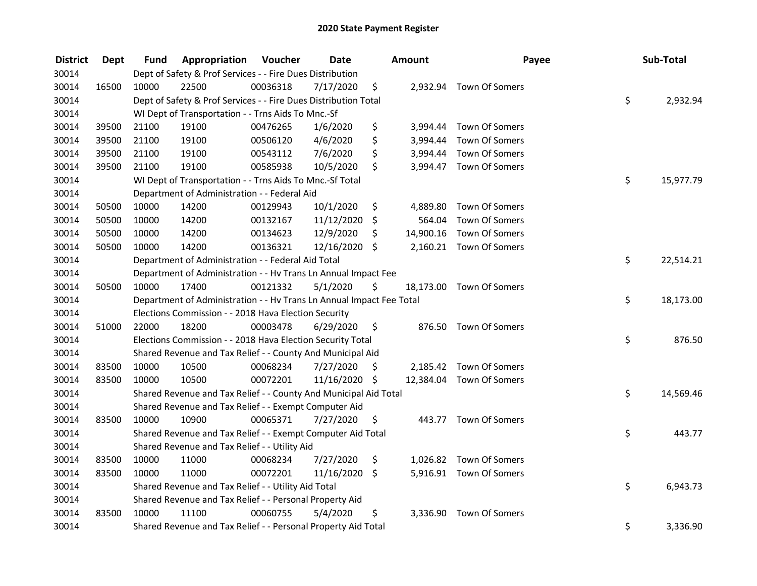| <b>District</b> | <b>Dept</b> | Fund  | Appropriation                                                        | Voucher  | <b>Date</b>   |    | Amount   | Payee                    | Sub-Total       |
|-----------------|-------------|-------|----------------------------------------------------------------------|----------|---------------|----|----------|--------------------------|-----------------|
| 30014           |             |       | Dept of Safety & Prof Services - - Fire Dues Distribution            |          |               |    |          |                          |                 |
| 30014           | 16500       | 10000 | 22500                                                                | 00036318 | 7/17/2020     | \$ |          | 2,932.94 Town Of Somers  |                 |
| 30014           |             |       | Dept of Safety & Prof Services - - Fire Dues Distribution Total      |          |               |    |          |                          | \$<br>2,932.94  |
| 30014           |             |       | WI Dept of Transportation - - Trns Aids To Mnc.-Sf                   |          |               |    |          |                          |                 |
| 30014           | 39500       | 21100 | 19100                                                                | 00476265 | 1/6/2020      | \$ |          | 3,994.44 Town Of Somers  |                 |
| 30014           | 39500       | 21100 | 19100                                                                | 00506120 | 4/6/2020      | \$ |          | 3,994.44 Town Of Somers  |                 |
| 30014           | 39500       | 21100 | 19100                                                                | 00543112 | 7/6/2020      | \$ |          | 3,994.44 Town Of Somers  |                 |
| 30014           | 39500       | 21100 | 19100                                                                | 00585938 | 10/5/2020     | \$ |          | 3,994.47 Town Of Somers  |                 |
| 30014           |             |       | WI Dept of Transportation - - Trns Aids To Mnc.-Sf Total             |          |               |    |          |                          | \$<br>15,977.79 |
| 30014           |             |       | Department of Administration - - Federal Aid                         |          |               |    |          |                          |                 |
| 30014           | 50500       | 10000 | 14200                                                                | 00129943 | 10/1/2020     | \$ | 4,889.80 | Town Of Somers           |                 |
| 30014           | 50500       | 10000 | 14200                                                                | 00132167 | 11/12/2020    | \$ | 564.04   | Town Of Somers           |                 |
| 30014           | 50500       | 10000 | 14200                                                                | 00134623 | 12/9/2020     | \$ |          | 14,900.16 Town Of Somers |                 |
| 30014           | 50500       | 10000 | 14200                                                                | 00136321 | 12/16/2020    | \$ |          | 2,160.21 Town Of Somers  |                 |
| 30014           |             |       | Department of Administration - - Federal Aid Total                   |          |               |    |          |                          | \$<br>22,514.21 |
| 30014           |             |       | Department of Administration - - Hv Trans Ln Annual Impact Fee       |          |               |    |          |                          |                 |
| 30014           | 50500       | 10000 | 17400                                                                | 00121332 | 5/1/2020      | \$ |          | 18,173.00 Town Of Somers |                 |
| 30014           |             |       | Department of Administration - - Hv Trans Ln Annual Impact Fee Total |          |               |    |          |                          | \$<br>18,173.00 |
| 30014           |             |       | Elections Commission - - 2018 Hava Election Security                 |          |               |    |          |                          |                 |
| 30014           | 51000       | 22000 | 18200                                                                | 00003478 | 6/29/2020     | \$ |          | 876.50 Town Of Somers    |                 |
| 30014           |             |       | Elections Commission - - 2018 Hava Election Security Total           |          |               |    |          |                          | \$<br>876.50    |
| 30014           |             |       | Shared Revenue and Tax Relief - - County And Municipal Aid           |          |               |    |          |                          |                 |
| 30014           | 83500       | 10000 | 10500                                                                | 00068234 | 7/27/2020     | S  |          | 2,185.42 Town Of Somers  |                 |
| 30014           | 83500       | 10000 | 10500                                                                | 00072201 | 11/16/2020 \$ |    |          | 12,384.04 Town Of Somers |                 |
| 30014           |             |       | Shared Revenue and Tax Relief - - County And Municipal Aid Total     |          |               |    |          |                          | \$<br>14,569.46 |
| 30014           |             |       | Shared Revenue and Tax Relief - - Exempt Computer Aid                |          |               |    |          |                          |                 |
| 30014           | 83500       | 10000 | 10900                                                                | 00065371 | 7/27/2020     | \$ |          | 443.77 Town Of Somers    |                 |
| 30014           |             |       | Shared Revenue and Tax Relief - - Exempt Computer Aid Total          |          |               |    |          |                          | \$<br>443.77    |
| 30014           |             |       | Shared Revenue and Tax Relief - - Utility Aid                        |          |               |    |          |                          |                 |
| 30014           | 83500       | 10000 | 11000                                                                | 00068234 | 7/27/2020     | \$ |          | 1,026.82 Town Of Somers  |                 |
| 30014           | 83500       | 10000 | 11000                                                                | 00072201 | 11/16/2020    | \$ |          | 5,916.91 Town Of Somers  |                 |
| 30014           |             |       | Shared Revenue and Tax Relief - - Utility Aid Total                  |          |               |    |          |                          | \$<br>6,943.73  |
| 30014           |             |       | Shared Revenue and Tax Relief - - Personal Property Aid              |          |               |    |          |                          |                 |
| 30014           | 83500       | 10000 | 11100                                                                | 00060755 | 5/4/2020      | \$ |          | 3,336.90 Town Of Somers  |                 |
| 30014           |             |       | Shared Revenue and Tax Relief - - Personal Property Aid Total        |          |               |    |          |                          | \$<br>3,336.90  |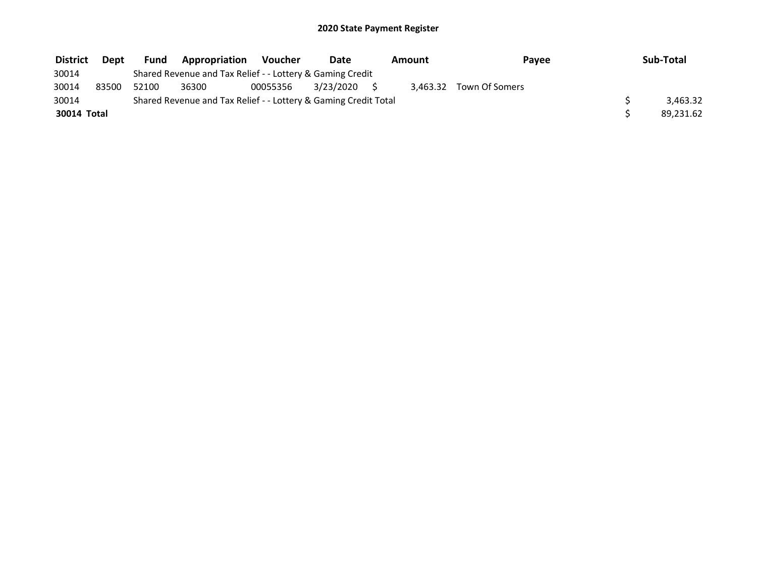| <b>District</b> | <b>Dept</b> | <b>Fund</b> | <b>Appropriation</b>                                            | Voucher  | Date         | Amount | Payee                   | Sub-Total |
|-----------------|-------------|-------------|-----------------------------------------------------------------|----------|--------------|--------|-------------------------|-----------|
| 30014           |             |             | Shared Revenue and Tax Relief - - Lottery & Gaming Credit       |          |              |        |                         |           |
| 30014           | 83500       | 52100       | 36300                                                           | 00055356 | 3/23/2020 \$ |        | 3.463.32 Town Of Somers |           |
| 30014           |             |             | Shared Revenue and Tax Relief - - Lottery & Gaming Credit Total |          |              |        |                         | 3.463.32  |
| 30014 Total     |             |             |                                                                 |          |              |        |                         | 89.231.62 |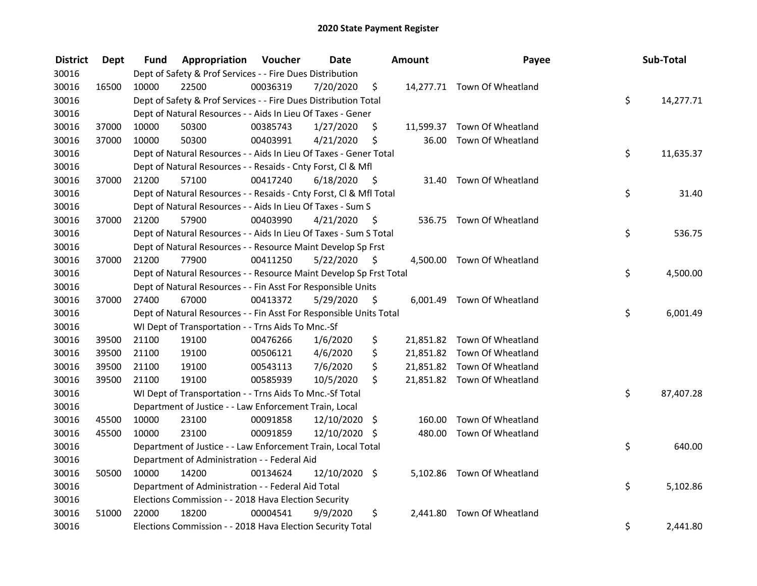| <b>District</b> | Dept  | Fund  | Appropriation                                                      | Voucher  | <b>Date</b>   |      | <b>Amount</b> | Payee                       | Sub-Total       |
|-----------------|-------|-------|--------------------------------------------------------------------|----------|---------------|------|---------------|-----------------------------|-----------------|
| 30016           |       |       | Dept of Safety & Prof Services - - Fire Dues Distribution          |          |               |      |               |                             |                 |
| 30016           | 16500 | 10000 | 22500                                                              | 00036319 | 7/20/2020     | \$   |               | 14,277.71 Town Of Wheatland |                 |
| 30016           |       |       | Dept of Safety & Prof Services - - Fire Dues Distribution Total    |          |               |      |               |                             | \$<br>14,277.71 |
| 30016           |       |       | Dept of Natural Resources - - Aids In Lieu Of Taxes - Gener        |          |               |      |               |                             |                 |
| 30016           | 37000 | 10000 | 50300                                                              | 00385743 | 1/27/2020     | \$   |               | 11,599.37 Town Of Wheatland |                 |
| 30016           | 37000 | 10000 | 50300                                                              | 00403991 | 4/21/2020     | \$   | 36.00         | Town Of Wheatland           |                 |
| 30016           |       |       | Dept of Natural Resources - - Aids In Lieu Of Taxes - Gener Total  |          |               |      |               |                             | \$<br>11,635.37 |
| 30016           |       |       | Dept of Natural Resources - - Resaids - Cnty Forst, Cl & Mfl       |          |               |      |               |                             |                 |
| 30016           | 37000 | 21200 | 57100                                                              | 00417240 | 6/18/2020     | - \$ |               | 31.40 Town Of Wheatland     |                 |
| 30016           |       |       | Dept of Natural Resources - - Resaids - Cnty Forst, Cl & Mfl Total |          |               |      |               |                             | \$<br>31.40     |
| 30016           |       |       | Dept of Natural Resources - - Aids In Lieu Of Taxes - Sum S        |          |               |      |               |                             |                 |
| 30016           | 37000 | 21200 | 57900                                                              | 00403990 | 4/21/2020     | -\$  |               | 536.75 Town Of Wheatland    |                 |
| 30016           |       |       | Dept of Natural Resources - - Aids In Lieu Of Taxes - Sum S Total  |          |               |      |               |                             | \$<br>536.75    |
| 30016           |       |       | Dept of Natural Resources - - Resource Maint Develop Sp Frst       |          |               |      |               |                             |                 |
| 30016           | 37000 | 21200 | 77900                                                              | 00411250 | 5/22/2020     | - \$ |               | 4,500.00 Town Of Wheatland  |                 |
| 30016           |       |       | Dept of Natural Resources - - Resource Maint Develop Sp Frst Total |          |               |      |               |                             | \$<br>4,500.00  |
| 30016           |       |       | Dept of Natural Resources - - Fin Asst For Responsible Units       |          |               |      |               |                             |                 |
| 30016           | 37000 | 27400 | 67000                                                              | 00413372 | 5/29/2020     | \$   |               | 6,001.49 Town Of Wheatland  |                 |
| 30016           |       |       | Dept of Natural Resources - - Fin Asst For Responsible Units Total |          |               |      |               |                             | \$<br>6,001.49  |
| 30016           |       |       | WI Dept of Transportation - - Trns Aids To Mnc.-Sf                 |          |               |      |               |                             |                 |
| 30016           | 39500 | 21100 | 19100                                                              | 00476266 | 1/6/2020      | \$   |               | 21,851.82 Town Of Wheatland |                 |
| 30016           | 39500 | 21100 | 19100                                                              | 00506121 | 4/6/2020      | \$   |               | 21,851.82 Town Of Wheatland |                 |
| 30016           | 39500 | 21100 | 19100                                                              | 00543113 | 7/6/2020      | \$   |               | 21,851.82 Town Of Wheatland |                 |
| 30016           | 39500 | 21100 | 19100                                                              | 00585939 | 10/5/2020     | \$   |               | 21,851.82 Town Of Wheatland |                 |
| 30016           |       |       | WI Dept of Transportation - - Trns Aids To Mnc.-Sf Total           |          |               |      |               |                             | \$<br>87,407.28 |
| 30016           |       |       | Department of Justice - - Law Enforcement Train, Local             |          |               |      |               |                             |                 |
| 30016           | 45500 | 10000 | 23100                                                              | 00091858 | 12/10/2020 \$ |      | 160.00        | Town Of Wheatland           |                 |
| 30016           | 45500 | 10000 | 23100                                                              | 00091859 | 12/10/2020 \$ |      | 480.00        | Town Of Wheatland           |                 |
| 30016           |       |       | Department of Justice - - Law Enforcement Train, Local Total       |          |               |      |               |                             | \$<br>640.00    |
| 30016           |       |       | Department of Administration - - Federal Aid                       |          |               |      |               |                             |                 |
| 30016           | 50500 | 10000 | 14200                                                              | 00134624 | 12/10/2020 \$ |      |               | 5,102.86 Town Of Wheatland  |                 |
| 30016           |       |       | Department of Administration - - Federal Aid Total                 |          |               |      |               |                             | \$<br>5,102.86  |
| 30016           |       |       | Elections Commission - - 2018 Hava Election Security               |          |               |      |               |                             |                 |
| 30016           | 51000 | 22000 | 18200                                                              | 00004541 | 9/9/2020      | \$   | 2,441.80      | Town Of Wheatland           |                 |
| 30016           |       |       | Elections Commission - - 2018 Hava Election Security Total         |          |               |      |               |                             | \$<br>2,441.80  |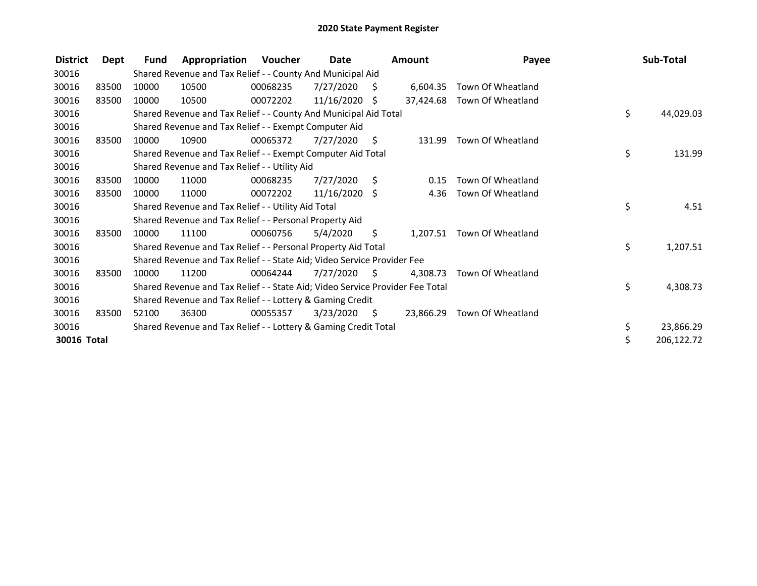| <b>District</b> | Dept  | Fund  | Appropriation                                                                 | Voucher  | Date            |     | Amount    | Payee             | Sub-Total        |
|-----------------|-------|-------|-------------------------------------------------------------------------------|----------|-----------------|-----|-----------|-------------------|------------------|
| 30016           |       |       | Shared Revenue and Tax Relief - - County And Municipal Aid                    |          |                 |     |           |                   |                  |
| 30016           | 83500 | 10000 | 10500                                                                         | 00068235 | 7/27/2020       | S.  | 6,604.35  | Town Of Wheatland |                  |
| 30016           | 83500 | 10000 | 10500                                                                         | 00072202 | 11/16/2020      | Ŝ.  | 37.424.68 | Town Of Wheatland |                  |
| 30016           |       |       | Shared Revenue and Tax Relief - - County And Municipal Aid Total              |          |                 |     |           |                   | \$<br>44,029.03  |
| 30016           |       |       | Shared Revenue and Tax Relief - - Exempt Computer Aid                         |          |                 |     |           |                   |                  |
| 30016           | 83500 | 10000 | 10900                                                                         | 00065372 | 7/27/2020       | S.  | 131.99    | Town Of Wheatland |                  |
| 30016           |       |       | Shared Revenue and Tax Relief - - Exempt Computer Aid Total                   |          |                 |     |           |                   | \$<br>131.99     |
| 30016           |       |       | Shared Revenue and Tax Relief - - Utility Aid                                 |          |                 |     |           |                   |                  |
| 30016           | 83500 | 10000 | 11000                                                                         | 00068235 | 7/27/2020       | S.  | 0.15      | Town Of Wheatland |                  |
| 30016           | 83500 | 10000 | 11000                                                                         | 00072202 | $11/16/2020$ \$ |     | 4.36      | Town Of Wheatland |                  |
| 30016           |       |       | Shared Revenue and Tax Relief - - Utility Aid Total                           |          |                 |     |           |                   | \$<br>4.51       |
| 30016           |       |       | Shared Revenue and Tax Relief - - Personal Property Aid                       |          |                 |     |           |                   |                  |
| 30016           | 83500 | 10000 | 11100                                                                         | 00060756 | 5/4/2020        | \$. | 1,207.51  | Town Of Wheatland |                  |
| 30016           |       |       | Shared Revenue and Tax Relief - - Personal Property Aid Total                 |          |                 |     |           |                   | \$<br>1,207.51   |
| 30016           |       |       | Shared Revenue and Tax Relief - - State Aid; Video Service Provider Fee       |          |                 |     |           |                   |                  |
| 30016           | 83500 | 10000 | 11200                                                                         | 00064244 | 7/27/2020       | -S  | 4.308.73  | Town Of Wheatland |                  |
| 30016           |       |       | Shared Revenue and Tax Relief - - State Aid; Video Service Provider Fee Total |          |                 |     |           |                   | \$<br>4,308.73   |
| 30016           |       |       | Shared Revenue and Tax Relief - - Lottery & Gaming Credit                     |          |                 |     |           |                   |                  |
| 30016           | 83500 | 52100 | 36300                                                                         | 00055357 | 3/23/2020       | S.  | 23,866.29 | Town Of Wheatland |                  |
| 30016           |       |       | Shared Revenue and Tax Relief - - Lottery & Gaming Credit Total               |          |                 |     |           |                   | \$<br>23,866.29  |
| 30016 Total     |       |       |                                                                               |          |                 |     |           |                   | \$<br>206,122.72 |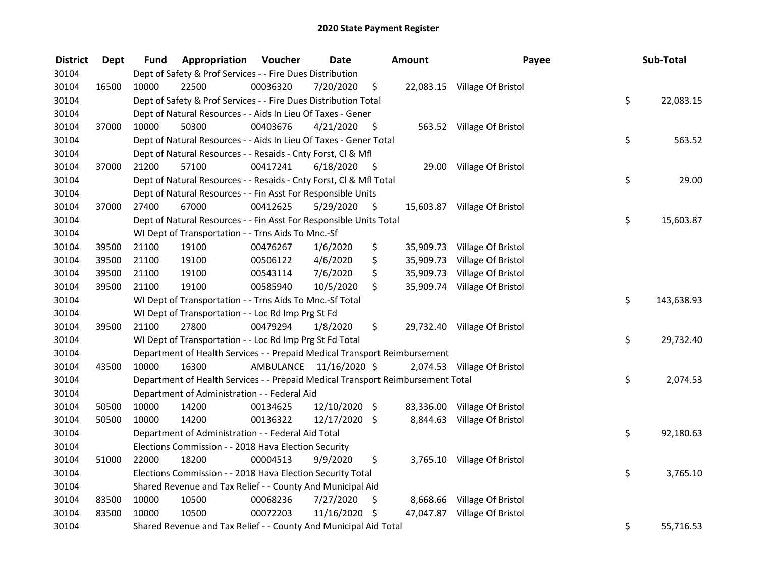| <b>District</b> | <b>Dept</b> | Fund  | <b>Appropriation Voucher</b>                                                    |          | <b>Date</b>             |      | Amount | Payee                        | Sub-Total        |
|-----------------|-------------|-------|---------------------------------------------------------------------------------|----------|-------------------------|------|--------|------------------------------|------------------|
| 30104           |             |       | Dept of Safety & Prof Services - - Fire Dues Distribution                       |          |                         |      |        |                              |                  |
| 30104           | 16500       | 10000 | 22500                                                                           | 00036320 | 7/20/2020               | \$   |        | 22,083.15 Village Of Bristol |                  |
| 30104           |             |       | Dept of Safety & Prof Services - - Fire Dues Distribution Total                 |          |                         |      |        |                              | \$<br>22,083.15  |
| 30104           |             |       | Dept of Natural Resources - - Aids In Lieu Of Taxes - Gener                     |          |                         |      |        |                              |                  |
| 30104           | 37000       | 10000 | 50300                                                                           | 00403676 | 4/21/2020               | - \$ |        | 563.52 Village Of Bristol    |                  |
| 30104           |             |       | Dept of Natural Resources - - Aids In Lieu Of Taxes - Gener Total               |          |                         |      |        |                              | \$<br>563.52     |
| 30104           |             |       | Dept of Natural Resources - - Resaids - Cnty Forst, Cl & Mfl                    |          |                         |      |        |                              |                  |
| 30104           | 37000       | 21200 | 57100                                                                           | 00417241 | 6/18/2020               | - \$ |        | 29.00 Village Of Bristol     |                  |
| 30104           |             |       | Dept of Natural Resources - - Resaids - Cnty Forst, Cl & Mfl Total              |          |                         |      |        |                              | \$<br>29.00      |
| 30104           |             |       | Dept of Natural Resources - - Fin Asst For Responsible Units                    |          |                         |      |        |                              |                  |
| 30104           | 37000       | 27400 | 67000                                                                           | 00412625 | 5/29/2020               | - \$ |        | 15,603.87 Village Of Bristol |                  |
| 30104           |             |       | Dept of Natural Resources - - Fin Asst For Responsible Units Total              |          |                         |      |        |                              | \$<br>15,603.87  |
| 30104           |             |       | WI Dept of Transportation - - Trns Aids To Mnc.-Sf                              |          |                         |      |        |                              |                  |
| 30104           | 39500       | 21100 | 19100                                                                           | 00476267 | 1/6/2020                | \$   |        | 35,909.73 Village Of Bristol |                  |
| 30104           | 39500       | 21100 | 19100                                                                           | 00506122 | 4/6/2020                | \$   |        | 35,909.73 Village Of Bristol |                  |
| 30104           | 39500       | 21100 | 19100                                                                           | 00543114 | 7/6/2020                | \$   |        | 35,909.73 Village Of Bristol |                  |
| 30104           | 39500       | 21100 | 19100                                                                           | 00585940 | 10/5/2020               | \$   |        | 35,909.74 Village Of Bristol |                  |
| 30104           |             |       | WI Dept of Transportation - - Trns Aids To Mnc.-Sf Total                        |          |                         |      |        |                              | \$<br>143,638.93 |
| 30104           |             |       | WI Dept of Transportation - - Loc Rd Imp Prg St Fd                              |          |                         |      |        |                              |                  |
| 30104           | 39500       | 21100 | 27800                                                                           | 00479294 | 1/8/2020                | \$   |        | 29,732.40 Village Of Bristol |                  |
| 30104           |             |       | WI Dept of Transportation - - Loc Rd Imp Prg St Fd Total                        |          |                         |      |        |                              | \$<br>29,732.40  |
| 30104           |             |       | Department of Health Services - - Prepaid Medical Transport Reimbursement       |          |                         |      |        |                              |                  |
| 30104           | 43500       | 10000 | 16300                                                                           |          | AMBULANCE 11/16/2020 \$ |      |        | 2,074.53 Village Of Bristol  |                  |
| 30104           |             |       | Department of Health Services - - Prepaid Medical Transport Reimbursement Total |          |                         |      |        |                              | \$<br>2,074.53   |
| 30104           |             |       | Department of Administration - - Federal Aid                                    |          |                         |      |        |                              |                  |
| 30104           | 50500       | 10000 | 14200                                                                           | 00134625 | 12/10/2020 \$           |      |        | 83,336.00 Village Of Bristol |                  |
| 30104           | 50500       | 10000 | 14200                                                                           | 00136322 | 12/17/2020 \$           |      |        | 8,844.63 Village Of Bristol  |                  |
| 30104           |             |       | Department of Administration - - Federal Aid Total                              |          |                         |      |        |                              | \$<br>92,180.63  |
| 30104           |             |       | Elections Commission - - 2018 Hava Election Security                            |          |                         |      |        |                              |                  |
| 30104           | 51000       | 22000 | 18200                                                                           | 00004513 | 9/9/2020                | \$   |        | 3,765.10 Village Of Bristol  |                  |
| 30104           |             |       | Elections Commission - - 2018 Hava Election Security Total                      |          |                         |      |        |                              | \$<br>3,765.10   |
| 30104           |             |       | Shared Revenue and Tax Relief - - County And Municipal Aid                      |          |                         |      |        |                              |                  |
| 30104           | 83500       | 10000 | 10500                                                                           | 00068236 | 7/27/2020               | \$   |        | 8,668.66 Village Of Bristol  |                  |
| 30104           | 83500       | 10000 | 10500                                                                           | 00072203 | 11/16/2020              | \$   |        | 47,047.87 Village Of Bristol |                  |
| 30104           |             |       | Shared Revenue and Tax Relief - - County And Municipal Aid Total                |          |                         |      |        |                              | \$<br>55,716.53  |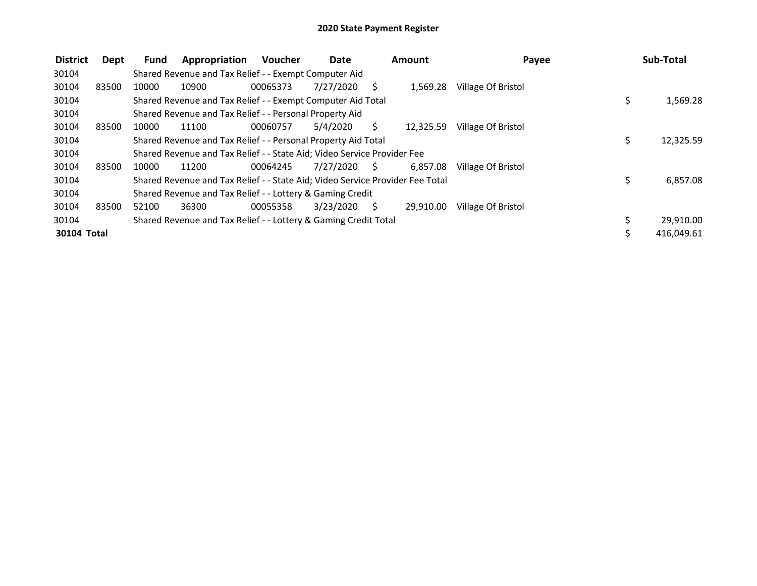| <b>District</b> | Dept  | <b>Fund</b> | Appropriation                                                                 | Voucher  | Date      |              | Amount    | Payee              | Sub-Total       |
|-----------------|-------|-------------|-------------------------------------------------------------------------------|----------|-----------|--------------|-----------|--------------------|-----------------|
| 30104           |       |             | Shared Revenue and Tax Relief - - Exempt Computer Aid                         |          |           |              |           |                    |                 |
| 30104           | 83500 | 10000       | 10900                                                                         | 00065373 | 7/27/2020 | <sub>S</sub> | 1,569.28  | Village Of Bristol |                 |
| 30104           |       |             | Shared Revenue and Tax Relief - - Exempt Computer Aid Total                   |          |           |              |           |                    | \$<br>1,569.28  |
| 30104           |       |             | Shared Revenue and Tax Relief - - Personal Property Aid                       |          |           |              |           |                    |                 |
| 30104           | 83500 | 10000       | 11100                                                                         | 00060757 | 5/4/2020  | S            | 12,325.59 | Village Of Bristol |                 |
| 30104           |       |             | Shared Revenue and Tax Relief - - Personal Property Aid Total                 |          |           |              |           |                    | \$<br>12,325.59 |
| 30104           |       |             | Shared Revenue and Tax Relief - - State Aid; Video Service Provider Fee       |          |           |              |           |                    |                 |
| 30104           | 83500 | 10000       | 11200                                                                         | 00064245 | 7/27/2020 | S.           | 6.857.08  | Village Of Bristol |                 |
| 30104           |       |             | Shared Revenue and Tax Relief - - State Aid; Video Service Provider Fee Total |          |           |              |           |                    | \$<br>6,857.08  |
| 30104           |       |             | Shared Revenue and Tax Relief - - Lottery & Gaming Credit                     |          |           |              |           |                    |                 |
| 30104           | 83500 | 52100       | 36300                                                                         | 00055358 | 3/23/2020 | <sup>S</sup> | 29,910.00 | Village Of Bristol |                 |
| 30104           |       |             | Shared Revenue and Tax Relief - - Lottery & Gaming Credit Total               |          |           |              |           |                    | 29,910.00       |
| 30104 Total     |       |             |                                                                               |          |           |              |           |                    | 416,049.61      |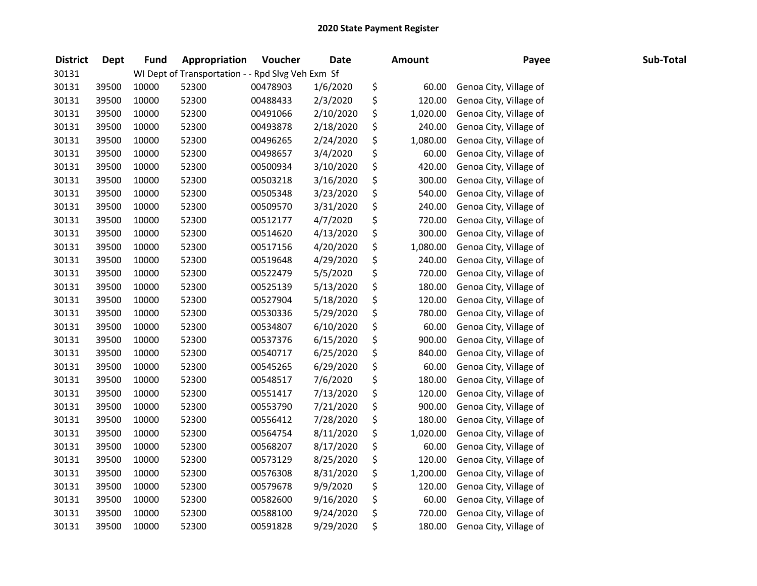| <b>District</b> | <b>Dept</b> | <b>Fund</b> | Appropriation                                     | Voucher  | <b>Date</b> | <b>Amount</b>  | Payee                  | Sub-Total |
|-----------------|-------------|-------------|---------------------------------------------------|----------|-------------|----------------|------------------------|-----------|
| 30131           |             |             | WI Dept of Transportation - - Rpd Slvg Veh Exm Sf |          |             |                |                        |           |
| 30131           | 39500       | 10000       | 52300                                             | 00478903 | 1/6/2020    | \$<br>60.00    | Genoa City, Village of |           |
| 30131           | 39500       | 10000       | 52300                                             | 00488433 | 2/3/2020    | \$<br>120.00   | Genoa City, Village of |           |
| 30131           | 39500       | 10000       | 52300                                             | 00491066 | 2/10/2020   | \$<br>1,020.00 | Genoa City, Village of |           |
| 30131           | 39500       | 10000       | 52300                                             | 00493878 | 2/18/2020   | \$<br>240.00   | Genoa City, Village of |           |
| 30131           | 39500       | 10000       | 52300                                             | 00496265 | 2/24/2020   | \$<br>1,080.00 | Genoa City, Village of |           |
| 30131           | 39500       | 10000       | 52300                                             | 00498657 | 3/4/2020    | \$<br>60.00    | Genoa City, Village of |           |
| 30131           | 39500       | 10000       | 52300                                             | 00500934 | 3/10/2020   | \$<br>420.00   | Genoa City, Village of |           |
| 30131           | 39500       | 10000       | 52300                                             | 00503218 | 3/16/2020   | \$<br>300.00   | Genoa City, Village of |           |
| 30131           | 39500       | 10000       | 52300                                             | 00505348 | 3/23/2020   | \$<br>540.00   | Genoa City, Village of |           |
| 30131           | 39500       | 10000       | 52300                                             | 00509570 | 3/31/2020   | \$<br>240.00   | Genoa City, Village of |           |
| 30131           | 39500       | 10000       | 52300                                             | 00512177 | 4/7/2020    | \$<br>720.00   | Genoa City, Village of |           |
| 30131           | 39500       | 10000       | 52300                                             | 00514620 | 4/13/2020   | \$<br>300.00   | Genoa City, Village of |           |
| 30131           | 39500       | 10000       | 52300                                             | 00517156 | 4/20/2020   | \$<br>1,080.00 | Genoa City, Village of |           |
| 30131           | 39500       | 10000       | 52300                                             | 00519648 | 4/29/2020   | \$<br>240.00   | Genoa City, Village of |           |
| 30131           | 39500       | 10000       | 52300                                             | 00522479 | 5/5/2020    | \$<br>720.00   | Genoa City, Village of |           |
| 30131           | 39500       | 10000       | 52300                                             | 00525139 | 5/13/2020   | \$<br>180.00   | Genoa City, Village of |           |
| 30131           | 39500       | 10000       | 52300                                             | 00527904 | 5/18/2020   | \$<br>120.00   | Genoa City, Village of |           |
| 30131           | 39500       | 10000       | 52300                                             | 00530336 | 5/29/2020   | \$<br>780.00   | Genoa City, Village of |           |
| 30131           | 39500       | 10000       | 52300                                             | 00534807 | 6/10/2020   | \$<br>60.00    | Genoa City, Village of |           |
| 30131           | 39500       | 10000       | 52300                                             | 00537376 | 6/15/2020   | \$<br>900.00   | Genoa City, Village of |           |
| 30131           | 39500       | 10000       | 52300                                             | 00540717 | 6/25/2020   | \$<br>840.00   | Genoa City, Village of |           |
| 30131           | 39500       | 10000       | 52300                                             | 00545265 | 6/29/2020   | \$<br>60.00    | Genoa City, Village of |           |
| 30131           | 39500       | 10000       | 52300                                             | 00548517 | 7/6/2020    | \$<br>180.00   | Genoa City, Village of |           |
| 30131           | 39500       | 10000       | 52300                                             | 00551417 | 7/13/2020   | \$<br>120.00   | Genoa City, Village of |           |
| 30131           | 39500       | 10000       | 52300                                             | 00553790 | 7/21/2020   | \$<br>900.00   | Genoa City, Village of |           |
| 30131           | 39500       | 10000       | 52300                                             | 00556412 | 7/28/2020   | \$<br>180.00   | Genoa City, Village of |           |
| 30131           | 39500       | 10000       | 52300                                             | 00564754 | 8/11/2020   | \$<br>1,020.00 | Genoa City, Village of |           |
| 30131           | 39500       | 10000       | 52300                                             | 00568207 | 8/17/2020   | \$<br>60.00    | Genoa City, Village of |           |
| 30131           | 39500       | 10000       | 52300                                             | 00573129 | 8/25/2020   | \$<br>120.00   | Genoa City, Village of |           |
| 30131           | 39500       | 10000       | 52300                                             | 00576308 | 8/31/2020   | \$<br>1,200.00 | Genoa City, Village of |           |
| 30131           | 39500       | 10000       | 52300                                             | 00579678 | 9/9/2020    | \$<br>120.00   | Genoa City, Village of |           |
| 30131           | 39500       | 10000       | 52300                                             | 00582600 | 9/16/2020   | \$<br>60.00    | Genoa City, Village of |           |
| 30131           | 39500       | 10000       | 52300                                             | 00588100 | 9/24/2020   | \$<br>720.00   | Genoa City, Village of |           |
| 30131           | 39500       | 10000       | 52300                                             | 00591828 | 9/29/2020   | \$<br>180.00   | Genoa City, Village of |           |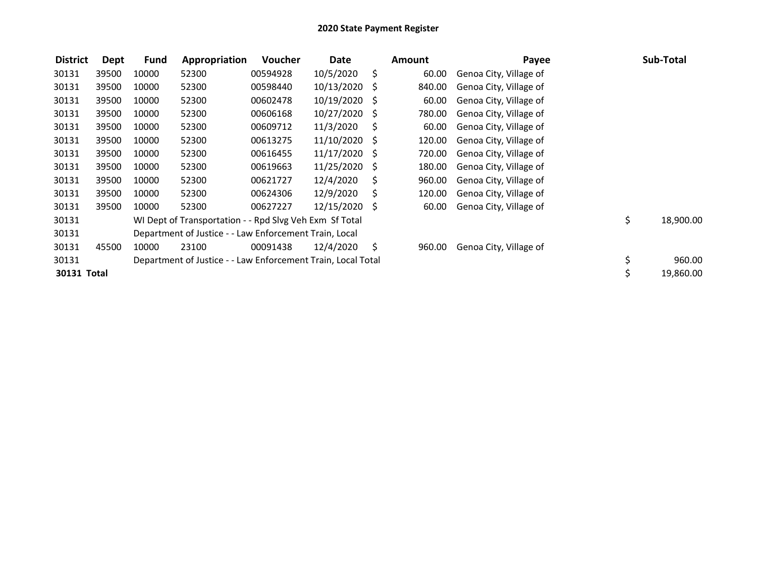| <b>District</b> | Dept  | <b>Fund</b> | Appropriation                                                | <b>Voucher</b> | Date            |    | <b>Amount</b> | Payee                  | Sub-Total       |
|-----------------|-------|-------------|--------------------------------------------------------------|----------------|-----------------|----|---------------|------------------------|-----------------|
| 30131           | 39500 | 10000       | 52300                                                        | 00594928       | 10/5/2020       | \$ | 60.00         | Genoa City, Village of |                 |
| 30131           | 39500 | 10000       | 52300                                                        | 00598440       | 10/13/2020      | S  | 840.00        | Genoa City, Village of |                 |
| 30131           | 39500 | 10000       | 52300                                                        | 00602478       | 10/19/2020 \$   |    | 60.00         | Genoa City, Village of |                 |
| 30131           | 39500 | 10000       | 52300                                                        | 00606168       | 10/27/2020      | -S | 780.00        | Genoa City, Village of |                 |
| 30131           | 39500 | 10000       | 52300                                                        | 00609712       | 11/3/2020       | S. | 60.00         | Genoa City, Village of |                 |
| 30131           | 39500 | 10000       | 52300                                                        | 00613275       | $11/10/2020$ \$ |    | 120.00        | Genoa City, Village of |                 |
| 30131           | 39500 | 10000       | 52300                                                        | 00616455       | $11/17/2020$ \$ |    | 720.00        | Genoa City, Village of |                 |
| 30131           | 39500 | 10000       | 52300                                                        | 00619663       | 11/25/2020 \$   |    | 180.00        | Genoa City, Village of |                 |
| 30131           | 39500 | 10000       | 52300                                                        | 00621727       | 12/4/2020       | S  | 960.00        | Genoa City, Village of |                 |
| 30131           | 39500 | 10000       | 52300                                                        | 00624306       | 12/9/2020       | S  | 120.00        | Genoa City, Village of |                 |
| 30131           | 39500 | 10000       | 52300                                                        | 00627227       | 12/15/2020 \$   |    | 60.00         | Genoa City, Village of |                 |
| 30131           |       |             | WI Dept of Transportation - - Rpd Slvg Veh Exm Sf Total      |                |                 |    |               |                        | \$<br>18,900.00 |
| 30131           |       |             | Department of Justice - - Law Enforcement Train, Local       |                |                 |    |               |                        |                 |
| 30131           | 45500 | 10000       | 23100                                                        | 00091438       | 12/4/2020       | S  | 960.00        | Genoa City, Village of |                 |
| 30131           |       |             | Department of Justice - - Law Enforcement Train, Local Total |                |                 |    |               |                        | \$<br>960.00    |
| 30131 Total     |       |             |                                                              |                |                 |    |               |                        | \$<br>19,860.00 |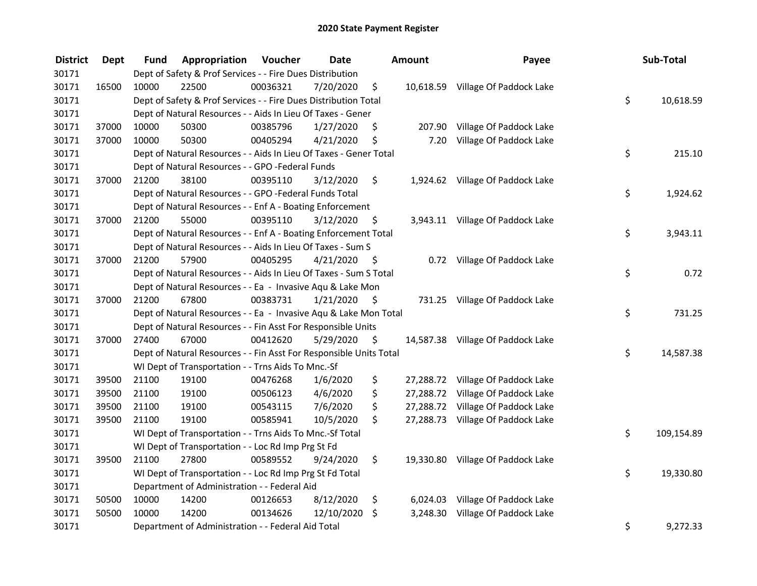| <b>District</b> | <b>Dept</b> | Fund  | Appropriation                                                      | Voucher  | <b>Date</b> |      | <b>Amount</b> | Payee                             | Sub-Total        |
|-----------------|-------------|-------|--------------------------------------------------------------------|----------|-------------|------|---------------|-----------------------------------|------------------|
| 30171           |             |       | Dept of Safety & Prof Services - - Fire Dues Distribution          |          |             |      |               |                                   |                  |
| 30171           | 16500       | 10000 | 22500                                                              | 00036321 | 7/20/2020   | \$   |               | 10,618.59 Village Of Paddock Lake |                  |
| 30171           |             |       | Dept of Safety & Prof Services - - Fire Dues Distribution Total    |          |             |      |               |                                   | \$<br>10,618.59  |
| 30171           |             |       | Dept of Natural Resources - - Aids In Lieu Of Taxes - Gener        |          |             |      |               |                                   |                  |
| 30171           | 37000       | 10000 | 50300                                                              | 00385796 | 1/27/2020   | \$   | 207.90        | Village Of Paddock Lake           |                  |
| 30171           | 37000       | 10000 | 50300                                                              | 00405294 | 4/21/2020   | \$   | 7.20          | Village Of Paddock Lake           |                  |
| 30171           |             |       | Dept of Natural Resources - - Aids In Lieu Of Taxes - Gener Total  |          |             |      |               |                                   | \$<br>215.10     |
| 30171           |             |       | Dept of Natural Resources - - GPO -Federal Funds                   |          |             |      |               |                                   |                  |
| 30171           | 37000       | 21200 | 38100                                                              | 00395110 | 3/12/2020   | \$   |               | 1,924.62 Village Of Paddock Lake  |                  |
| 30171           |             |       | Dept of Natural Resources - - GPO -Federal Funds Total             |          |             |      |               |                                   | \$<br>1,924.62   |
| 30171           |             |       | Dept of Natural Resources - - Enf A - Boating Enforcement          |          |             |      |               |                                   |                  |
| 30171           | 37000       | 21200 | 55000                                                              | 00395110 | 3/12/2020   | -\$  |               | 3,943.11 Village Of Paddock Lake  |                  |
| 30171           |             |       | Dept of Natural Resources - - Enf A - Boating Enforcement Total    |          |             |      |               |                                   | \$<br>3,943.11   |
| 30171           |             |       | Dept of Natural Resources - - Aids In Lieu Of Taxes - Sum S        |          |             |      |               |                                   |                  |
| 30171           | 37000       | 21200 | 57900                                                              | 00405295 | 4/21/2020   | -\$  |               | 0.72 Village Of Paddock Lake      |                  |
| 30171           |             |       | Dept of Natural Resources - - Aids In Lieu Of Taxes - Sum S Total  |          |             |      |               |                                   | \$<br>0.72       |
| 30171           |             |       | Dept of Natural Resources - - Ea - Invasive Aqu & Lake Mon         |          |             |      |               |                                   |                  |
| 30171           | 37000       | 21200 | 67800                                                              | 00383731 | 1/21/2020   | \$   |               | 731.25 Village Of Paddock Lake    |                  |
| 30171           |             |       | Dept of Natural Resources - - Ea - Invasive Aqu & Lake Mon Total   |          |             |      |               |                                   | \$<br>731.25     |
| 30171           |             |       | Dept of Natural Resources - - Fin Asst For Responsible Units       |          |             |      |               |                                   |                  |
| 30171           | 37000       | 27400 | 67000                                                              | 00412620 | 5/29/2020   | - \$ |               | 14,587.38 Village Of Paddock Lake |                  |
| 30171           |             |       | Dept of Natural Resources - - Fin Asst For Responsible Units Total |          |             |      |               |                                   | \$<br>14,587.38  |
| 30171           |             |       | WI Dept of Transportation - - Trns Aids To Mnc.-Sf                 |          |             |      |               |                                   |                  |
| 30171           | 39500       | 21100 | 19100                                                              | 00476268 | 1/6/2020    | \$   |               | 27,288.72 Village Of Paddock Lake |                  |
| 30171           | 39500       | 21100 | 19100                                                              | 00506123 | 4/6/2020    | \$   |               | 27,288.72 Village Of Paddock Lake |                  |
| 30171           | 39500       | 21100 | 19100                                                              | 00543115 | 7/6/2020    | \$   | 27,288.72     | Village Of Paddock Lake           |                  |
| 30171           | 39500       | 21100 | 19100                                                              | 00585941 | 10/5/2020   | \$   |               | 27,288.73 Village Of Paddock Lake |                  |
| 30171           |             |       | WI Dept of Transportation - - Trns Aids To Mnc.-Sf Total           |          |             |      |               |                                   | \$<br>109,154.89 |
| 30171           |             |       | WI Dept of Transportation - - Loc Rd Imp Prg St Fd                 |          |             |      |               |                                   |                  |
| 30171           | 39500       | 21100 | 27800                                                              | 00589552 | 9/24/2020   | \$.  |               | 19,330.80 Village Of Paddock Lake |                  |
| 30171           |             |       | WI Dept of Transportation - - Loc Rd Imp Prg St Fd Total           |          |             |      |               |                                   | \$<br>19,330.80  |
| 30171           |             |       | Department of Administration - - Federal Aid                       |          |             |      |               |                                   |                  |
| 30171           | 50500       | 10000 | 14200                                                              | 00126653 | 8/12/2020   | \$   |               | 6,024.03 Village Of Paddock Lake  |                  |
| 30171           | 50500       | 10000 | 14200                                                              | 00134626 | 12/10/2020  | \$   | 3,248.30      | Village Of Paddock Lake           |                  |
| 30171           |             |       | Department of Administration - - Federal Aid Total                 |          |             |      |               |                                   | \$<br>9,272.33   |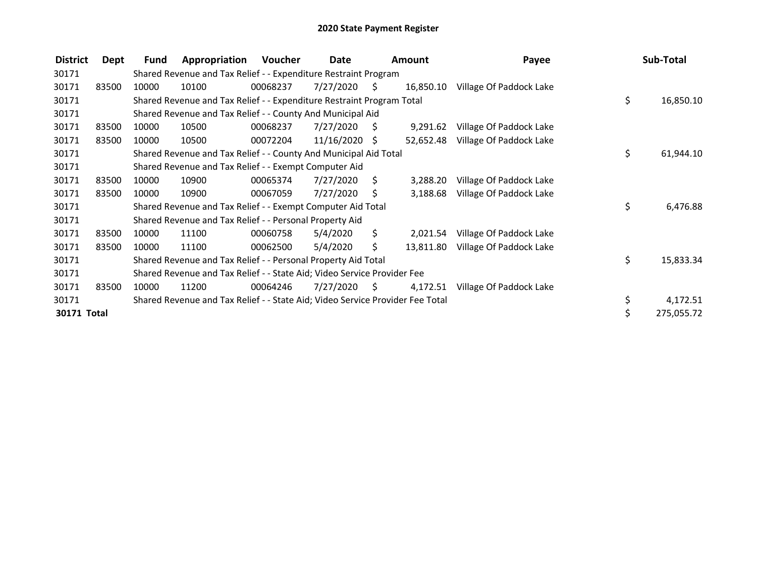| <b>District</b> | Dept  | Fund  | Appropriation                                                                 | Voucher  | Date            |                     | <b>Amount</b> | Payee                   | Sub-Total       |
|-----------------|-------|-------|-------------------------------------------------------------------------------|----------|-----------------|---------------------|---------------|-------------------------|-----------------|
| 30171           |       |       | Shared Revenue and Tax Relief - - Expenditure Restraint Program               |          |                 |                     |               |                         |                 |
| 30171           | 83500 | 10000 | 10100                                                                         | 00068237 | 7/27/2020       | $\ddot{\mathsf{S}}$ | 16,850.10     | Village Of Paddock Lake |                 |
| 30171           |       |       | Shared Revenue and Tax Relief - - Expenditure Restraint Program Total         |          |                 |                     |               |                         | \$<br>16,850.10 |
| 30171           |       |       | Shared Revenue and Tax Relief - - County And Municipal Aid                    |          |                 |                     |               |                         |                 |
| 30171           | 83500 | 10000 | 10500                                                                         | 00068237 | 7/27/2020       | S.                  | 9,291.62      | Village Of Paddock Lake |                 |
| 30171           | 83500 | 10000 | 10500                                                                         | 00072204 | $11/16/2020$ \$ |                     | 52,652.48     | Village Of Paddock Lake |                 |
| 30171           |       |       | Shared Revenue and Tax Relief - - County And Municipal Aid Total              |          |                 |                     |               |                         | \$<br>61,944.10 |
| 30171           |       |       | Shared Revenue and Tax Relief - - Exempt Computer Aid                         |          |                 |                     |               |                         |                 |
| 30171           | 83500 | 10000 | 10900                                                                         | 00065374 | 7/27/2020       | S                   | 3,288.20      | Village Of Paddock Lake |                 |
| 30171           | 83500 | 10000 | 10900                                                                         | 00067059 | 7/27/2020       | S                   | 3,188.68      | Village Of Paddock Lake |                 |
| 30171           |       |       | Shared Revenue and Tax Relief - - Exempt Computer Aid Total                   |          |                 |                     |               |                         | \$<br>6,476.88  |
| 30171           |       |       | Shared Revenue and Tax Relief - - Personal Property Aid                       |          |                 |                     |               |                         |                 |
| 30171           | 83500 | 10000 | 11100                                                                         | 00060758 | 5/4/2020        | \$.                 | 2,021.54      | Village Of Paddock Lake |                 |
| 30171           | 83500 | 10000 | 11100                                                                         | 00062500 | 5/4/2020        | \$.                 | 13,811.80     | Village Of Paddock Lake |                 |
| 30171           |       |       | Shared Revenue and Tax Relief - - Personal Property Aid Total                 |          |                 |                     |               |                         | \$<br>15,833.34 |
| 30171           |       |       | Shared Revenue and Tax Relief - - State Aid; Video Service Provider Fee       |          |                 |                     |               |                         |                 |
| 30171           | 83500 | 10000 | 11200                                                                         | 00064246 | 7/27/2020       | - \$                | 4,172.51      | Village Of Paddock Lake |                 |
| 30171           |       |       | Shared Revenue and Tax Relief - - State Aid; Video Service Provider Fee Total |          |                 |                     |               |                         | \$<br>4,172.51  |
| 30171 Total     |       |       |                                                                               |          |                 |                     |               |                         | 275,055.72      |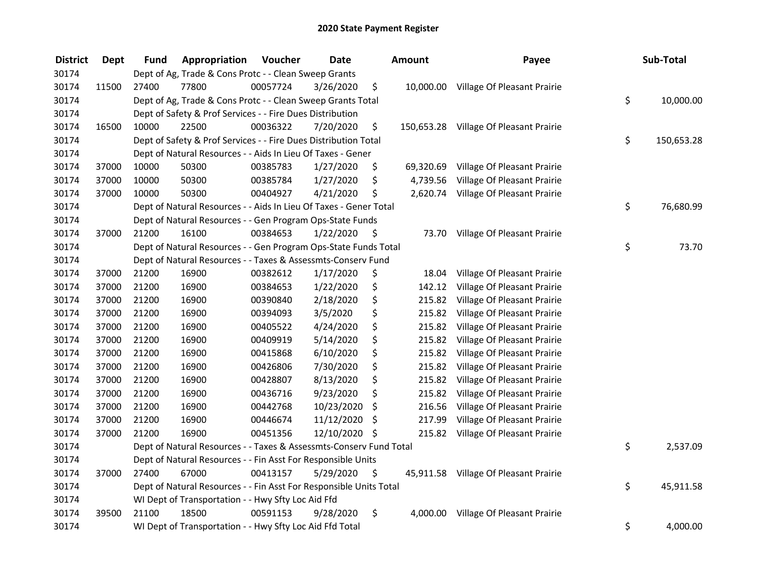| <b>District</b> | <b>Dept</b> | Fund  | Appropriation                                                      | Voucher  | <b>Date</b>   |     | Amount   | Payee                                  | Sub-Total        |
|-----------------|-------------|-------|--------------------------------------------------------------------|----------|---------------|-----|----------|----------------------------------------|------------------|
| 30174           |             |       | Dept of Ag, Trade & Cons Protc - - Clean Sweep Grants              |          |               |     |          |                                        |                  |
| 30174           | 11500       | 27400 | 77800                                                              | 00057724 | 3/26/2020     | \$  |          | 10,000.00 Village Of Pleasant Prairie  |                  |
| 30174           |             |       | Dept of Ag, Trade & Cons Protc - - Clean Sweep Grants Total        |          |               |     |          |                                        | \$<br>10,000.00  |
| 30174           |             |       | Dept of Safety & Prof Services - - Fire Dues Distribution          |          |               |     |          |                                        |                  |
| 30174           | 16500       | 10000 | 22500                                                              | 00036322 | 7/20/2020     | \$  |          | 150,653.28 Village Of Pleasant Prairie |                  |
| 30174           |             |       | Dept of Safety & Prof Services - - Fire Dues Distribution Total    |          |               |     |          |                                        | \$<br>150,653.28 |
| 30174           |             |       | Dept of Natural Resources - - Aids In Lieu Of Taxes - Gener        |          |               |     |          |                                        |                  |
| 30174           | 37000       | 10000 | 50300                                                              | 00385783 | 1/27/2020     | \$  |          | 69,320.69 Village Of Pleasant Prairie  |                  |
| 30174           | 37000       | 10000 | 50300                                                              | 00385784 | 1/27/2020     | \$  | 4,739.56 | Village Of Pleasant Prairie            |                  |
| 30174           | 37000       | 10000 | 50300                                                              | 00404927 | 4/21/2020     | \$  |          | 2,620.74 Village Of Pleasant Prairie   |                  |
| 30174           |             |       | Dept of Natural Resources - - Aids In Lieu Of Taxes - Gener Total  |          |               |     |          |                                        | \$<br>76,680.99  |
| 30174           |             |       | Dept of Natural Resources - - Gen Program Ops-State Funds          |          |               |     |          |                                        |                  |
| 30174           | 37000       | 21200 | 16100                                                              | 00384653 | 1/22/2020     | -\$ |          | 73.70 Village Of Pleasant Prairie      |                  |
| 30174           |             |       | Dept of Natural Resources - - Gen Program Ops-State Funds Total    |          |               |     |          |                                        | \$<br>73.70      |
| 30174           |             |       | Dept of Natural Resources - - Taxes & Assessmts-Conserv Fund       |          |               |     |          |                                        |                  |
| 30174           | 37000       | 21200 | 16900                                                              | 00382612 | 1/17/2020     | \$  | 18.04    | Village Of Pleasant Prairie            |                  |
| 30174           | 37000       | 21200 | 16900                                                              | 00384653 | 1/22/2020     | \$  | 142.12   | Village Of Pleasant Prairie            |                  |
| 30174           | 37000       | 21200 | 16900                                                              | 00390840 | 2/18/2020     | \$  | 215.82   | Village Of Pleasant Prairie            |                  |
| 30174           | 37000       | 21200 | 16900                                                              | 00394093 | 3/5/2020      | \$  | 215.82   | Village Of Pleasant Prairie            |                  |
| 30174           | 37000       | 21200 | 16900                                                              | 00405522 | 4/24/2020     | \$  | 215.82   | Village Of Pleasant Prairie            |                  |
| 30174           | 37000       | 21200 | 16900                                                              | 00409919 | 5/14/2020     | \$  | 215.82   | Village Of Pleasant Prairie            |                  |
| 30174           | 37000       | 21200 | 16900                                                              | 00415868 | 6/10/2020     | \$  | 215.82   | Village Of Pleasant Prairie            |                  |
| 30174           | 37000       | 21200 | 16900                                                              | 00426806 | 7/30/2020     | \$  | 215.82   | Village Of Pleasant Prairie            |                  |
| 30174           | 37000       | 21200 | 16900                                                              | 00428807 | 8/13/2020     | \$  | 215.82   | Village Of Pleasant Prairie            |                  |
| 30174           | 37000       | 21200 | 16900                                                              | 00436716 | 9/23/2020     | \$  | 215.82   | Village Of Pleasant Prairie            |                  |
| 30174           | 37000       | 21200 | 16900                                                              | 00442768 | 10/23/2020    | \$  | 216.56   | Village Of Pleasant Prairie            |                  |
| 30174           | 37000       | 21200 | 16900                                                              | 00446674 | 11/12/2020    | \$  | 217.99   | Village Of Pleasant Prairie            |                  |
| 30174           | 37000       | 21200 | 16900                                                              | 00451356 | 12/10/2020 \$ |     | 215.82   | Village Of Pleasant Prairie            |                  |
| 30174           |             |       | Dept of Natural Resources - - Taxes & Assessmts-Conserv Fund Total |          |               |     |          |                                        | \$<br>2,537.09   |
| 30174           |             |       | Dept of Natural Resources - - Fin Asst For Responsible Units       |          |               |     |          |                                        |                  |
| 30174           | 37000       | 27400 | 67000                                                              | 00413157 | 5/29/2020     | \$  |          | 45,911.58 Village Of Pleasant Prairie  |                  |
| 30174           |             |       | Dept of Natural Resources - - Fin Asst For Responsible Units Total |          |               |     |          |                                        | \$<br>45,911.58  |
| 30174           |             |       | WI Dept of Transportation - - Hwy Sfty Loc Aid Ffd                 |          |               |     |          |                                        |                  |
| 30174           | 39500       | 21100 | 18500                                                              | 00591153 | 9/28/2020     | \$  | 4,000.00 | Village Of Pleasant Prairie            |                  |
| 30174           |             |       | WI Dept of Transportation - - Hwy Sfty Loc Aid Ffd Total           |          |               |     |          |                                        | \$<br>4,000.00   |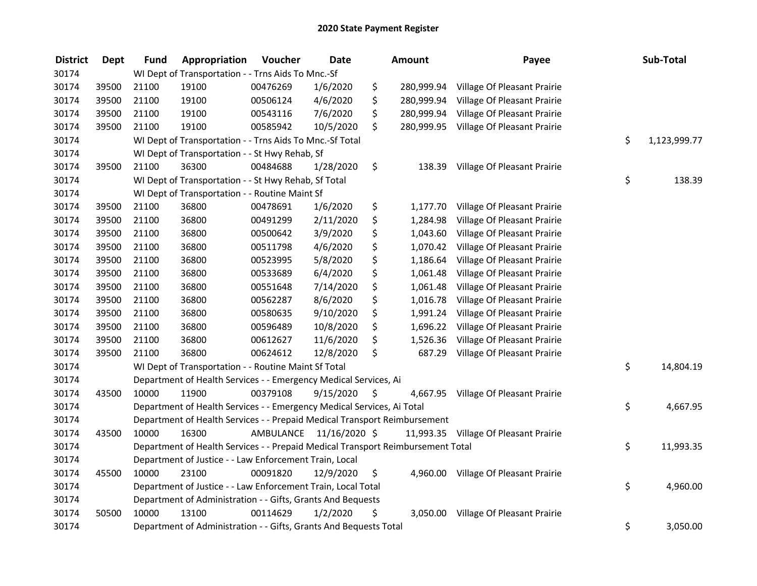| <b>District</b> | <b>Dept</b> | <b>Fund</b> | Appropriation                                                                   | Voucher  | <b>Date</b>             |     | Amount     | Payee                                 | Sub-Total          |
|-----------------|-------------|-------------|---------------------------------------------------------------------------------|----------|-------------------------|-----|------------|---------------------------------------|--------------------|
| 30174           |             |             | WI Dept of Transportation - - Trns Aids To Mnc.-Sf                              |          |                         |     |            |                                       |                    |
| 30174           | 39500       | 21100       | 19100                                                                           | 00476269 | 1/6/2020                | \$  | 280,999.94 | Village Of Pleasant Prairie           |                    |
| 30174           | 39500       | 21100       | 19100                                                                           | 00506124 | 4/6/2020                | \$  | 280,999.94 | Village Of Pleasant Prairie           |                    |
| 30174           | 39500       | 21100       | 19100                                                                           | 00543116 | 7/6/2020                | \$  | 280,999.94 | Village Of Pleasant Prairie           |                    |
| 30174           | 39500       | 21100       | 19100                                                                           | 00585942 | 10/5/2020               | \$  | 280,999.95 | Village Of Pleasant Prairie           |                    |
| 30174           |             |             | WI Dept of Transportation - - Trns Aids To Mnc.-Sf Total                        |          |                         |     |            |                                       | \$<br>1,123,999.77 |
| 30174           |             |             | WI Dept of Transportation - - St Hwy Rehab, Sf                                  |          |                         |     |            |                                       |                    |
| 30174           | 39500       | 21100       | 36300                                                                           | 00484688 | 1/28/2020               | \$  | 138.39     | Village Of Pleasant Prairie           |                    |
| 30174           |             |             | WI Dept of Transportation - - St Hwy Rehab, Sf Total                            |          |                         |     |            |                                       | \$<br>138.39       |
| 30174           |             |             | WI Dept of Transportation - - Routine Maint Sf                                  |          |                         |     |            |                                       |                    |
| 30174           | 39500       | 21100       | 36800                                                                           | 00478691 | 1/6/2020                | \$  | 1,177.70   | Village Of Pleasant Prairie           |                    |
| 30174           | 39500       | 21100       | 36800                                                                           | 00491299 | 2/11/2020               | \$  | 1,284.98   | Village Of Pleasant Prairie           |                    |
| 30174           | 39500       | 21100       | 36800                                                                           | 00500642 | 3/9/2020                | \$  | 1,043.60   | Village Of Pleasant Prairie           |                    |
| 30174           | 39500       | 21100       | 36800                                                                           | 00511798 | 4/6/2020                | \$  | 1,070.42   | Village Of Pleasant Prairie           |                    |
| 30174           | 39500       | 21100       | 36800                                                                           | 00523995 | 5/8/2020                | \$  | 1,186.64   | Village Of Pleasant Prairie           |                    |
| 30174           | 39500       | 21100       | 36800                                                                           | 00533689 | 6/4/2020                | \$  | 1,061.48   | Village Of Pleasant Prairie           |                    |
| 30174           | 39500       | 21100       | 36800                                                                           | 00551648 | 7/14/2020               | \$  | 1,061.48   | Village Of Pleasant Prairie           |                    |
| 30174           | 39500       | 21100       | 36800                                                                           | 00562287 | 8/6/2020                | \$  | 1,016.78   | Village Of Pleasant Prairie           |                    |
| 30174           | 39500       | 21100       | 36800                                                                           | 00580635 | 9/10/2020               | \$  | 1,991.24   | Village Of Pleasant Prairie           |                    |
| 30174           | 39500       | 21100       | 36800                                                                           | 00596489 | 10/8/2020               | \$  | 1,696.22   | Village Of Pleasant Prairie           |                    |
| 30174           | 39500       | 21100       | 36800                                                                           | 00612627 | 11/6/2020               | \$  | 1,526.36   | Village Of Pleasant Prairie           |                    |
| 30174           | 39500       | 21100       | 36800                                                                           | 00624612 | 12/8/2020               | \$  | 687.29     | Village Of Pleasant Prairie           |                    |
| 30174           |             |             | WI Dept of Transportation - - Routine Maint Sf Total                            |          |                         |     |            |                                       | \$<br>14,804.19    |
| 30174           |             |             | Department of Health Services - - Emergency Medical Services, Ai                |          |                         |     |            |                                       |                    |
| 30174           | 43500       | 10000       | 11900                                                                           | 00379108 | 9/15/2020               | -\$ | 4,667.95   | Village Of Pleasant Prairie           |                    |
| 30174           |             |             | Department of Health Services - - Emergency Medical Services, Ai Total          |          |                         |     |            |                                       | \$<br>4,667.95     |
| 30174           |             |             | Department of Health Services - - Prepaid Medical Transport Reimbursement       |          |                         |     |            |                                       |                    |
| 30174           | 43500       | 10000       | 16300                                                                           |          | AMBULANCE 11/16/2020 \$ |     |            | 11,993.35 Village Of Pleasant Prairie |                    |
| 30174           |             |             | Department of Health Services - - Prepaid Medical Transport Reimbursement Total |          |                         |     |            |                                       | \$<br>11,993.35    |
| 30174           |             |             | Department of Justice - - Law Enforcement Train, Local                          |          |                         |     |            |                                       |                    |
| 30174           | 45500       | 10000       | 23100                                                                           | 00091820 | 12/9/2020               | \$  | 4,960.00   | Village Of Pleasant Prairie           |                    |
| 30174           |             |             | Department of Justice - - Law Enforcement Train, Local Total                    |          |                         |     |            |                                       | \$<br>4,960.00     |
| 30174           |             |             | Department of Administration - - Gifts, Grants And Bequests                     |          |                         |     |            |                                       |                    |
| 30174           | 50500       | 10000       | 13100                                                                           | 00114629 | 1/2/2020                | \$  |            | 3,050.00 Village Of Pleasant Prairie  |                    |
| 30174           |             |             | Department of Administration - - Gifts, Grants And Bequests Total               |          |                         |     |            |                                       | \$<br>3,050.00     |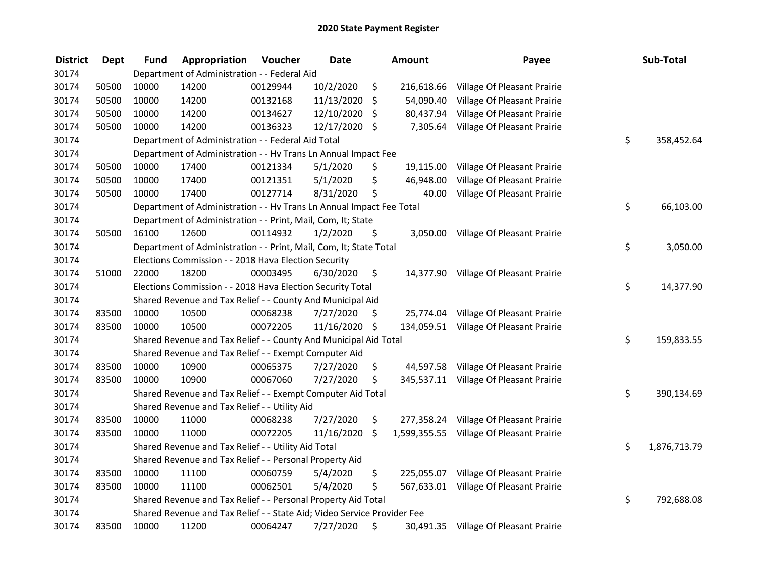| <b>District</b> | <b>Dept</b> | <b>Fund</b> | Appropriation                                                           | Voucher  | <b>Date</b>   |     | Amount     | Payee                                    | Sub-Total          |
|-----------------|-------------|-------------|-------------------------------------------------------------------------|----------|---------------|-----|------------|------------------------------------------|--------------------|
| 30174           |             |             | Department of Administration - - Federal Aid                            |          |               |     |            |                                          |                    |
| 30174           | 50500       | 10000       | 14200                                                                   | 00129944 | 10/2/2020     | \$  | 216,618.66 | Village Of Pleasant Prairie              |                    |
| 30174           | 50500       | 10000       | 14200                                                                   | 00132168 | 11/13/2020    | \$  | 54,090.40  | Village Of Pleasant Prairie              |                    |
| 30174           | 50500       | 10000       | 14200                                                                   | 00134627 | 12/10/2020    | \$  | 80,437.94  | Village Of Pleasant Prairie              |                    |
| 30174           | 50500       | 10000       | 14200                                                                   | 00136323 | 12/17/2020 \$ |     | 7,305.64   | Village Of Pleasant Prairie              |                    |
| 30174           |             |             | Department of Administration - - Federal Aid Total                      |          |               |     |            |                                          | \$<br>358,452.64   |
| 30174           |             |             | Department of Administration - - Hv Trans Ln Annual Impact Fee          |          |               |     |            |                                          |                    |
| 30174           | 50500       | 10000       | 17400                                                                   | 00121334 | 5/1/2020      | \$  | 19,115.00  | Village Of Pleasant Prairie              |                    |
| 30174           | 50500       | 10000       | 17400                                                                   | 00121351 | 5/1/2020      | \$  | 46,948.00  | Village Of Pleasant Prairie              |                    |
| 30174           | 50500       | 10000       | 17400                                                                   | 00127714 | 8/31/2020     | \$  | 40.00      | Village Of Pleasant Prairie              |                    |
| 30174           |             |             | Department of Administration - - Hv Trans Ln Annual Impact Fee Total    |          |               |     |            |                                          | \$<br>66,103.00    |
| 30174           |             |             | Department of Administration - - Print, Mail, Com, It; State            |          |               |     |            |                                          |                    |
| 30174           | 50500       | 16100       | 12600                                                                   | 00114932 | 1/2/2020      | \$. | 3,050.00   | Village Of Pleasant Prairie              |                    |
| 30174           |             |             | Department of Administration - - Print, Mail, Com, It; State Total      |          |               |     |            |                                          | \$<br>3,050.00     |
| 30174           |             |             | Elections Commission - - 2018 Hava Election Security                    |          |               |     |            |                                          |                    |
| 30174           | 51000       | 22000       | 18200                                                                   | 00003495 | 6/30/2020     | \$  | 14,377.90  | Village Of Pleasant Prairie              |                    |
| 30174           |             |             | Elections Commission - - 2018 Hava Election Security Total              |          |               |     |            |                                          | \$<br>14,377.90    |
| 30174           |             |             | Shared Revenue and Tax Relief - - County And Municipal Aid              |          |               |     |            |                                          |                    |
| 30174           | 83500       | 10000       | 10500                                                                   | 00068238 | 7/27/2020     | \$  |            | 25,774.04 Village Of Pleasant Prairie    |                    |
| 30174           | 83500       | 10000       | 10500                                                                   | 00072205 | 11/16/2020 \$ |     |            | 134,059.51 Village Of Pleasant Prairie   |                    |
| 30174           |             |             | Shared Revenue and Tax Relief - - County And Municipal Aid Total        |          |               |     |            |                                          | \$<br>159,833.55   |
| 30174           |             |             | Shared Revenue and Tax Relief - - Exempt Computer Aid                   |          |               |     |            |                                          |                    |
| 30174           | 83500       | 10000       | 10900                                                                   | 00065375 | 7/27/2020     | \$  |            | 44,597.58 Village Of Pleasant Prairie    |                    |
| 30174           | 83500       | 10000       | 10900                                                                   | 00067060 | 7/27/2020     | \$  |            | 345,537.11 Village Of Pleasant Prairie   |                    |
| 30174           |             |             | Shared Revenue and Tax Relief - - Exempt Computer Aid Total             |          |               |     |            |                                          | \$<br>390,134.69   |
| 30174           |             |             | Shared Revenue and Tax Relief - - Utility Aid                           |          |               |     |            |                                          |                    |
| 30174           | 83500       | 10000       | 11000                                                                   | 00068238 | 7/27/2020     | \$  |            | 277,358.24 Village Of Pleasant Prairie   |                    |
| 30174           | 83500       | 10000       | 11000                                                                   | 00072205 | 11/16/2020    | \$  |            | 1,599,355.55 Village Of Pleasant Prairie |                    |
| 30174           |             |             | Shared Revenue and Tax Relief - - Utility Aid Total                     |          |               |     |            |                                          | \$<br>1,876,713.79 |
| 30174           |             |             | Shared Revenue and Tax Relief - - Personal Property Aid                 |          |               |     |            |                                          |                    |
| 30174           | 83500       | 10000       | 11100                                                                   | 00060759 | 5/4/2020      | \$  | 225,055.07 | Village Of Pleasant Prairie              |                    |
| 30174           | 83500       | 10000       | 11100                                                                   | 00062501 | 5/4/2020      | \$  |            | 567,633.01 Village Of Pleasant Prairie   |                    |
| 30174           |             |             | Shared Revenue and Tax Relief - - Personal Property Aid Total           |          |               |     |            |                                          | \$<br>792,688.08   |
| 30174           |             |             | Shared Revenue and Tax Relief - - State Aid; Video Service Provider Fee |          |               |     |            |                                          |                    |
| 30174           | 83500       | 10000       | 11200                                                                   | 00064247 | 7/27/2020     | \$  |            | 30,491.35 Village Of Pleasant Prairie    |                    |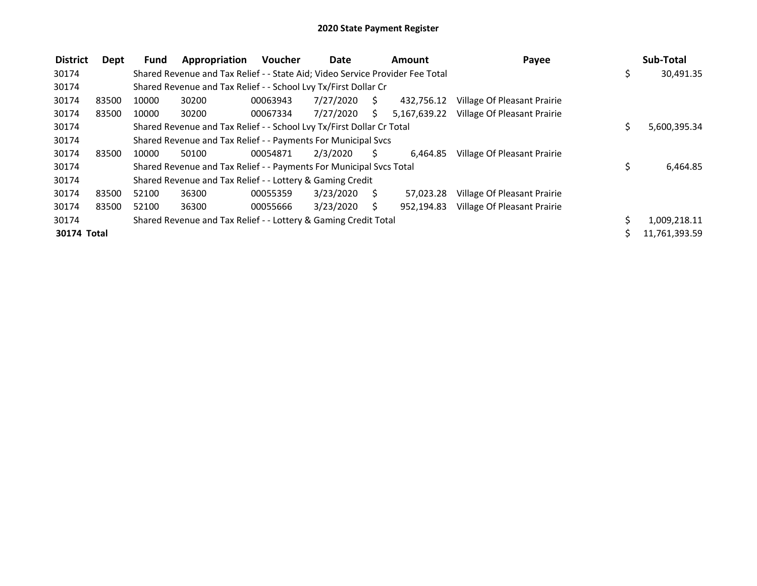| <b>District</b> | Dept  | <b>Fund</b> | Appropriation                                                                 | <b>Voucher</b> | Date      |                     | Amount     | Payee                                    |     | Sub-Total     |
|-----------------|-------|-------------|-------------------------------------------------------------------------------|----------------|-----------|---------------------|------------|------------------------------------------|-----|---------------|
| 30174           |       |             | Shared Revenue and Tax Relief - - State Aid; Video Service Provider Fee Total |                |           |                     |            |                                          | \$  | 30,491.35     |
| 30174           |       |             | Shared Revenue and Tax Relief - - School Lvy Tx/First Dollar Cr               |                |           |                     |            |                                          |     |               |
| 30174           | 83500 | 10000       | 30200                                                                         | 00063943       | 7/27/2020 | $\ddot{\mathsf{S}}$ | 432.756.12 | Village Of Pleasant Prairie              |     |               |
| 30174           | 83500 | 10000       | 30200                                                                         | 00067334       | 7/27/2020 | S.                  |            | 5,167,639.22 Village Of Pleasant Prairie |     |               |
| 30174           |       |             | Shared Revenue and Tax Relief - - School Lvy Tx/First Dollar Cr Total         |                |           |                     |            |                                          | \$. | 5,600,395.34  |
| 30174           |       |             | Shared Revenue and Tax Relief - - Payments For Municipal Svcs                 |                |           |                     |            |                                          |     |               |
| 30174           | 83500 | 10000       | 50100                                                                         | 00054871       | 2/3/2020  | S.                  | 6.464.85   | Village Of Pleasant Prairie              |     |               |
| 30174           |       |             | Shared Revenue and Tax Relief - - Payments For Municipal Svcs Total           |                |           |                     |            |                                          | \$  | 6,464.85      |
| 30174           |       |             | Shared Revenue and Tax Relief - - Lottery & Gaming Credit                     |                |           |                     |            |                                          |     |               |
| 30174           | 83500 | 52100       | 36300                                                                         | 00055359       | 3/23/2020 | - \$                | 57,023.28  | Village Of Pleasant Prairie              |     |               |
| 30174           | 83500 | 52100       | 36300                                                                         | 00055666       | 3/23/2020 | S.                  | 952.194.83 | Village Of Pleasant Prairie              |     |               |
| 30174           |       |             | Shared Revenue and Tax Relief - - Lottery & Gaming Credit Total               |                |           |                     |            |                                          |     | 1,009,218.11  |
| 30174 Total     |       |             |                                                                               |                |           |                     |            |                                          |     | 11,761,393.59 |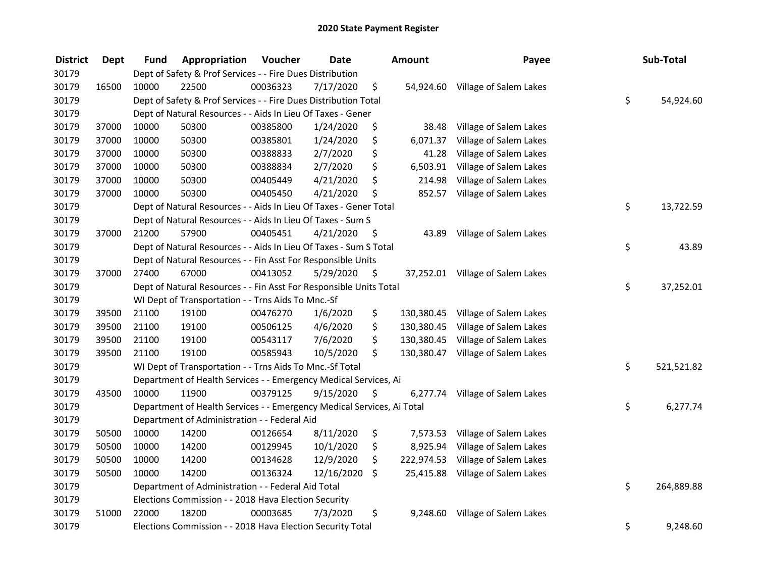| <b>District</b> | <b>Dept</b> | Fund  | Appropriation                                                          | Voucher  | <b>Date</b> |     | Amount     | Payee                            | Sub-Total        |
|-----------------|-------------|-------|------------------------------------------------------------------------|----------|-------------|-----|------------|----------------------------------|------------------|
| 30179           |             |       | Dept of Safety & Prof Services - - Fire Dues Distribution              |          |             |     |            |                                  |                  |
| 30179           | 16500       | 10000 | 22500                                                                  | 00036323 | 7/17/2020   | \$  |            | 54,924.60 Village of Salem Lakes |                  |
| 30179           |             |       | Dept of Safety & Prof Services - - Fire Dues Distribution Total        |          |             |     |            |                                  | \$<br>54,924.60  |
| 30179           |             |       | Dept of Natural Resources - - Aids In Lieu Of Taxes - Gener            |          |             |     |            |                                  |                  |
| 30179           | 37000       | 10000 | 50300                                                                  | 00385800 | 1/24/2020   | \$  | 38.48      | Village of Salem Lakes           |                  |
| 30179           | 37000       | 10000 | 50300                                                                  | 00385801 | 1/24/2020   | \$  | 6,071.37   | Village of Salem Lakes           |                  |
| 30179           | 37000       | 10000 | 50300                                                                  | 00388833 | 2/7/2020    | \$  | 41.28      | Village of Salem Lakes           |                  |
| 30179           | 37000       | 10000 | 50300                                                                  | 00388834 | 2/7/2020    | \$  |            | 6,503.91 Village of Salem Lakes  |                  |
| 30179           | 37000       | 10000 | 50300                                                                  | 00405449 | 4/21/2020   | \$  | 214.98     | Village of Salem Lakes           |                  |
| 30179           | 37000       | 10000 | 50300                                                                  | 00405450 | 4/21/2020   | \$  | 852.57     | Village of Salem Lakes           |                  |
| 30179           |             |       | Dept of Natural Resources - - Aids In Lieu Of Taxes - Gener Total      |          |             |     |            |                                  | \$<br>13,722.59  |
| 30179           |             |       | Dept of Natural Resources - - Aids In Lieu Of Taxes - Sum S            |          |             |     |            |                                  |                  |
| 30179           | 37000       | 21200 | 57900                                                                  | 00405451 | 4/21/2020   | \$  | 43.89      | Village of Salem Lakes           |                  |
| 30179           |             |       | Dept of Natural Resources - - Aids In Lieu Of Taxes - Sum S Total      |          |             |     |            |                                  | \$<br>43.89      |
| 30179           |             |       | Dept of Natural Resources - - Fin Asst For Responsible Units           |          |             |     |            |                                  |                  |
| 30179           | 37000       | 27400 | 67000                                                                  | 00413052 | 5/29/2020   | \$  |            | 37,252.01 Village of Salem Lakes |                  |
| 30179           |             |       | Dept of Natural Resources - - Fin Asst For Responsible Units Total     |          |             |     |            |                                  | \$<br>37,252.01  |
| 30179           |             |       | WI Dept of Transportation - - Trns Aids To Mnc.-Sf                     |          |             |     |            |                                  |                  |
| 30179           | 39500       | 21100 | 19100                                                                  | 00476270 | 1/6/2020    | \$  | 130,380.45 | Village of Salem Lakes           |                  |
| 30179           | 39500       | 21100 | 19100                                                                  | 00506125 | 4/6/2020    | \$  | 130,380.45 | Village of Salem Lakes           |                  |
| 30179           | 39500       | 21100 | 19100                                                                  | 00543117 | 7/6/2020    | \$  | 130,380.45 | Village of Salem Lakes           |                  |
| 30179           | 39500       | 21100 | 19100                                                                  | 00585943 | 10/5/2020   | \$  | 130,380.47 | Village of Salem Lakes           |                  |
| 30179           |             |       | WI Dept of Transportation - - Trns Aids To Mnc.-Sf Total               |          |             |     |            |                                  | \$<br>521,521.82 |
| 30179           |             |       | Department of Health Services - - Emergency Medical Services, Ai       |          |             |     |            |                                  |                  |
| 30179           | 43500       | 10000 | 11900                                                                  | 00379125 | 9/15/2020   | \$. | 6,277.74   | Village of Salem Lakes           |                  |
| 30179           |             |       | Department of Health Services - - Emergency Medical Services, Ai Total |          |             |     |            |                                  | \$<br>6,277.74   |
| 30179           |             |       | Department of Administration - - Federal Aid                           |          |             |     |            |                                  |                  |
| 30179           | 50500       | 10000 | 14200                                                                  | 00126654 | 8/11/2020   | \$  | 7,573.53   | Village of Salem Lakes           |                  |
| 30179           | 50500       | 10000 | 14200                                                                  | 00129945 | 10/1/2020   | \$  | 8,925.94   | Village of Salem Lakes           |                  |
| 30179           | 50500       | 10000 | 14200                                                                  | 00134628 | 12/9/2020   | \$  | 222,974.53 | Village of Salem Lakes           |                  |
| 30179           | 50500       | 10000 | 14200                                                                  | 00136324 | 12/16/2020  | \$  |            | 25,415.88 Village of Salem Lakes |                  |
| 30179           |             |       | Department of Administration - - Federal Aid Total                     |          |             |     |            |                                  | \$<br>264,889.88 |
| 30179           |             |       | Elections Commission - - 2018 Hava Election Security                   |          |             |     |            |                                  |                  |
| 30179           | 51000       | 22000 | 18200                                                                  | 00003685 | 7/3/2020    | \$  | 9,248.60   | Village of Salem Lakes           |                  |
| 30179           |             |       | Elections Commission - - 2018 Hava Election Security Total             |          |             |     |            |                                  | \$<br>9,248.60   |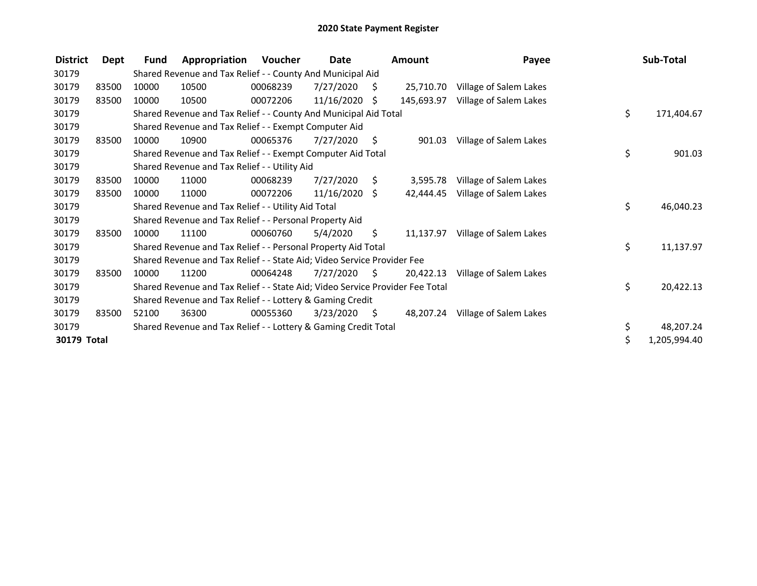| <b>District</b>    | Dept  | Fund  | Appropriation                                                                 | Voucher  | Date            |     | Amount     | Payee                  | Sub-Total          |
|--------------------|-------|-------|-------------------------------------------------------------------------------|----------|-----------------|-----|------------|------------------------|--------------------|
| 30179              |       |       | Shared Revenue and Tax Relief - - County And Municipal Aid                    |          |                 |     |            |                        |                    |
| 30179              | 83500 | 10000 | 10500                                                                         | 00068239 | 7/27/2020       | S   | 25,710.70  | Village of Salem Lakes |                    |
| 30179              | 83500 | 10000 | 10500                                                                         | 00072206 | 11/16/2020      | S.  | 145,693.97 | Village of Salem Lakes |                    |
| 30179              |       |       | Shared Revenue and Tax Relief - - County And Municipal Aid Total              |          |                 |     |            |                        | \$<br>171,404.67   |
| 30179              |       |       | Shared Revenue and Tax Relief - - Exempt Computer Aid                         |          |                 |     |            |                        |                    |
| 30179              | 83500 | 10000 | 10900                                                                         | 00065376 | 7/27/2020       | S   | 901.03     | Village of Salem Lakes |                    |
| 30179              |       |       | Shared Revenue and Tax Relief - - Exempt Computer Aid Total                   |          |                 |     |            |                        | \$<br>901.03       |
| 30179              |       |       | Shared Revenue and Tax Relief - - Utility Aid                                 |          |                 |     |            |                        |                    |
| 30179              | 83500 | 10000 | 11000                                                                         | 00068239 | 7/27/2020       | S.  | 3,595.78   | Village of Salem Lakes |                    |
| 30179              | 83500 | 10000 | 11000                                                                         | 00072206 | $11/16/2020$ \$ |     | 42,444.45  | Village of Salem Lakes |                    |
| 30179              |       |       | Shared Revenue and Tax Relief - - Utility Aid Total                           |          |                 |     |            |                        | \$<br>46,040.23    |
| 30179              |       |       | Shared Revenue and Tax Relief - - Personal Property Aid                       |          |                 |     |            |                        |                    |
| 30179              | 83500 | 10000 | 11100                                                                         | 00060760 | 5/4/2020        | \$. | 11,137.97  | Village of Salem Lakes |                    |
| 30179              |       |       | Shared Revenue and Tax Relief - - Personal Property Aid Total                 |          |                 |     |            |                        | \$<br>11,137.97    |
| 30179              |       |       | Shared Revenue and Tax Relief - - State Aid; Video Service Provider Fee       |          |                 |     |            |                        |                    |
| 30179              | 83500 | 10000 | 11200                                                                         | 00064248 | 7/27/2020       | -S  | 20,422.13  | Village of Salem Lakes |                    |
| 30179              |       |       | Shared Revenue and Tax Relief - - State Aid; Video Service Provider Fee Total |          |                 |     |            |                        | \$<br>20,422.13    |
| 30179              |       |       | Shared Revenue and Tax Relief - - Lottery & Gaming Credit                     |          |                 |     |            |                        |                    |
| 30179              | 83500 | 52100 | 36300                                                                         | 00055360 | 3/23/2020       | S.  | 48,207.24  | Village of Salem Lakes |                    |
| 30179              |       |       | Shared Revenue and Tax Relief - - Lottery & Gaming Credit Total               |          |                 |     |            |                        | \$<br>48,207.24    |
| <b>30179 Total</b> |       |       |                                                                               |          |                 |     |            |                        | \$<br>1,205,994.40 |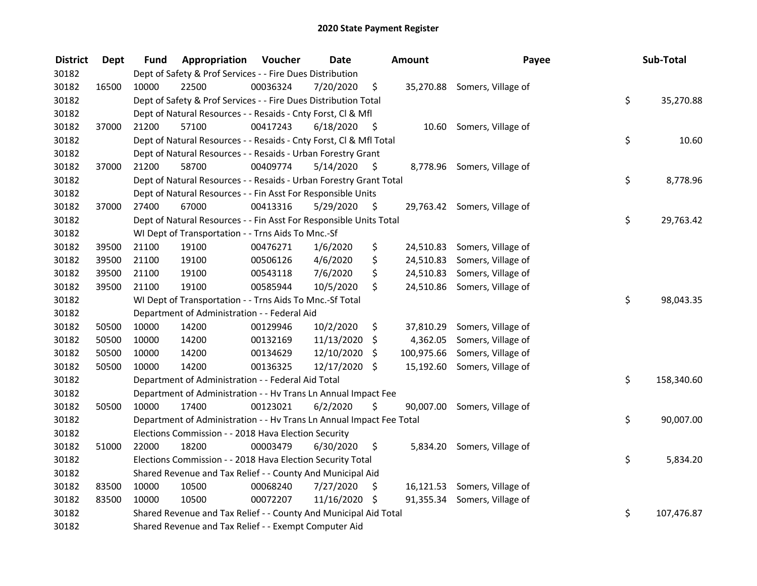| <b>District</b> | <b>Dept</b> | Fund  | Appropriation                                                        | Voucher  | <b>Date</b>   |      | <b>Amount</b> | Payee                        | Sub-Total        |
|-----------------|-------------|-------|----------------------------------------------------------------------|----------|---------------|------|---------------|------------------------------|------------------|
| 30182           |             |       | Dept of Safety & Prof Services - - Fire Dues Distribution            |          |               |      |               |                              |                  |
| 30182           | 16500       | 10000 | 22500                                                                | 00036324 | 7/20/2020     | \$   |               | 35,270.88 Somers, Village of |                  |
| 30182           |             |       | Dept of Safety & Prof Services - - Fire Dues Distribution Total      |          |               |      |               |                              | \$<br>35,270.88  |
| 30182           |             |       | Dept of Natural Resources - - Resaids - Cnty Forst, Cl & Mfl         |          |               |      |               |                              |                  |
| 30182           | 37000       | 21200 | 57100                                                                | 00417243 | 6/18/2020     | - \$ |               | 10.60 Somers, Village of     |                  |
| 30182           |             |       | Dept of Natural Resources - - Resaids - Cnty Forst, CI & Mfl Total   |          |               |      |               |                              | \$<br>10.60      |
| 30182           |             |       | Dept of Natural Resources - - Resaids - Urban Forestry Grant         |          |               |      |               |                              |                  |
| 30182           | 37000       | 21200 | 58700                                                                | 00409774 | 5/14/2020     | - \$ |               | 8,778.96 Somers, Village of  |                  |
| 30182           |             |       | Dept of Natural Resources - - Resaids - Urban Forestry Grant Total   |          |               |      |               |                              | \$<br>8,778.96   |
| 30182           |             |       | Dept of Natural Resources - - Fin Asst For Responsible Units         |          |               |      |               |                              |                  |
| 30182           | 37000       | 27400 | 67000                                                                | 00413316 | 5/29/2020     | \$   |               | 29,763.42 Somers, Village of |                  |
| 30182           |             |       | Dept of Natural Resources - - Fin Asst For Responsible Units Total   |          |               |      |               |                              | \$<br>29,763.42  |
| 30182           |             |       | WI Dept of Transportation - - Trns Aids To Mnc.-Sf                   |          |               |      |               |                              |                  |
| 30182           | 39500       | 21100 | 19100                                                                | 00476271 | 1/6/2020      | \$   |               | 24,510.83 Somers, Village of |                  |
| 30182           | 39500       | 21100 | 19100                                                                | 00506126 | 4/6/2020      | \$   |               | 24,510.83 Somers, Village of |                  |
| 30182           | 39500       | 21100 | 19100                                                                | 00543118 | 7/6/2020      | \$   |               | 24,510.83 Somers, Village of |                  |
| 30182           | 39500       | 21100 | 19100                                                                | 00585944 | 10/5/2020     | \$   |               | 24,510.86 Somers, Village of |                  |
| 30182           |             |       | WI Dept of Transportation - - Trns Aids To Mnc.-Sf Total             |          |               |      |               |                              | \$<br>98,043.35  |
| 30182           |             |       | Department of Administration - - Federal Aid                         |          |               |      |               |                              |                  |
| 30182           | 50500       | 10000 | 14200                                                                | 00129946 | 10/2/2020     | \$   |               | 37,810.29 Somers, Village of |                  |
| 30182           | 50500       | 10000 | 14200                                                                | 00132169 | 11/13/2020    | \$   |               | 4,362.05 Somers, Village of  |                  |
| 30182           | 50500       | 10000 | 14200                                                                | 00134629 | 12/10/2020    | \$   | 100,975.66    | Somers, Village of           |                  |
| 30182           | 50500       | 10000 | 14200                                                                | 00136325 | 12/17/2020 \$ |      |               | 15,192.60 Somers, Village of |                  |
| 30182           |             |       | Department of Administration - - Federal Aid Total                   |          |               |      |               |                              | \$<br>158,340.60 |
| 30182           |             |       | Department of Administration - - Hv Trans Ln Annual Impact Fee       |          |               |      |               |                              |                  |
| 30182           | 50500       | 10000 | 17400                                                                | 00123021 | 6/2/2020      | \$   |               | 90,007.00 Somers, Village of |                  |
| 30182           |             |       | Department of Administration - - Hv Trans Ln Annual Impact Fee Total |          |               |      |               |                              | \$<br>90,007.00  |
| 30182           |             |       | Elections Commission - - 2018 Hava Election Security                 |          |               |      |               |                              |                  |
| 30182           | 51000       | 22000 | 18200                                                                | 00003479 | 6/30/2020     | \$   |               | 5,834.20 Somers, Village of  |                  |
| 30182           |             |       | Elections Commission - - 2018 Hava Election Security Total           |          |               |      |               |                              | \$<br>5,834.20   |
| 30182           |             |       | Shared Revenue and Tax Relief - - County And Municipal Aid           |          |               |      |               |                              |                  |
| 30182           | 83500       | 10000 | 10500                                                                | 00068240 | 7/27/2020     | \$   |               | 16,121.53 Somers, Village of |                  |
| 30182           | 83500       | 10000 | 10500                                                                | 00072207 | 11/16/2020 \$ |      |               | 91,355.34 Somers, Village of |                  |
| 30182           |             |       | Shared Revenue and Tax Relief - - County And Municipal Aid Total     |          |               |      |               |                              | \$<br>107,476.87 |
| 30182           |             |       | Shared Revenue and Tax Relief - - Exempt Computer Aid                |          |               |      |               |                              |                  |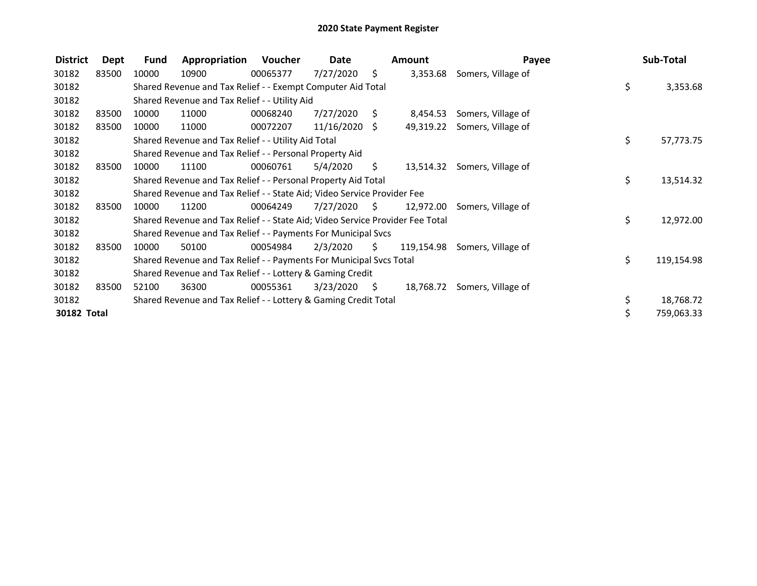| <b>District</b>    | Dept  | Fund  | Appropriation                                                                 | Voucher  | Date            |      | <b>Amount</b> | Payee                         | Sub-Total        |
|--------------------|-------|-------|-------------------------------------------------------------------------------|----------|-----------------|------|---------------|-------------------------------|------------------|
| 30182              | 83500 | 10000 | 10900                                                                         | 00065377 | 7/27/2020       | \$.  | 3,353.68      | Somers, Village of            |                  |
| 30182              |       |       | Shared Revenue and Tax Relief - - Exempt Computer Aid Total                   |          |                 |      |               |                               | \$<br>3,353.68   |
| 30182              |       |       | Shared Revenue and Tax Relief - - Utility Aid                                 |          |                 |      |               |                               |                  |
| 30182              | 83500 | 10000 | 11000                                                                         | 00068240 | 7/27/2020       | S.   | 8,454.53      | Somers, Village of            |                  |
| 30182              | 83500 | 10000 | 11000                                                                         | 00072207 | $11/16/2020$ \$ |      |               | 49,319.22 Somers, Village of  |                  |
| 30182              |       |       | Shared Revenue and Tax Relief - - Utility Aid Total                           |          |                 |      |               |                               | \$<br>57,773.75  |
| 30182              |       |       | Shared Revenue and Tax Relief - - Personal Property Aid                       |          |                 |      |               |                               |                  |
| 30182              | 83500 | 10000 | 11100                                                                         | 00060761 | 5/4/2020        | S.   |               | 13,514.32 Somers, Village of  |                  |
| 30182              |       |       | Shared Revenue and Tax Relief - - Personal Property Aid Total                 |          |                 |      |               |                               | \$<br>13,514.32  |
| 30182              |       |       | Shared Revenue and Tax Relief - - State Aid; Video Service Provider Fee       |          |                 |      |               |                               |                  |
| 30182              | 83500 | 10000 | 11200                                                                         | 00064249 | 7/27/2020       | - \$ |               | 12,972.00 Somers, Village of  |                  |
| 30182              |       |       | Shared Revenue and Tax Relief - - State Aid; Video Service Provider Fee Total |          |                 |      |               |                               | \$<br>12,972.00  |
| 30182              |       |       | Shared Revenue and Tax Relief - - Payments For Municipal Svcs                 |          |                 |      |               |                               |                  |
| 30182              | 83500 | 10000 | 50100                                                                         | 00054984 | 2/3/2020        | \$.  |               | 119,154.98 Somers, Village of |                  |
| 30182              |       |       | Shared Revenue and Tax Relief - - Payments For Municipal Svcs Total           |          |                 |      |               |                               | \$<br>119,154.98 |
| 30182              |       |       | Shared Revenue and Tax Relief - - Lottery & Gaming Credit                     |          |                 |      |               |                               |                  |
| 30182              | 83500 | 52100 | 36300                                                                         | 00055361 | 3/23/2020       | - \$ |               | 18,768.72 Somers, Village of  |                  |
| 30182              |       |       | Shared Revenue and Tax Relief - - Lottery & Gaming Credit Total               |          |                 |      |               |                               | 18,768.72        |
| <b>30182 Total</b> |       |       |                                                                               |          |                 |      |               |                               | \$<br>759,063.33 |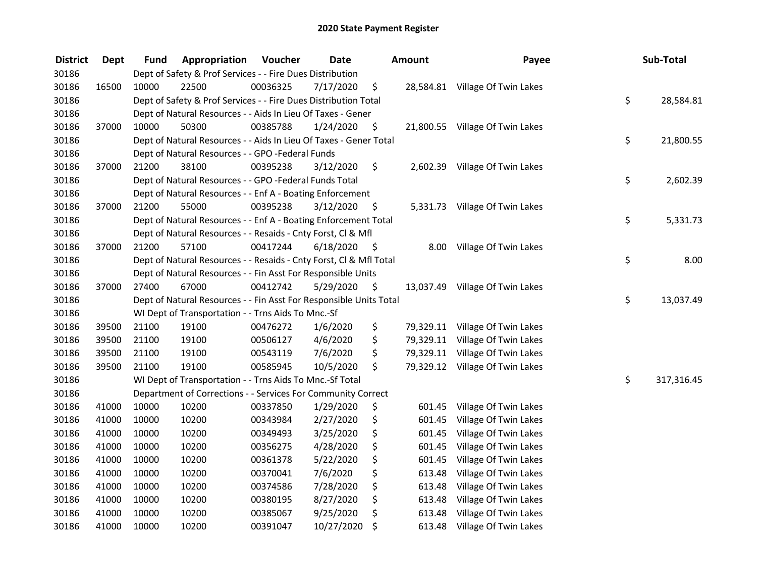| <b>District</b> | Dept  | Fund  | Appropriation                                                      | Voucher  | <b>Date</b> |      | <b>Amount</b> | Payee                           | Sub-Total        |
|-----------------|-------|-------|--------------------------------------------------------------------|----------|-------------|------|---------------|---------------------------------|------------------|
| 30186           |       |       | Dept of Safety & Prof Services - - Fire Dues Distribution          |          |             |      |               |                                 |                  |
| 30186           | 16500 | 10000 | 22500                                                              | 00036325 | 7/17/2020   | \$   |               | 28,584.81 Village Of Twin Lakes |                  |
| 30186           |       |       | Dept of Safety & Prof Services - - Fire Dues Distribution Total    |          |             |      |               |                                 | \$<br>28,584.81  |
| 30186           |       |       | Dept of Natural Resources - - Aids In Lieu Of Taxes - Gener        |          |             |      |               |                                 |                  |
| 30186           | 37000 | 10000 | 50300                                                              | 00385788 | 1/24/2020   | \$   |               | 21,800.55 Village Of Twin Lakes |                  |
| 30186           |       |       | Dept of Natural Resources - - Aids In Lieu Of Taxes - Gener Total  |          |             |      |               |                                 | \$<br>21,800.55  |
| 30186           |       |       | Dept of Natural Resources - - GPO -Federal Funds                   |          |             |      |               |                                 |                  |
| 30186           | 37000 | 21200 | 38100                                                              | 00395238 | 3/12/2020   | \$   |               | 2,602.39 Village Of Twin Lakes  |                  |
| 30186           |       |       | Dept of Natural Resources - - GPO -Federal Funds Total             |          |             |      |               |                                 | \$<br>2,602.39   |
| 30186           |       |       | Dept of Natural Resources - - Enf A - Boating Enforcement          |          |             |      |               |                                 |                  |
| 30186           | 37000 | 21200 | 55000                                                              | 00395238 | 3/12/2020   | Ş    |               | 5,331.73 Village Of Twin Lakes  |                  |
| 30186           |       |       | Dept of Natural Resources - - Enf A - Boating Enforcement Total    |          |             |      |               |                                 | \$<br>5,331.73   |
| 30186           |       |       | Dept of Natural Resources - - Resaids - Cnty Forst, Cl & Mfl       |          |             |      |               |                                 |                  |
| 30186           | 37000 | 21200 | 57100                                                              | 00417244 | 6/18/2020   | - \$ | 8.00          | Village Of Twin Lakes           |                  |
| 30186           |       |       | Dept of Natural Resources - - Resaids - Cnty Forst, Cl & Mfl Total |          |             |      |               |                                 | \$<br>8.00       |
| 30186           |       |       | Dept of Natural Resources - - Fin Asst For Responsible Units       |          |             |      |               |                                 |                  |
| 30186           | 37000 | 27400 | 67000                                                              | 00412742 | 5/29/2020   | \$   |               | 13,037.49 Village Of Twin Lakes |                  |
| 30186           |       |       | Dept of Natural Resources - - Fin Asst For Responsible Units Total |          |             |      |               |                                 | \$<br>13,037.49  |
| 30186           |       |       | WI Dept of Transportation - - Trns Aids To Mnc.-Sf                 |          |             |      |               |                                 |                  |
| 30186           | 39500 | 21100 | 19100                                                              | 00476272 | 1/6/2020    | \$   |               | 79,329.11 Village Of Twin Lakes |                  |
| 30186           | 39500 | 21100 | 19100                                                              | 00506127 | 4/6/2020    | \$   |               | 79,329.11 Village Of Twin Lakes |                  |
| 30186           | 39500 | 21100 | 19100                                                              | 00543119 | 7/6/2020    | \$   |               | 79,329.11 Village Of Twin Lakes |                  |
| 30186           | 39500 | 21100 | 19100                                                              | 00585945 | 10/5/2020   | \$   |               | 79,329.12 Village Of Twin Lakes |                  |
| 30186           |       |       | WI Dept of Transportation - - Trns Aids To Mnc.-Sf Total           |          |             |      |               |                                 | \$<br>317,316.45 |
| 30186           |       |       | Department of Corrections - - Services For Community Correct       |          |             |      |               |                                 |                  |
| 30186           | 41000 | 10000 | 10200                                                              | 00337850 | 1/29/2020   | \$   | 601.45        | Village Of Twin Lakes           |                  |
| 30186           | 41000 | 10000 | 10200                                                              | 00343984 | 2/27/2020   | \$   | 601.45        | Village Of Twin Lakes           |                  |
| 30186           | 41000 | 10000 | 10200                                                              | 00349493 | 3/25/2020   | \$   | 601.45        | Village Of Twin Lakes           |                  |
| 30186           | 41000 | 10000 | 10200                                                              | 00356275 | 4/28/2020   | \$   | 601.45        | Village Of Twin Lakes           |                  |
| 30186           | 41000 | 10000 | 10200                                                              | 00361378 | 5/22/2020   | \$   | 601.45        | Village Of Twin Lakes           |                  |
| 30186           | 41000 | 10000 | 10200                                                              | 00370041 | 7/6/2020    | \$   | 613.48        | Village Of Twin Lakes           |                  |
| 30186           | 41000 | 10000 | 10200                                                              | 00374586 | 7/28/2020   | \$   | 613.48        | Village Of Twin Lakes           |                  |
| 30186           | 41000 | 10000 | 10200                                                              | 00380195 | 8/27/2020   | \$   | 613.48        | Village Of Twin Lakes           |                  |
| 30186           | 41000 | 10000 | 10200                                                              | 00385067 | 9/25/2020   | \$   | 613.48        | Village Of Twin Lakes           |                  |
| 30186           | 41000 | 10000 | 10200                                                              | 00391047 | 10/27/2020  | \$   | 613.48        | Village Of Twin Lakes           |                  |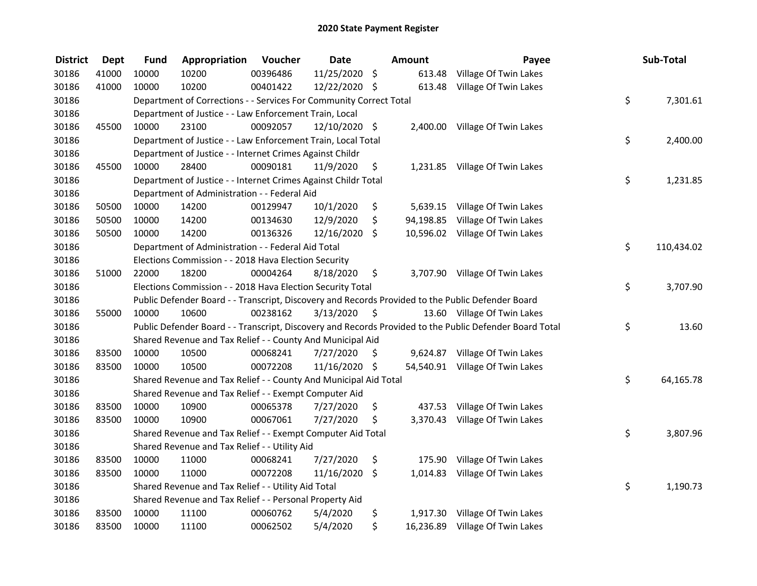| <b>District</b> | <b>Dept</b> | <b>Fund</b> | Appropriation                                                      | Voucher  | <b>Date</b>   |      | <b>Amount</b> | Payee                                                                                                   | Sub-Total        |
|-----------------|-------------|-------------|--------------------------------------------------------------------|----------|---------------|------|---------------|---------------------------------------------------------------------------------------------------------|------------------|
| 30186           | 41000       | 10000       | 10200                                                              | 00396486 | 11/25/2020 \$ |      |               | 613.48 Village Of Twin Lakes                                                                            |                  |
| 30186           | 41000       | 10000       | 10200                                                              | 00401422 | 12/22/2020 \$ |      |               | 613.48 Village Of Twin Lakes                                                                            |                  |
| 30186           |             |             | Department of Corrections - - Services For Community Correct Total |          |               |      |               |                                                                                                         | \$<br>7,301.61   |
| 30186           |             |             | Department of Justice - - Law Enforcement Train, Local             |          |               |      |               |                                                                                                         |                  |
| 30186           | 45500       | 10000       | 23100                                                              | 00092057 | 12/10/2020 \$ |      |               | 2,400.00 Village Of Twin Lakes                                                                          |                  |
| 30186           |             |             | Department of Justice - - Law Enforcement Train, Local Total       |          |               |      |               |                                                                                                         | \$<br>2,400.00   |
| 30186           |             |             | Department of Justice - - Internet Crimes Against Childr           |          |               |      |               |                                                                                                         |                  |
| 30186           | 45500       | 10000       | 28400                                                              | 00090181 | 11/9/2020     | \$   |               | 1,231.85 Village Of Twin Lakes                                                                          |                  |
| 30186           |             |             | Department of Justice - - Internet Crimes Against Childr Total     |          |               |      |               |                                                                                                         | \$<br>1,231.85   |
| 30186           |             |             | Department of Administration - - Federal Aid                       |          |               |      |               |                                                                                                         |                  |
| 30186           | 50500       | 10000       | 14200                                                              | 00129947 | 10/1/2020     | \$   |               | 5,639.15 Village Of Twin Lakes                                                                          |                  |
| 30186           | 50500       | 10000       | 14200                                                              | 00134630 | 12/9/2020     | \$   |               | 94,198.85 Village Of Twin Lakes                                                                         |                  |
| 30186           | 50500       | 10000       | 14200                                                              | 00136326 | 12/16/2020    | \$   |               | 10,596.02 Village Of Twin Lakes                                                                         |                  |
| 30186           |             |             | Department of Administration - - Federal Aid Total                 |          |               |      |               |                                                                                                         | \$<br>110,434.02 |
| 30186           |             |             | Elections Commission - - 2018 Hava Election Security               |          |               |      |               |                                                                                                         |                  |
| 30186           | 51000       | 22000       | 18200                                                              | 00004264 | 8/18/2020     | \$   |               | 3,707.90 Village Of Twin Lakes                                                                          |                  |
| 30186           |             |             | Elections Commission - - 2018 Hava Election Security Total         |          |               |      |               |                                                                                                         | \$<br>3,707.90   |
| 30186           |             |             |                                                                    |          |               |      |               | Public Defender Board - - Transcript, Discovery and Records Provided to the Public Defender Board       |                  |
| 30186           | 55000       | 10000       | 10600                                                              | 00238162 | 3/13/2020     | - \$ |               | 13.60 Village Of Twin Lakes                                                                             |                  |
| 30186           |             |             |                                                                    |          |               |      |               | Public Defender Board - - Transcript, Discovery and Records Provided to the Public Defender Board Total | \$<br>13.60      |
| 30186           |             |             | Shared Revenue and Tax Relief - - County And Municipal Aid         |          |               |      |               |                                                                                                         |                  |
| 30186           | 83500       | 10000       | 10500                                                              | 00068241 | 7/27/2020     | \$   |               | 9,624.87 Village Of Twin Lakes                                                                          |                  |
| 30186           | 83500       | 10000       | 10500                                                              | 00072208 | 11/16/2020 \$ |      |               | 54,540.91 Village Of Twin Lakes                                                                         |                  |
| 30186           |             |             | Shared Revenue and Tax Relief - - County And Municipal Aid Total   |          |               |      |               |                                                                                                         | \$<br>64,165.78  |
| 30186           |             |             | Shared Revenue and Tax Relief - - Exempt Computer Aid              |          |               |      |               |                                                                                                         |                  |
| 30186           | 83500       | 10000       | 10900                                                              | 00065378 | 7/27/2020     | \$   |               | 437.53 Village Of Twin Lakes                                                                            |                  |
| 30186           | 83500       | 10000       | 10900                                                              | 00067061 | 7/27/2020     | \$   |               | 3,370.43 Village Of Twin Lakes                                                                          |                  |
| 30186           |             |             | Shared Revenue and Tax Relief - - Exempt Computer Aid Total        |          |               |      |               |                                                                                                         | \$<br>3,807.96   |
| 30186           |             |             | Shared Revenue and Tax Relief - - Utility Aid                      |          |               |      |               |                                                                                                         |                  |
| 30186           | 83500       | 10000       | 11000                                                              | 00068241 | 7/27/2020     | \$   |               | 175.90 Village Of Twin Lakes                                                                            |                  |
| 30186           | 83500       | 10000       | 11000                                                              | 00072208 | 11/16/2020    | \$   |               | 1,014.83 Village Of Twin Lakes                                                                          |                  |
| 30186           |             |             | Shared Revenue and Tax Relief - - Utility Aid Total                |          |               |      |               |                                                                                                         | \$<br>1,190.73   |
| 30186           |             |             | Shared Revenue and Tax Relief - - Personal Property Aid            |          |               |      |               |                                                                                                         |                  |
| 30186           | 83500       | 10000       | 11100                                                              | 00060762 | 5/4/2020      | \$   |               | 1,917.30 Village Of Twin Lakes                                                                          |                  |
| 30186           | 83500       | 10000       | 11100                                                              | 00062502 | 5/4/2020      | \$   |               | 16,236.89 Village Of Twin Lakes                                                                         |                  |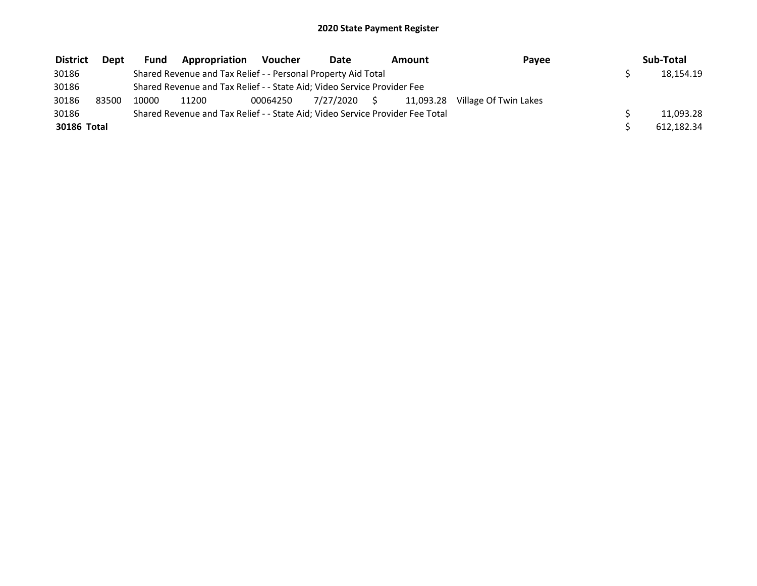| <b>District</b> | Dept  | <b>Fund</b> | Appropriation                                                                 | Voucher  | Date         | Amount    | Payee                 | Sub-Total  |
|-----------------|-------|-------------|-------------------------------------------------------------------------------|----------|--------------|-----------|-----------------------|------------|
| 30186           |       |             | Shared Revenue and Tax Relief - - Personal Property Aid Total                 |          |              |           |                       | 18,154.19  |
| 30186           |       |             | Shared Revenue and Tax Relief - - State Aid; Video Service Provider Fee       |          |              |           |                       |            |
| 30186           | 83500 | 10000       | 11200                                                                         | 00064250 | 7/27/2020 \$ | 11.093.28 | Village Of Twin Lakes |            |
| 30186           |       |             | Shared Revenue and Tax Relief - - State Aid; Video Service Provider Fee Total |          |              |           |                       | 11,093.28  |
| 30186 Total     |       |             |                                                                               |          |              |           |                       | 612,182.34 |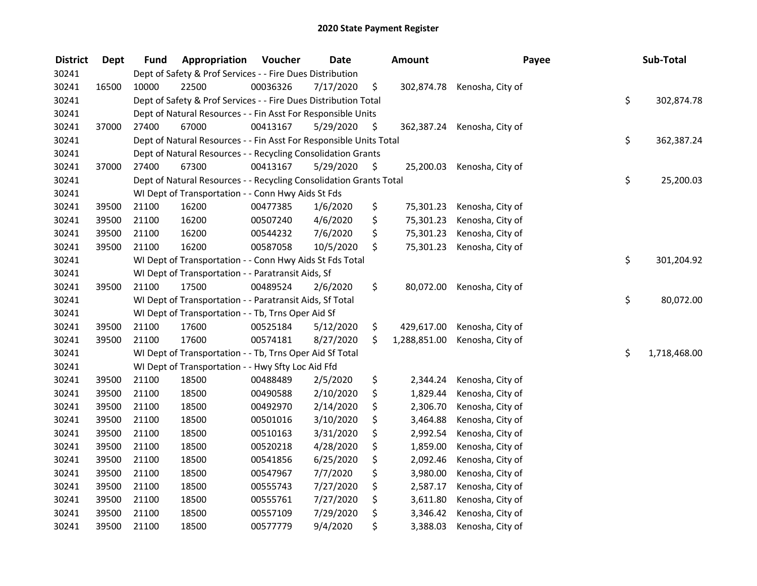| <b>District</b> | <b>Dept</b> | <b>Fund</b> | Appropriation                                                      | Voucher  | <b>Date</b> | Amount             | Payee                       | Sub-Total          |
|-----------------|-------------|-------------|--------------------------------------------------------------------|----------|-------------|--------------------|-----------------------------|--------------------|
| 30241           |             |             | Dept of Safety & Prof Services - - Fire Dues Distribution          |          |             |                    |                             |                    |
| 30241           | 16500       | 10000       | 22500                                                              | 00036326 | 7/17/2020   | \$                 | 302,874.78 Kenosha, City of |                    |
| 30241           |             |             | Dept of Safety & Prof Services - - Fire Dues Distribution Total    |          |             |                    |                             | \$<br>302,874.78   |
| 30241           |             |             | Dept of Natural Resources - - Fin Asst For Responsible Units       |          |             |                    |                             |                    |
| 30241           | 37000       | 27400       | 67000                                                              | 00413167 | 5/29/2020   | \$                 | 362,387.24 Kenosha, City of |                    |
| 30241           |             |             | Dept of Natural Resources - - Fin Asst For Responsible Units Total |          |             |                    |                             | \$<br>362,387.24   |
| 30241           |             |             | Dept of Natural Resources - - Recycling Consolidation Grants       |          |             |                    |                             |                    |
| 30241           | 37000       | 27400       | 67300                                                              | 00413167 | 5/29/2020   | \$                 | 25,200.03 Kenosha, City of  |                    |
| 30241           |             |             | Dept of Natural Resources - - Recycling Consolidation Grants Total |          |             |                    |                             | \$<br>25,200.03    |
| 30241           |             |             | WI Dept of Transportation - - Conn Hwy Aids St Fds                 |          |             |                    |                             |                    |
| 30241           | 39500       | 21100       | 16200                                                              | 00477385 | 1/6/2020    | \$<br>75,301.23    | Kenosha, City of            |                    |
| 30241           | 39500       | 21100       | 16200                                                              | 00507240 | 4/6/2020    | \$<br>75,301.23    | Kenosha, City of            |                    |
| 30241           | 39500       | 21100       | 16200                                                              | 00544232 | 7/6/2020    | \$<br>75,301.23    | Kenosha, City of            |                    |
| 30241           | 39500       | 21100       | 16200                                                              | 00587058 | 10/5/2020   | \$<br>75,301.23    | Kenosha, City of            |                    |
| 30241           |             |             | WI Dept of Transportation - - Conn Hwy Aids St Fds Total           |          |             |                    |                             | \$<br>301,204.92   |
| 30241           |             |             | WI Dept of Transportation - - Paratransit Aids, Sf                 |          |             |                    |                             |                    |
| 30241           | 39500       | 21100       | 17500                                                              | 00489524 | 2/6/2020    | \$<br>80,072.00    | Kenosha, City of            |                    |
| 30241           |             |             | WI Dept of Transportation - - Paratransit Aids, Sf Total           |          |             |                    |                             | \$<br>80,072.00    |
| 30241           |             |             | WI Dept of Transportation - - Tb, Trns Oper Aid Sf                 |          |             |                    |                             |                    |
| 30241           | 39500       | 21100       | 17600                                                              | 00525184 | 5/12/2020   | \$<br>429,617.00   | Kenosha, City of            |                    |
| 30241           | 39500       | 21100       | 17600                                                              | 00574181 | 8/27/2020   | \$<br>1,288,851.00 | Kenosha, City of            |                    |
| 30241           |             |             | WI Dept of Transportation - - Tb, Trns Oper Aid Sf Total           |          |             |                    |                             | \$<br>1,718,468.00 |
| 30241           |             |             | WI Dept of Transportation - - Hwy Sfty Loc Aid Ffd                 |          |             |                    |                             |                    |
| 30241           | 39500       | 21100       | 18500                                                              | 00488489 | 2/5/2020    | \$<br>2,344.24     | Kenosha, City of            |                    |
| 30241           | 39500       | 21100       | 18500                                                              | 00490588 | 2/10/2020   | \$<br>1,829.44     | Kenosha, City of            |                    |
| 30241           | 39500       | 21100       | 18500                                                              | 00492970 | 2/14/2020   | \$<br>2,306.70     | Kenosha, City of            |                    |
| 30241           | 39500       | 21100       | 18500                                                              | 00501016 | 3/10/2020   | \$<br>3,464.88     | Kenosha, City of            |                    |
| 30241           | 39500       | 21100       | 18500                                                              | 00510163 | 3/31/2020   | \$<br>2,992.54     | Kenosha, City of            |                    |
| 30241           | 39500       | 21100       | 18500                                                              | 00520218 | 4/28/2020   | \$<br>1,859.00     | Kenosha, City of            |                    |
| 30241           | 39500       | 21100       | 18500                                                              | 00541856 | 6/25/2020   | \$<br>2,092.46     | Kenosha, City of            |                    |
| 30241           | 39500       | 21100       | 18500                                                              | 00547967 | 7/7/2020    | \$<br>3,980.00     | Kenosha, City of            |                    |
| 30241           | 39500       | 21100       | 18500                                                              | 00555743 | 7/27/2020   | \$<br>2,587.17     | Kenosha, City of            |                    |
| 30241           | 39500       | 21100       | 18500                                                              | 00555761 | 7/27/2020   | \$<br>3,611.80     | Kenosha, City of            |                    |
| 30241           | 39500       | 21100       | 18500                                                              | 00557109 | 7/29/2020   | \$<br>3,346.42     | Kenosha, City of            |                    |
| 30241           | 39500       | 21100       | 18500                                                              | 00577779 | 9/4/2020    | \$<br>3,388.03     | Kenosha, City of            |                    |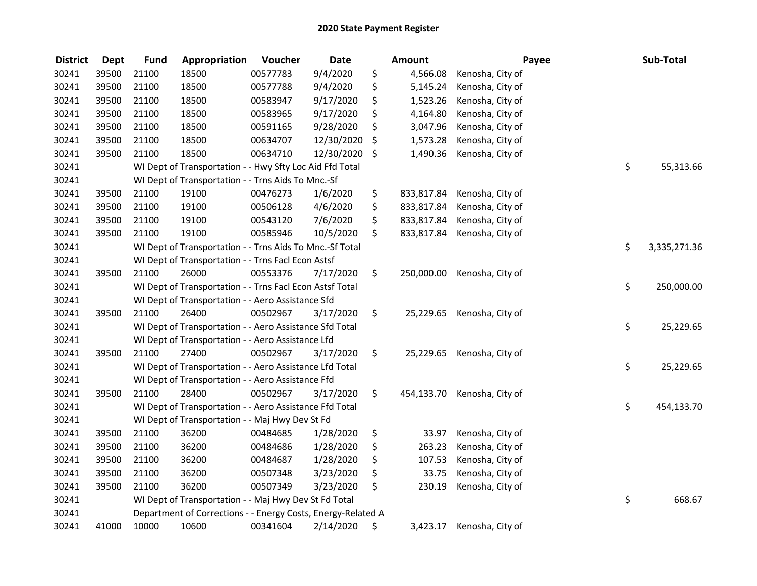| <b>District</b> | <b>Dept</b> | <b>Fund</b> | Appropriation                                                | Voucher  | <b>Date</b> |     | <b>Amount</b> | Payee            | Sub-Total          |
|-----------------|-------------|-------------|--------------------------------------------------------------|----------|-------------|-----|---------------|------------------|--------------------|
| 30241           | 39500       | 21100       | 18500                                                        | 00577783 | 9/4/2020    | \$  | 4,566.08      | Kenosha, City of |                    |
| 30241           | 39500       | 21100       | 18500                                                        | 00577788 | 9/4/2020    | \$  | 5,145.24      | Kenosha, City of |                    |
| 30241           | 39500       | 21100       | 18500                                                        | 00583947 | 9/17/2020   | \$  | 1,523.26      | Kenosha, City of |                    |
| 30241           | 39500       | 21100       | 18500                                                        | 00583965 | 9/17/2020   | \$  | 4,164.80      | Kenosha, City of |                    |
| 30241           | 39500       | 21100       | 18500                                                        | 00591165 | 9/28/2020   | \$  | 3,047.96      | Kenosha, City of |                    |
| 30241           | 39500       | 21100       | 18500                                                        | 00634707 | 12/30/2020  | \$  | 1,573.28      | Kenosha, City of |                    |
| 30241           | 39500       | 21100       | 18500                                                        | 00634710 | 12/30/2020  | -\$ | 1,490.36      | Kenosha, City of |                    |
| 30241           |             |             | WI Dept of Transportation - - Hwy Sfty Loc Aid Ffd Total     |          |             |     |               |                  | \$<br>55,313.66    |
| 30241           |             |             | WI Dept of Transportation - - Trns Aids To Mnc.-Sf           |          |             |     |               |                  |                    |
| 30241           | 39500       | 21100       | 19100                                                        | 00476273 | 1/6/2020    | \$  | 833,817.84    | Kenosha, City of |                    |
| 30241           | 39500       | 21100       | 19100                                                        | 00506128 | 4/6/2020    | \$  | 833,817.84    | Kenosha, City of |                    |
| 30241           | 39500       | 21100       | 19100                                                        | 00543120 | 7/6/2020    | \$  | 833,817.84    | Kenosha, City of |                    |
| 30241           | 39500       | 21100       | 19100                                                        | 00585946 | 10/5/2020   | \$  | 833,817.84    | Kenosha, City of |                    |
| 30241           |             |             | WI Dept of Transportation - - Trns Aids To Mnc.-Sf Total     |          |             |     |               |                  | \$<br>3,335,271.36 |
| 30241           |             |             | WI Dept of Transportation - - Trns Facl Econ Astsf           |          |             |     |               |                  |                    |
| 30241           | 39500       | 21100       | 26000                                                        | 00553376 | 7/17/2020   | \$  | 250,000.00    | Kenosha, City of |                    |
| 30241           |             |             | WI Dept of Transportation - - Trns Facl Econ Astsf Total     |          |             |     |               |                  | \$<br>250,000.00   |
| 30241           |             |             | WI Dept of Transportation - - Aero Assistance Sfd            |          |             |     |               |                  |                    |
| 30241           | 39500       | 21100       | 26400                                                        | 00502967 | 3/17/2020   | \$  | 25,229.65     | Kenosha, City of |                    |
| 30241           |             |             | WI Dept of Transportation - - Aero Assistance Sfd Total      |          |             |     |               |                  | \$<br>25,229.65    |
| 30241           |             |             | WI Dept of Transportation - - Aero Assistance Lfd            |          |             |     |               |                  |                    |
| 30241           | 39500       | 21100       | 27400                                                        | 00502967 | 3/17/2020   | \$. | 25,229.65     | Kenosha, City of |                    |
| 30241           |             |             | WI Dept of Transportation - - Aero Assistance Lfd Total      |          |             |     |               |                  | \$<br>25,229.65    |
| 30241           |             |             | WI Dept of Transportation - - Aero Assistance Ffd            |          |             |     |               |                  |                    |
| 30241           | 39500       | 21100       | 28400                                                        | 00502967 | 3/17/2020   | \$  | 454,133.70    | Kenosha, City of |                    |
| 30241           |             |             | WI Dept of Transportation - - Aero Assistance Ffd Total      |          |             |     |               |                  | \$<br>454,133.70   |
| 30241           |             |             | WI Dept of Transportation - - Maj Hwy Dev St Fd              |          |             |     |               |                  |                    |
| 30241           | 39500       | 21100       | 36200                                                        | 00484685 | 1/28/2020   | \$  | 33.97         | Kenosha, City of |                    |
| 30241           | 39500       | 21100       | 36200                                                        | 00484686 | 1/28/2020   | \$  | 263.23        | Kenosha, City of |                    |
| 30241           | 39500       | 21100       | 36200                                                        | 00484687 | 1/28/2020   | \$  | 107.53        | Kenosha, City of |                    |
| 30241           | 39500       | 21100       | 36200                                                        | 00507348 | 3/23/2020   | \$  | 33.75         | Kenosha, City of |                    |
| 30241           | 39500       | 21100       | 36200                                                        | 00507349 | 3/23/2020   | \$  | 230.19        | Kenosha, City of |                    |
| 30241           |             |             | WI Dept of Transportation - - Maj Hwy Dev St Fd Total        |          |             |     |               |                  | \$<br>668.67       |
| 30241           |             |             | Department of Corrections - - Energy Costs, Energy-Related A |          |             |     |               |                  |                    |
| 30241           | 41000       | 10000       | 10600                                                        | 00341604 | 2/14/2020   | \$  | 3,423.17      | Kenosha, City of |                    |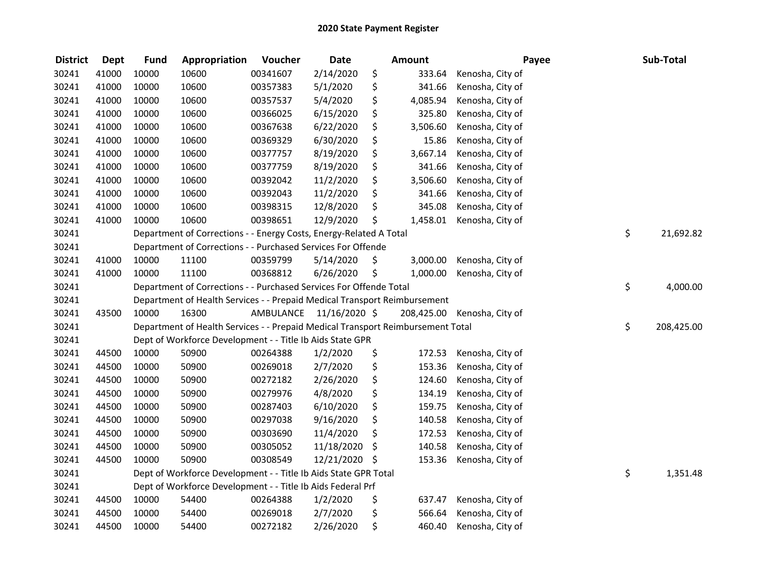| <b>District</b> | <b>Dept</b> | <b>Fund</b> | Appropriation                                                                   | Voucher                 | <b>Date</b> |      | <b>Amount</b> | Payee            | Sub-Total        |
|-----------------|-------------|-------------|---------------------------------------------------------------------------------|-------------------------|-------------|------|---------------|------------------|------------------|
| 30241           | 41000       | 10000       | 10600                                                                           | 00341607                | 2/14/2020   | \$   | 333.64        | Kenosha, City of |                  |
| 30241           | 41000       | 10000       | 10600                                                                           | 00357383                | 5/1/2020    | \$   | 341.66        | Kenosha, City of |                  |
| 30241           | 41000       | 10000       | 10600                                                                           | 00357537                | 5/4/2020    | \$   | 4,085.94      | Kenosha, City of |                  |
| 30241           | 41000       | 10000       | 10600                                                                           | 00366025                | 6/15/2020   | \$   | 325.80        | Kenosha, City of |                  |
| 30241           | 41000       | 10000       | 10600                                                                           | 00367638                | 6/22/2020   | \$   | 3,506.60      | Kenosha, City of |                  |
| 30241           | 41000       | 10000       | 10600                                                                           | 00369329                | 6/30/2020   | \$   | 15.86         | Kenosha, City of |                  |
| 30241           | 41000       | 10000       | 10600                                                                           | 00377757                | 8/19/2020   | \$   | 3,667.14      | Kenosha, City of |                  |
| 30241           | 41000       | 10000       | 10600                                                                           | 00377759                | 8/19/2020   | \$   | 341.66        | Kenosha, City of |                  |
| 30241           | 41000       | 10000       | 10600                                                                           | 00392042                | 11/2/2020   | \$   | 3,506.60      | Kenosha, City of |                  |
| 30241           | 41000       | 10000       | 10600                                                                           | 00392043                | 11/2/2020   | \$   | 341.66        | Kenosha, City of |                  |
| 30241           | 41000       | 10000       | 10600                                                                           | 00398315                | 12/8/2020   | \$   | 345.08        | Kenosha, City of |                  |
| 30241           | 41000       | 10000       | 10600                                                                           | 00398651                | 12/9/2020   | \$   | 1,458.01      | Kenosha, City of |                  |
| 30241           |             |             | Department of Corrections - - Energy Costs, Energy-Related A Total              |                         |             |      |               |                  | \$<br>21,692.82  |
| 30241           |             |             | Department of Corrections - - Purchased Services For Offende                    |                         |             |      |               |                  |                  |
| 30241           | 41000       | 10000       | 11100                                                                           | 00359799                | 5/14/2020   | \$   | 3,000.00      | Kenosha, City of |                  |
| 30241           | 41000       | 10000       | 11100                                                                           | 00368812                | 6/26/2020   | \$   | 1,000.00      | Kenosha, City of |                  |
| 30241           |             |             | Department of Corrections - - Purchased Services For Offende Total              |                         |             |      |               |                  | \$<br>4,000.00   |
| 30241           |             |             | Department of Health Services - - Prepaid Medical Transport Reimbursement       |                         |             |      |               |                  |                  |
| 30241           | 43500       | 10000       | 16300                                                                           | AMBULANCE 11/16/2020 \$ |             |      | 208,425.00    | Kenosha, City of |                  |
| 30241           |             |             | Department of Health Services - - Prepaid Medical Transport Reimbursement Total |                         |             |      |               |                  | \$<br>208,425.00 |
| 30241           |             |             | Dept of Workforce Development - - Title Ib Aids State GPR                       |                         |             |      |               |                  |                  |
| 30241           | 44500       | 10000       | 50900                                                                           | 00264388                | 1/2/2020    | \$   | 172.53        | Kenosha, City of |                  |
| 30241           | 44500       | 10000       | 50900                                                                           | 00269018                | 2/7/2020    | \$   | 153.36        | Kenosha, City of |                  |
| 30241           | 44500       | 10000       | 50900                                                                           | 00272182                | 2/26/2020   | \$   | 124.60        | Kenosha, City of |                  |
| 30241           | 44500       | 10000       | 50900                                                                           | 00279976                | 4/8/2020    | \$   | 134.19        | Kenosha, City of |                  |
| 30241           | 44500       | 10000       | 50900                                                                           | 00287403                | 6/10/2020   | \$   | 159.75        | Kenosha, City of |                  |
| 30241           | 44500       | 10000       | 50900                                                                           | 00297038                | 9/16/2020   | \$   | 140.58        | Kenosha, City of |                  |
| 30241           | 44500       | 10000       | 50900                                                                           | 00303690                | 11/4/2020   | \$   | 172.53        | Kenosha, City of |                  |
| 30241           | 44500       | 10000       | 50900                                                                           | 00305052                | 11/18/2020  | \$   | 140.58        | Kenosha, City of |                  |
| 30241           | 44500       | 10000       | 50900                                                                           | 00308549                | 12/21/2020  | - \$ | 153.36        | Kenosha, City of |                  |
| 30241           |             |             | Dept of Workforce Development - - Title Ib Aids State GPR Total                 |                         |             |      |               |                  | \$<br>1,351.48   |
| 30241           |             |             | Dept of Workforce Development - - Title Ib Aids Federal Prf                     |                         |             |      |               |                  |                  |
| 30241           | 44500       | 10000       | 54400                                                                           | 00264388                | 1/2/2020    | \$   | 637.47        | Kenosha, City of |                  |
| 30241           | 44500       | 10000       | 54400                                                                           | 00269018                | 2/7/2020    | \$   | 566.64        | Kenosha, City of |                  |
| 30241           | 44500       | 10000       | 54400                                                                           | 00272182                | 2/26/2020   | \$   | 460.40        | Kenosha, City of |                  |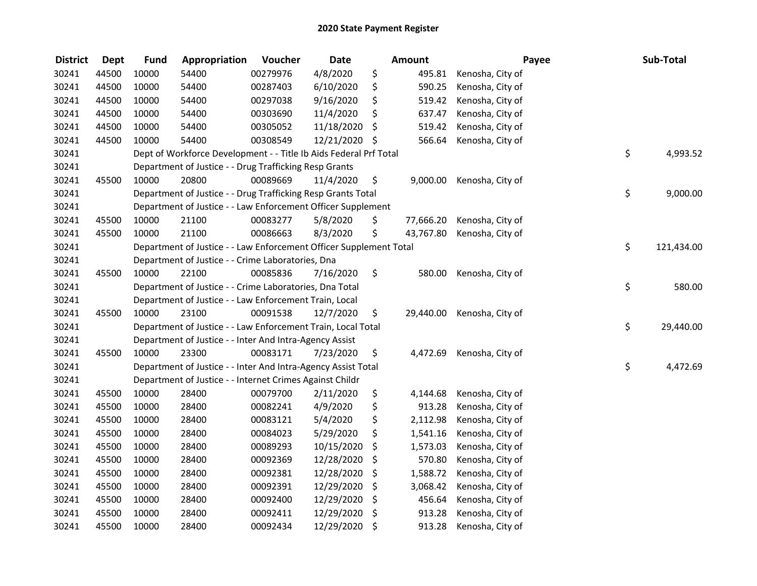| <b>District</b> | <b>Dept</b> | <b>Fund</b> | Appropriation                                                      | Voucher  | <b>Date</b> |      | Amount    | Payee            | Sub-Total        |
|-----------------|-------------|-------------|--------------------------------------------------------------------|----------|-------------|------|-----------|------------------|------------------|
| 30241           | 44500       | 10000       | 54400                                                              | 00279976 | 4/8/2020    | \$   | 495.81    | Kenosha, City of |                  |
| 30241           | 44500       | 10000       | 54400                                                              | 00287403 | 6/10/2020   | \$   | 590.25    | Kenosha, City of |                  |
| 30241           | 44500       | 10000       | 54400                                                              | 00297038 | 9/16/2020   | \$   | 519.42    | Kenosha, City of |                  |
| 30241           | 44500       | 10000       | 54400                                                              | 00303690 | 11/4/2020   | \$   | 637.47    | Kenosha, City of |                  |
| 30241           | 44500       | 10000       | 54400                                                              | 00305052 | 11/18/2020  | \$   | 519.42    | Kenosha, City of |                  |
| 30241           | 44500       | 10000       | 54400                                                              | 00308549 | 12/21/2020  | - \$ | 566.64    | Kenosha, City of |                  |
| 30241           |             |             | Dept of Workforce Development - - Title Ib Aids Federal Prf Total  |          |             |      |           |                  | \$<br>4,993.52   |
| 30241           |             |             | Department of Justice - - Drug Trafficking Resp Grants             |          |             |      |           |                  |                  |
| 30241           | 45500       | 10000       | 20800                                                              | 00089669 | 11/4/2020   | \$   | 9,000.00  | Kenosha, City of |                  |
| 30241           |             |             | Department of Justice - - Drug Trafficking Resp Grants Total       |          |             |      |           |                  | \$<br>9,000.00   |
| 30241           |             |             | Department of Justice - - Law Enforcement Officer Supplement       |          |             |      |           |                  |                  |
| 30241           | 45500       | 10000       | 21100                                                              | 00083277 | 5/8/2020    | \$   | 77,666.20 | Kenosha, City of |                  |
| 30241           | 45500       | 10000       | 21100                                                              | 00086663 | 8/3/2020    | \$   | 43,767.80 | Kenosha, City of |                  |
| 30241           |             |             | Department of Justice - - Law Enforcement Officer Supplement Total |          |             |      |           |                  | \$<br>121,434.00 |
| 30241           |             |             | Department of Justice - - Crime Laboratories, Dna                  |          |             |      |           |                  |                  |
| 30241           | 45500       | 10000       | 22100                                                              | 00085836 | 7/16/2020   | \$   | 580.00    | Kenosha, City of |                  |
| 30241           |             |             | Department of Justice - - Crime Laboratories, Dna Total            |          |             |      |           |                  | \$<br>580.00     |
| 30241           |             |             | Department of Justice - - Law Enforcement Train, Local             |          |             |      |           |                  |                  |
| 30241           | 45500       | 10000       | 23100                                                              | 00091538 | 12/7/2020   | \$   | 29,440.00 | Kenosha, City of |                  |
| 30241           |             |             | Department of Justice - - Law Enforcement Train, Local Total       |          |             |      |           |                  | \$<br>29,440.00  |
| 30241           |             |             | Department of Justice - - Inter And Intra-Agency Assist            |          |             |      |           |                  |                  |
| 30241           | 45500       | 10000       | 23300                                                              | 00083171 | 7/23/2020   | \$   | 4,472.69  | Kenosha, City of |                  |
| 30241           |             |             | Department of Justice - - Inter And Intra-Agency Assist Total      |          |             |      |           |                  | \$<br>4,472.69   |
| 30241           |             |             | Department of Justice - - Internet Crimes Against Childr           |          |             |      |           |                  |                  |
| 30241           | 45500       | 10000       | 28400                                                              | 00079700 | 2/11/2020   | \$   | 4,144.68  | Kenosha, City of |                  |
| 30241           | 45500       | 10000       | 28400                                                              | 00082241 | 4/9/2020    | \$   | 913.28    | Kenosha, City of |                  |
| 30241           | 45500       | 10000       | 28400                                                              | 00083121 | 5/4/2020    | \$   | 2,112.98  | Kenosha, City of |                  |
| 30241           | 45500       | 10000       | 28400                                                              | 00084023 | 5/29/2020   | \$   | 1,541.16  | Kenosha, City of |                  |
| 30241           | 45500       | 10000       | 28400                                                              | 00089293 | 10/15/2020  | \$   | 1,573.03  | Kenosha, City of |                  |
| 30241           | 45500       | 10000       | 28400                                                              | 00092369 | 12/28/2020  | \$   | 570.80    | Kenosha, City of |                  |
| 30241           | 45500       | 10000       | 28400                                                              | 00092381 | 12/28/2020  | \$   | 1,588.72  | Kenosha, City of |                  |
| 30241           | 45500       | 10000       | 28400                                                              | 00092391 | 12/29/2020  | \$   | 3,068.42  | Kenosha, City of |                  |
| 30241           | 45500       | 10000       | 28400                                                              | 00092400 | 12/29/2020  | \$   | 456.64    | Kenosha, City of |                  |
| 30241           | 45500       | 10000       | 28400                                                              | 00092411 | 12/29/2020  | \$   | 913.28    | Kenosha, City of |                  |
| 30241           | 45500       | 10000       | 28400                                                              | 00092434 | 12/29/2020  | \$   | 913.28    | Kenosha, City of |                  |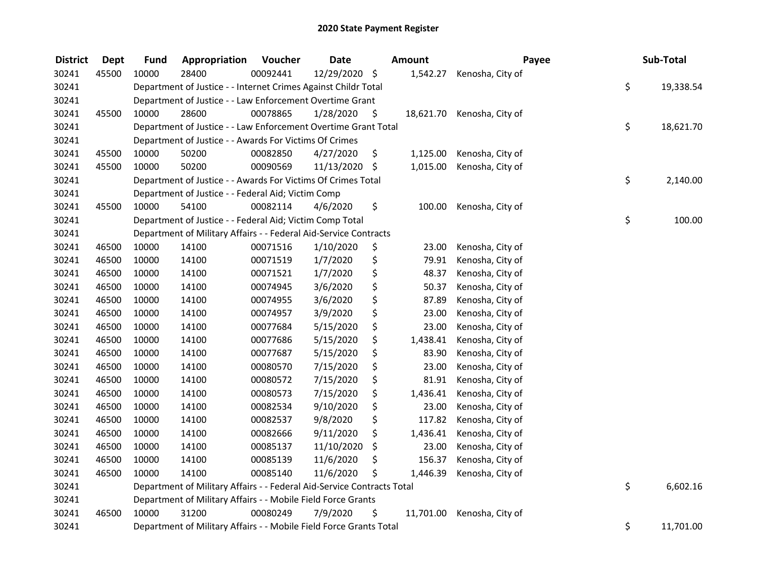| <b>District</b> | <b>Dept</b> | <b>Fund</b>                                                            | Appropriation                                                      | Voucher  | <b>Date</b> |    | <b>Amount</b> | Payee            |    | Sub-Total |
|-----------------|-------------|------------------------------------------------------------------------|--------------------------------------------------------------------|----------|-------------|----|---------------|------------------|----|-----------|
| 30241           | 45500       | 10000                                                                  | 28400                                                              | 00092441 | 12/29/2020  | \$ | 1,542.27      | Kenosha, City of |    |           |
| 30241           |             |                                                                        | Department of Justice - - Internet Crimes Against Childr Total     |          |             |    |               |                  | \$ | 19,338.54 |
| 30241           |             | Department of Justice - - Law Enforcement Overtime Grant               |                                                                    |          |             |    |               |                  |    |           |
| 30241           | 45500       | 10000                                                                  | 28600                                                              | 00078865 | 1/28/2020   | \$ | 18,621.70     | Kenosha, City of |    |           |
| 30241           |             |                                                                        | Department of Justice - - Law Enforcement Overtime Grant Total     |          |             |    |               |                  | \$ | 18,621.70 |
| 30241           |             | Department of Justice - - Awards For Victims Of Crimes                 |                                                                    |          |             |    |               |                  |    |           |
| 30241           | 45500       | 10000                                                                  | 50200                                                              | 00082850 | 4/27/2020   | \$ | 1,125.00      | Kenosha, City of |    |           |
| 30241           | 45500       | 10000                                                                  | 50200                                                              | 00090569 | 11/13/2020  | \$ | 1,015.00      | Kenosha, City of |    |           |
| 30241           |             |                                                                        | Department of Justice - - Awards For Victims Of Crimes Total       |          |             |    |               |                  | \$ | 2,140.00  |
| 30241           |             |                                                                        | Department of Justice - - Federal Aid; Victim Comp                 |          |             |    |               |                  |    |           |
| 30241           | 45500       | 10000                                                                  | 54100                                                              | 00082114 | 4/6/2020    | \$ | 100.00        | Kenosha, City of |    |           |
| 30241           |             |                                                                        | Department of Justice - - Federal Aid; Victim Comp Total           |          |             |    |               |                  | \$ | 100.00    |
| 30241           |             |                                                                        | Department of Military Affairs - - Federal Aid-Service Contracts   |          |             |    |               |                  |    |           |
| 30241           | 46500       | 10000                                                                  | 14100                                                              | 00071516 | 1/10/2020   | \$ | 23.00         | Kenosha, City of |    |           |
| 30241           | 46500       | 10000                                                                  | 14100                                                              | 00071519 | 1/7/2020    | \$ | 79.91         | Kenosha, City of |    |           |
| 30241           | 46500       | 10000                                                                  | 14100                                                              | 00071521 | 1/7/2020    | \$ | 48.37         | Kenosha, City of |    |           |
| 30241           | 46500       | 10000                                                                  | 14100                                                              | 00074945 | 3/6/2020    | \$ | 50.37         | Kenosha, City of |    |           |
| 30241           | 46500       | 10000                                                                  | 14100                                                              | 00074955 | 3/6/2020    | \$ | 87.89         | Kenosha, City of |    |           |
| 30241           | 46500       | 10000                                                                  | 14100                                                              | 00074957 | 3/9/2020    | \$ | 23.00         | Kenosha, City of |    |           |
| 30241           | 46500       | 10000                                                                  | 14100                                                              | 00077684 | 5/15/2020   | \$ | 23.00         | Kenosha, City of |    |           |
| 30241           | 46500       | 10000                                                                  | 14100                                                              | 00077686 | 5/15/2020   | \$ | 1,438.41      | Kenosha, City of |    |           |
| 30241           | 46500       | 10000                                                                  | 14100                                                              | 00077687 | 5/15/2020   | \$ | 83.90         | Kenosha, City of |    |           |
| 30241           | 46500       | 10000                                                                  | 14100                                                              | 00080570 | 7/15/2020   | \$ | 23.00         | Kenosha, City of |    |           |
| 30241           | 46500       | 10000                                                                  | 14100                                                              | 00080572 | 7/15/2020   | \$ | 81.91         | Kenosha, City of |    |           |
| 30241           | 46500       | 10000                                                                  | 14100                                                              | 00080573 | 7/15/2020   | \$ | 1,436.41      | Kenosha, City of |    |           |
| 30241           | 46500       | 10000                                                                  | 14100                                                              | 00082534 | 9/10/2020   | \$ | 23.00         | Kenosha, City of |    |           |
| 30241           | 46500       | 10000                                                                  | 14100                                                              | 00082537 | 9/8/2020    | \$ | 117.82        | Kenosha, City of |    |           |
| 30241           | 46500       | 10000                                                                  | 14100                                                              | 00082666 | 9/11/2020   | \$ | 1,436.41      | Kenosha, City of |    |           |
| 30241           | 46500       | 10000                                                                  | 14100                                                              | 00085137 | 11/10/2020  | \$ | 23.00         | Kenosha, City of |    |           |
| 30241           | 46500       | 10000                                                                  | 14100                                                              | 00085139 | 11/6/2020   | \$ | 156.37        | Kenosha, City of |    |           |
| 30241           | 46500       | 10000                                                                  | 14100                                                              | 00085140 | 11/6/2020   | \$ | 1,446.39      | Kenosha, City of |    |           |
| 30241           |             | Department of Military Affairs - - Federal Aid-Service Contracts Total |                                                                    |          |             |    |               |                  | \$ | 6,602.16  |
| 30241           |             | Department of Military Affairs - - Mobile Field Force Grants           |                                                                    |          |             |    |               |                  |    |           |
| 30241           | 46500       | 10000                                                                  | 31200                                                              | 00080249 | 7/9/2020    | \$ | 11,701.00     | Kenosha, City of |    |           |
| 30241           |             |                                                                        | Department of Military Affairs - - Mobile Field Force Grants Total |          |             |    |               |                  | \$ | 11,701.00 |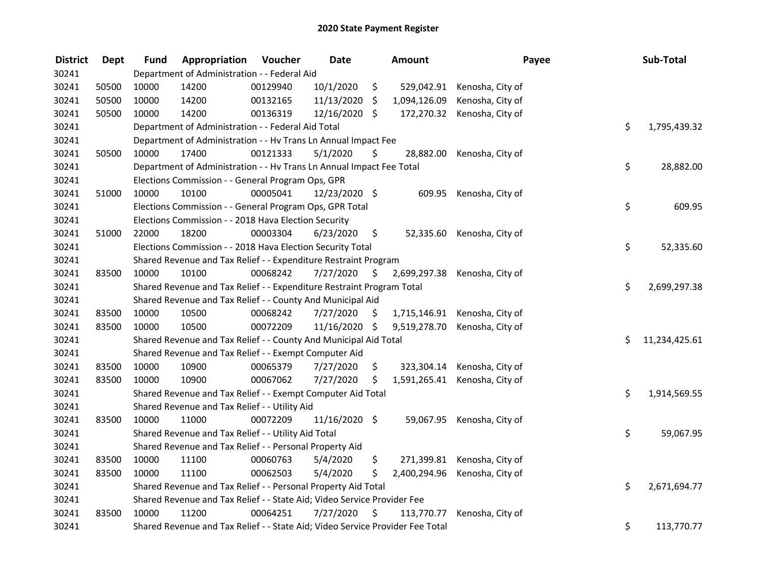| <b>District</b> | <b>Dept</b> | <b>Fund</b>                                                             | Appropriation                                                                 | Voucher  | <b>Date</b>   |     | Amount       |                               | Payee | Sub-Total     |
|-----------------|-------------|-------------------------------------------------------------------------|-------------------------------------------------------------------------------|----------|---------------|-----|--------------|-------------------------------|-------|---------------|
| 30241           |             | Department of Administration - - Federal Aid                            |                                                                               |          |               |     |              |                               |       |               |
| 30241           | 50500       | 10000                                                                   | 14200                                                                         | 00129940 | 10/1/2020     | \$  | 529,042.91   | Kenosha, City of              |       |               |
| 30241           | 50500       | 10000                                                                   | 14200                                                                         | 00132165 | 11/13/2020    | \$. | 1,094,126.09 | Kenosha, City of              |       |               |
| 30241           | 50500       | 10000                                                                   | 14200                                                                         | 00136319 | 12/16/2020 \$ |     |              | 172,270.32 Kenosha, City of   |       |               |
| 30241           |             | Department of Administration - - Federal Aid Total                      |                                                                               |          |               |     |              |                               |       | 1,795,439.32  |
| 30241           |             |                                                                         | Department of Administration - - Hv Trans Ln Annual Impact Fee                |          |               |     |              |                               |       |               |
| 30241           | 50500       | 10000                                                                   | 17400                                                                         | 00121333 | 5/1/2020      | \$  | 28,882.00    | Kenosha, City of              |       |               |
| 30241           |             |                                                                         | Department of Administration - - Hv Trans Ln Annual Impact Fee Total          |          |               |     |              |                               | \$    | 28,882.00     |
| 30241           |             |                                                                         | Elections Commission - - General Program Ops, GPR                             |          |               |     |              |                               |       |               |
| 30241           | 51000       | 10000                                                                   | 10100                                                                         | 00005041 | 12/23/2020 \$ |     |              | 609.95 Kenosha, City of       |       |               |
| 30241           |             |                                                                         | Elections Commission - - General Program Ops, GPR Total                       |          |               |     |              |                               | \$    | 609.95        |
| 30241           |             |                                                                         | Elections Commission - - 2018 Hava Election Security                          |          |               |     |              |                               |       |               |
| 30241           | 51000       | 22000                                                                   | 18200                                                                         | 00003304 | 6/23/2020     | \$  | 52,335.60    | Kenosha, City of              |       |               |
| 30241           |             |                                                                         | Elections Commission - - 2018 Hava Election Security Total                    |          |               |     |              |                               | \$    | 52,335.60     |
| 30241           |             |                                                                         | Shared Revenue and Tax Relief - - Expenditure Restraint Program               |          |               |     |              |                               |       |               |
| 30241           | 83500       | 10000                                                                   | 10100                                                                         | 00068242 | 7/27/2020     | \$  | 2,699,297.38 | Kenosha, City of              |       |               |
| 30241           |             |                                                                         | Shared Revenue and Tax Relief - - Expenditure Restraint Program Total         |          |               |     |              |                               | \$    | 2,699,297.38  |
| 30241           |             |                                                                         | Shared Revenue and Tax Relief - - County And Municipal Aid                    |          |               |     |              |                               |       |               |
| 30241           | 83500       | 10000                                                                   | 10500                                                                         | 00068242 | 7/27/2020     | \$  |              | 1,715,146.91 Kenosha, City of |       |               |
| 30241           | 83500       | 10000                                                                   | 10500                                                                         | 00072209 | 11/16/2020 \$ |     | 9,519,278.70 | Kenosha, City of              |       |               |
| 30241           |             |                                                                         | Shared Revenue and Tax Relief - - County And Municipal Aid Total              |          |               |     |              |                               | Ś.    | 11,234,425.61 |
| 30241           |             |                                                                         | Shared Revenue and Tax Relief - - Exempt Computer Aid                         |          |               |     |              |                               |       |               |
| 30241           | 83500       | 10000                                                                   | 10900                                                                         | 00065379 | 7/27/2020     | \$  | 323,304.14   | Kenosha, City of              |       |               |
| 30241           | 83500       | 10000                                                                   | 10900                                                                         | 00067062 | 7/27/2020     | \$  | 1,591,265.41 | Kenosha, City of              |       |               |
| 30241           |             |                                                                         | Shared Revenue and Tax Relief - - Exempt Computer Aid Total                   |          |               |     |              |                               | \$    | 1,914,569.55  |
| 30241           |             |                                                                         | Shared Revenue and Tax Relief - - Utility Aid                                 |          |               |     |              |                               |       |               |
| 30241           | 83500       | 10000                                                                   | 11000                                                                         | 00072209 | 11/16/2020 \$ |     |              | 59,067.95 Kenosha, City of    |       |               |
| 30241           |             |                                                                         | Shared Revenue and Tax Relief - - Utility Aid Total                           |          |               |     |              |                               | \$    | 59,067.95     |
| 30241           |             | Shared Revenue and Tax Relief - - Personal Property Aid                 |                                                                               |          |               |     |              |                               |       |               |
| 30241           | 83500       | 10000                                                                   | 11100                                                                         | 00060763 | 5/4/2020      | \$  | 271,399.81   | Kenosha, City of              |       |               |
| 30241           | 83500       | 10000                                                                   | 11100                                                                         | 00062503 | 5/4/2020      | \$  | 2,400,294.96 | Kenosha, City of              |       |               |
| 30241           |             |                                                                         | Shared Revenue and Tax Relief - - Personal Property Aid Total                 |          |               |     |              |                               | \$    | 2,671,694.77  |
| 30241           |             | Shared Revenue and Tax Relief - - State Aid; Video Service Provider Fee |                                                                               |          |               |     |              |                               |       |               |
| 30241           | 83500       | 10000                                                                   | 11200                                                                         | 00064251 | 7/27/2020     | \$  | 113,770.77   | Kenosha, City of              |       |               |
| 30241           |             |                                                                         | Shared Revenue and Tax Relief - - State Aid; Video Service Provider Fee Total |          |               |     |              |                               | \$    | 113,770.77    |